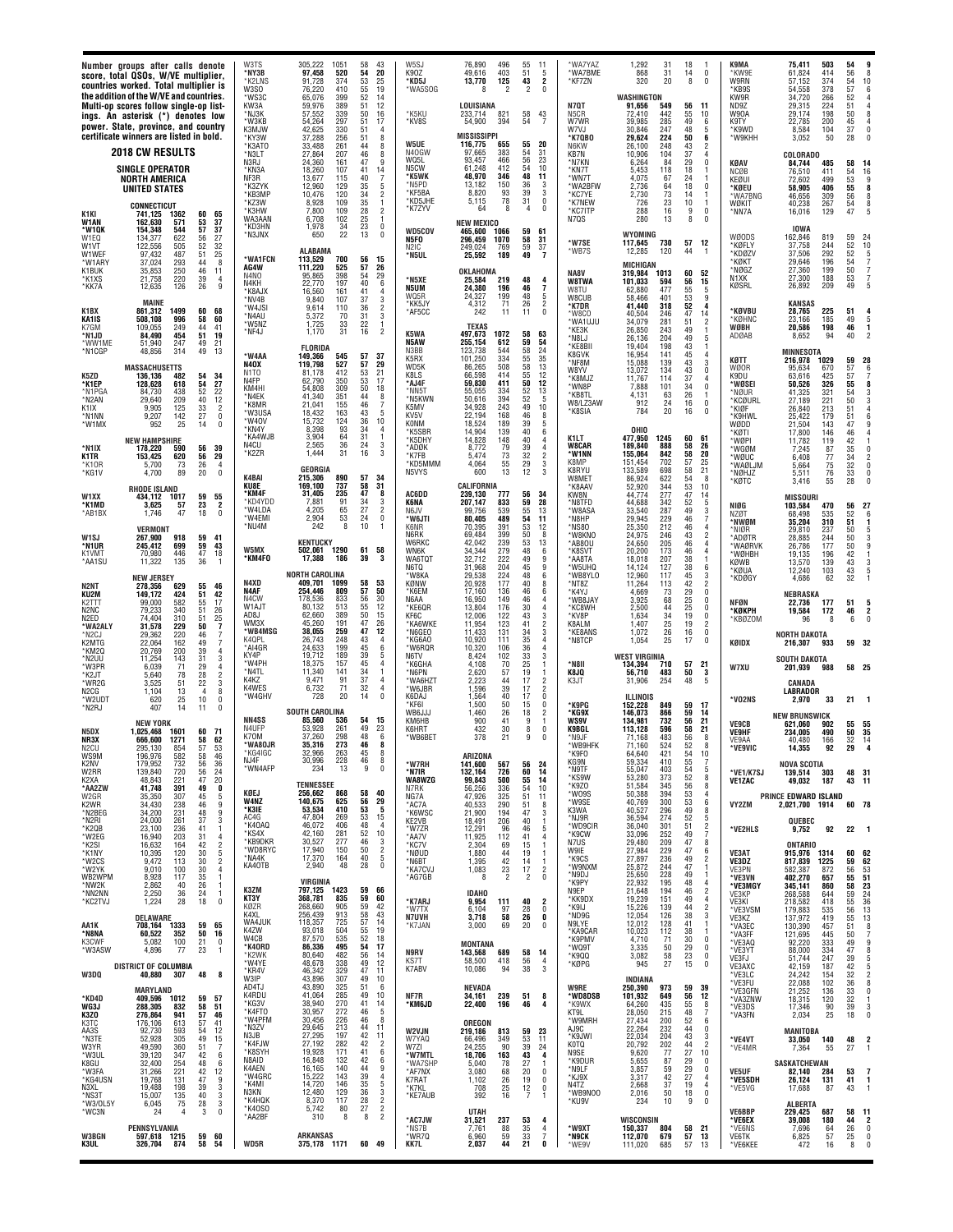| <b>W3BGN</b><br>K3UL                                                                 | *KG4USN<br>N3XL<br>*NS3T<br>*W3/0L5Y<br>*WC3N                                          | AA3S<br>*N3TE<br>W3YR<br>*W3UL<br>K8GU<br>*W3FA                                                    | *KD4D<br>WG3J<br>K3ZO<br>K3TC                                                         | *W3ASW<br>W3DQ                                                             | *KC2TVJ<br>AA1K<br>*N8NA<br>K3CWF                                                           | *K <sub>2</sub> SI<br>*K1NY<br>*W2CS<br>*W2YK<br>WB2WPM<br>*NW2K<br>*NN2NN                                             | K <sub>2</sub> W <sub>R</sub><br>*N2BEG<br>*N2RI<br>*K2QB<br>*W2EG                                  | K2NV<br>W2RR<br>K2XA<br>*AA2ZW<br>W2GR                                              | *N2RJ<br>N5DX<br>NR3X<br>N2CU<br>WS9M                                                                    | *W3PR<br>*K2JT<br>*WR2G<br>N <sub>2</sub> CG<br>*W2UD1                                      | *WA2ALY<br>*N2CJ<br>K2MTG<br>*KM2Q<br>*N2UU                                       | N <sub>2</sub> N <sub>T</sub><br>KU2M<br>K <sub>2</sub> TTT<br>N2NC<br>N2ED                                    | W <sub>1</sub> SJ<br>*N1UR<br>K1VMT<br>*AA1SU                                                                       | *KG1V<br>W <sub>1</sub> XX<br>*K1MD<br>*AB1BX                                                     | *W1MX<br>*N1IX<br>K1TR<br>*K10F                                                              | *N1CGP<br>K5ZD<br>*K1EP<br>*N1PGA<br>*N2AN<br>K1IX<br>*N1NN                                                                                             | K1BX<br>KA1IS<br>K7GM<br>*N1JD<br>*WW1ME                                                              | *W1QK<br>W1EQ<br>W1VT<br>W1WEF<br>*W1ARY<br>K1BUK<br>*K1XS<br>*KK7A                                                                     | K1KI<br>W1AN                                                                                                                                         |                                                                                                                                                                                                                                                   |                                                                         |
|--------------------------------------------------------------------------------------|----------------------------------------------------------------------------------------|----------------------------------------------------------------------------------------------------|---------------------------------------------------------------------------------------|----------------------------------------------------------------------------|---------------------------------------------------------------------------------------------|------------------------------------------------------------------------------------------------------------------------|-----------------------------------------------------------------------------------------------------|-------------------------------------------------------------------------------------|----------------------------------------------------------------------------------------------------------|---------------------------------------------------------------------------------------------|-----------------------------------------------------------------------------------|----------------------------------------------------------------------------------------------------------------|---------------------------------------------------------------------------------------------------------------------|---------------------------------------------------------------------------------------------------|----------------------------------------------------------------------------------------------|---------------------------------------------------------------------------------------------------------------------------------------------------------|-------------------------------------------------------------------------------------------------------|-----------------------------------------------------------------------------------------------------------------------------------------|------------------------------------------------------------------------------------------------------------------------------------------------------|---------------------------------------------------------------------------------------------------------------------------------------------------------------------------------------------------------------------------------------------------|-------------------------------------------------------------------------|
| PENNSYLVANIA<br>597,618 1215<br>326,704<br>874                                       | 19,768<br>131<br>19.488<br>198<br>15,007<br>135<br>75<br>6,045<br>24<br>$\overline{4}$ | 92,730<br>593<br>52,928<br>305<br>49,590<br>360<br>39,120<br>347<br>32,400<br>254<br>31,266<br>221 | <b>MARYLAND</b><br>409,596 1012<br>288,305<br>832<br>276,864<br>941<br>176,106<br>613 | 4,896<br>77<br><b>DISTRICT OF COLUMBIA</b><br>40,880<br>307                | 28<br>1,224<br>DELAWARE<br>708,164<br>1333<br>60,522<br>352<br>5,082<br>100                 | 16,632<br>164<br>10,395<br>120<br>113<br>9,472<br>9,010<br>100<br>8,928<br>117<br>2,862<br>-40<br>2,250<br>36          | 34,430<br>238<br>34,200<br>231<br>24,000<br>261<br>23,100<br>236<br>16,940<br>203                   | 732<br>179,952<br>139,840<br>720<br>221<br>48,843<br>41,748<br>391<br>307<br>35,350 | 14<br>407<br><b>NEW YORK</b><br>1,025,468<br>1601<br>666,600<br>1271<br>295,130<br>854<br>196,976<br>582 | 71<br>6,039<br>78<br>5.640<br>51<br>3,525<br>1.104<br>13<br>620<br>25                       | 229<br>31,578<br>220<br>29,362<br>22,064<br>162<br>20,769<br>200<br>143<br>11,254 | <b>NEW JERSEY</b><br>278.356<br>629<br>149,172<br>424<br>582<br>99.000<br>79,233<br>340<br>74,404<br>310       | VERMONT<br>918<br>267,900<br>245,412<br>699<br>446<br>70,980<br>11,322<br>135                                       | 4,700<br>89<br>RHODE ISLAND<br>434,112<br>1017<br>3.625<br>57<br>1,746<br>47                      | 952<br>25<br><b>NEW HAMPSHIRE</b><br>178.220<br>590<br>153,425<br>620<br>73<br>5.700         | 48,856<br>314<br><b>MASSACHUSI</b><br>TTS<br>136,136<br>482<br>128,628<br>618<br>438<br>84.730<br>29,640<br>209<br>125<br>9.905<br>142<br>9,207         | <b>MAINE</b><br>1499<br>861,312<br>508,108<br>996<br>249<br>109.055<br>84,490<br>454<br>247<br>51.940 | 154,348<br>544<br>622<br>134.377<br>122,556<br>505<br>97,432<br>487<br>37,024<br>293<br>250<br>35,853<br>220<br>21,758<br>12,635<br>126 | <b>2018 CW RESULTS</b><br><b>SINGLE OPERATOR</b><br>NORTH AMERICA<br><b>UNITED STATES</b><br><b>CONNECTICUT</b><br>741,125<br>1362<br>162.630<br>571 | countries worked. Total multiplier is<br>the addition of the W/VE and countries.<br>Multi-op scores follow single-op list-<br>ings. An asterisk (*) denotes low<br>power. State, province, and country<br>certificate winners are listed in bold. | Number groups after calls denote<br>score, total QSOs, W/VE multiplier, |
| 59<br>58                                                                             | 47<br>39<br>40<br>28<br>3                                                              | 54<br>49<br>51<br>42<br>48<br>42                                                                   | 59<br>58<br>57<br>57                                                                  | 23<br>48                                                                   | 18<br>59<br>50<br>21                                                                        | 42<br>30<br>30<br>30<br>35<br>26<br>24                                                                                 | 46<br>48<br>37<br>41<br>31                                                                          | 56<br>56<br>47<br>49<br>45                                                          | 11<br>60<br>58<br>57<br>58                                                                               | 29<br>$\frac{28}{22}$<br>$\overline{4}$<br>10                                               | 50<br>46<br>49<br>39<br>31                                                        | 55<br>51<br>55<br>51<br>51                                                                                     | 59<br>59<br>47<br>36                                                                                                | 20<br>59<br>23<br>18                                                                              | 14<br>56<br>56<br>26                                                                         | 49<br>54<br>54<br>52<br>40<br>33<br>27                                                                                                                  | 60<br>58<br>44<br>51<br>49                                                                            | 57<br>56<br>$\frac{52}{51}$<br>44<br>46<br>39<br>26                                                                                     | 60<br>53                                                                                                                                             |                                                                                                                                                                                                                                                   |                                                                         |
| 60<br>54                                                                             | 9<br>3<br>$\frac{3}{3}$<br>$\pmb{0}$                                                   | 12<br>$\begin{array}{c} 15 \\ 7 \end{array}$<br>6<br>6<br>12                                       | 57<br>51<br>46<br>41                                                                  | $\mathbf{1}$<br>8                                                          | 0<br>65<br>16<br>0                                                                          | $\overline{\mathbf{c}}$<br>$\frac{5}{2}$<br>$\boldsymbol{\Lambda}$<br>-1<br>-1                                         | 9<br>3<br>-1<br>4                                                                                   | 36<br>24<br>20<br>0<br>5<br>9                                                       | $\theta$<br>71<br>62<br>53<br>46                                                                         | $\overline{4}$<br>$\frac{2}{3}$<br>8<br>0                                                   | 7<br>7<br>$\overline{4}$<br>3                                                     | 46<br>42<br>17<br>$\begin{array}{c} 26 \\ 25 \\ 7 \end{array}$                                                 | 41<br>43<br>$\begin{array}{c} 18 \\ 1 \end{array}$                                                                  | $\Omega$<br>55<br>2<br>$\theta$                                                                   | $\mathbf{0}$<br>39<br>29<br>$\overline{4}$                                                   | 13<br>34<br>27<br>22<br>12<br>$\overline{2}$<br>$\pmb{0}$                                                                                               | 68<br>60<br>41<br>19<br>21                                                                            | 37<br>27<br>$\begin{array}{c} 32 \\ 25 \end{array}$<br>8<br>11<br>4<br>9                                                                | 65<br>37                                                                                                                                             |                                                                                                                                                                                                                                                   |                                                                         |
| *AA2BF<br>WD5R                                                                       | *W4GRC<br>*K4MI<br>N3KN<br>*K4HQK<br>*K40S0                                            | *N3ZV<br>N3JB<br>*K4FJW<br>*K8SYH<br>N8AID<br><b>K4AEN</b>                                         | AD4T.<br>K4RDU<br>*KG3V<br>*K4FT0<br>*W4PFM                                           | *K2WK<br>*W4YE<br>*KR4V<br>W3IP                                            | KØZR<br>K4XL<br>WA4JUK<br>K4ZW<br>W4CB<br>*K40RD                                            | *WD8RYC<br>*NA4K<br>KA40TB<br>K3ZM<br>KT3Y                                                                             | W4NZ<br>*K3IE<br>AC4G<br>*K40AQ<br>*KS4X<br>*KB9DKR                                                 | NJ4F<br>*WN4AFP<br>KØEJ                                                             | NN4SS<br>N4UFP<br>K70M<br>WA80JR<br>טטו+                                                                 | *W4PH<br>*N4TL<br>K4KZ<br>K4WES<br>'W4GHV                                                   | WM3X<br>*WB4MSG<br>K4QPL<br>*AI4GR<br>KY4P                                        | N4XD<br>N4AF<br>N4CW<br>W1AJT<br>AD8J                                                                          | *W4EMI<br>*NU4M<br>W5MX<br>*KM4F0                                                                                   | K4BAI<br>KU8E<br>*KM4F<br>KD4YDD<br>*W4I DA                                                       | *W40V<br>*KN4Y<br>*KA4WJB<br>N4CU<br>*K2ZR                                                   | *W4AA<br><b>N40X</b><br>N <sub>1</sub> TO<br>N <sub>4FP</sub><br>KM4HI<br>*N4EK<br>*K8MR<br>*W3USA                                                      | *NV4B<br>*W4JSI<br>*N4AU<br>'W5NZ<br>*NF4J                                                            | *KD3HN<br>*N3JNX<br><b>WA1FCN</b><br>AG4W<br>N4NO<br>N4KH<br>*K8AJX                                                                     | *N3LT<br>N3RJ<br>*KN3A<br>NF3R<br>*K3ZYK<br>*КВЗМР<br>*KZ3W<br>*K3HW<br>WA3AAN                                                                       | W3SO<br>*WS3C<br>KW3A<br>*NJ3K<br>*W3KB<br>K3MJW<br>*KY3W<br>*K3ATO                                                                                                                                                                               | W3TS<br>*NY3B<br>*K2LNS                                                 |
| 310<br>8<br><b>ARKANSAS</b><br>375,178 1171                                          | 15,222<br>143<br>14,720<br>146<br>12,480<br>129<br>8,370<br>117<br>5,742<br>80         | 29,645<br>213<br>27,295<br>197<br>27,192<br>282<br>19,928<br>171<br>16,848<br>132<br>16,165<br>140 | 43.890<br>325<br>285<br>41,064<br>38,940<br>270<br>30,957<br>272<br>30,456<br>226     | 86,336<br>80,640<br>482<br>48,678<br>338<br>329<br>46,342<br>43,896<br>307 | 268,660<br>905<br>256,439<br>913<br>118,357<br>725<br>93,018<br>504<br>87,570<br>535<br>495 | 17,940<br>150<br>17,370<br>164<br>2,940<br>48<br>VIRGINIA<br>797,125<br>1423<br>368,781<br>835                         | 140,675<br>625<br>53,534<br>410<br>47,804<br>269<br>46,072<br>406<br>42,160<br>281<br>30,527<br>277 | 30,996<br>228<br>234<br>13<br><b>TENNESSEE</b><br>256,662<br>868                    | <b>SOUTH CAROLINA</b><br>85,560<br>536<br>261<br>53.928<br>37,260<br>298<br>35.316<br>273                | 157<br>18.375<br>11,340<br>141<br>91<br>9,471<br>71<br>6,732<br>20<br>728                   | 45.260<br>191<br>259<br>38,055<br>26,743<br>248<br>24,633<br>199<br>19,712<br>189 | <b>NORTH CAROLINA</b><br>409,701<br>1099<br>254.446<br>809<br>178.536<br>833<br>80.132<br>513<br>62,660<br>389 | 2,904<br>53<br>8<br>242<br><b>KENTUCKY</b><br>502,061<br>1290<br>17,388<br>186                                      | <b>GEORGIA</b><br>890<br>215,306<br>169.100<br>737<br>31,405<br>235<br>91<br>7.881<br>65<br>4.205 | 15,732<br>124<br>8,398<br>93<br>3,904<br>64<br>2,565<br>36<br>1.444<br>31                    | 149,366<br>545<br>119.798<br>527<br>81,178<br>412<br>62.790<br>350<br>54.808<br>309<br>41,340<br>351<br>21,041<br>155<br>18,432<br>163                  | 9,840<br>107<br>9,614<br>110<br>5,372<br>70<br>1,725<br>33<br>1.170<br>31<br><b>FLORIDA</b>           | 1.978<br>34<br>22<br>650<br>ALABAMA<br>113.529<br>700<br>525<br>111,220<br>95,865<br>398<br>22,770<br>197<br>16,560<br>161              | 27,864<br>207<br>24,360<br>161<br>18,260<br>107<br>13,677<br>115<br>12.960<br>129<br>10,476<br>120<br>8,928<br>109<br>7,800<br>109<br>6,708<br>102   | 76,220<br>410<br>65,076<br>399<br>59.976<br>389<br>57,552<br>339<br>297<br>54,264<br>42,625<br>330<br>37,288<br>256<br>261<br>33.488                                                                                                              | 305,222<br>1051<br>97,458<br>520<br>91,728<br>374                       |
| 8<br>60 49                                                                           | 39<br>$\overline{4}$<br>5<br>35<br>$\frac{3}{2}$<br>36<br>28<br>$\frac{2}{2}$<br>27    | 44<br>11<br>42<br>11<br>42<br>$\overline{\mathbf{c}}$<br>41<br>6<br>6<br>42<br>44<br>9             | 51<br>6<br>49<br>10<br>41<br>14<br>46<br>5<br>8<br>46                                 | 54<br>17<br>56<br>14<br>49<br>12<br>47<br>11<br>49<br>10                   | 59<br>42<br>58<br>43<br>57<br>14<br>$\frac{55}{52}$<br>19<br>18                             | 50<br>$\overline{2}$<br>40<br>5<br>28<br>$\mathbf 0$<br>59<br>66<br>59<br>60                                           | 29<br>56<br>$\frac{53}{53}$<br>5<br>15<br>48<br>$\overline{4}$<br>52<br>10<br>46<br>3               | 46<br>8<br>9<br>$\mathbf 0$<br>58<br>40                                             | 54<br>15<br>49<br>23<br>48<br>6<br>46<br>8                                                               | 45<br>4<br>34<br>$\overline{1}$<br>37<br>$\overline{4}$<br>$\frac{32}{14}$<br>4<br>$\Omega$ | 47<br>26<br>47<br>12<br>43<br>$\overline{4}$<br>6<br>45<br>39<br>5                | 58<br>53<br>57<br>50<br>56<br>30<br>55<br>12<br>50<br>15                                                       | 24<br>0<br>$\overline{1}0$<br>-1<br>58<br>61<br>39<br>-3                                                            | 57<br>34<br>58<br>31<br>47<br>8<br>34<br>3<br>$\overline{27}$<br>$\overline{2}$                   | 36<br>10<br>34<br>$\overline{4}$<br>31<br>-1<br>24<br>$\frac{3}{3}$<br>16                    | 57<br>37<br>57<br>29<br>53<br>21<br>53<br>17<br>50<br>18<br>44<br>8<br>46<br>7<br>43<br>5                                                               | 37<br>3<br>$\overline{2}$<br>36<br>$\mathbf 3$<br>31<br>$^{22}_{16}$<br>1<br>$\mathfrak{p}$           | 23<br>$^{\circ}$<br>13<br>$\Omega$<br>56<br>15<br>57<br>26<br>54<br>29<br>40<br>6<br>41<br>$\overline{4}$                               | 46<br>8<br>9<br>47<br>41<br>14<br>40<br>35<br>5<br>34<br>$\overline{\mathbf{c}}$<br>$\frac{35}{28}$<br>1<br>$\overline{2}$<br>25<br>1                | $\frac{53}{55}$<br>19<br>52<br>14<br>51<br>12<br>50<br>16<br>51<br>17<br>51<br>4<br>51<br>8<br>44<br>8                                                                                                                                            | 58<br>43<br>54<br>20<br>25                                              |
| *AC7JW<br>*NS7B<br>*WR7Q<br>KK7L                                                     | K7RAT<br>*K7KL<br>*KE7AUB                                                              | W2VJN<br>W7YAQ<br>W7ZI<br>*W7MTL<br>*WA7SHP<br>*AF7NX                                              | NF7R<br>*KM6JD                                                                        | N9RV<br>KS7T<br>K7ABV                                                      | *W7TX<br>N7UVH<br>*K7JAN                                                                    | *KC7V<br>*NØUD<br>*N6BT<br>*KA7CVJ<br>*AG7GB<br>*K7ARJ                                                                 | *AC7A<br>*K6WSC<br>KE2VB<br>*W7ZR<br>*AA7V                                                          | *W7RH<br>*N7IR<br>WA8WZG<br>N7RK<br>NG7A                                            | WB6JJ.<br>КМ6НВ<br>K6HRT<br>'WB6BET                                                                      | *K6GHA<br>*N6PN<br>*WA6HZT<br>'W6JBR<br>K6DAJ<br>*KF6I                                      | *KA6WKE<br>*N6GEO<br>*KG6A0<br>*W6RQR<br>N6TV                                     | *W8KA<br>KØNW<br>*K6EM<br>N6AA<br>*KE6QR<br>KF6C                                                               | 'W6JTI<br>K6NR<br>N6RK<br>W6RKC<br>WN6K<br>WA6TQT<br>N6TO                                                           | N5VYS<br>AC6DD<br>K6NA<br>N6JV                                                                    | KONM<br>*K5SBR<br>*K5DHY<br>*ADØK<br>*K7FB<br>*KD5MMM                                        | N <sub>3</sub> B <sub>B</sub><br>K5RX<br>WD5K<br>K8LS<br>*AJ4F<br>*NN5T<br>*N5KWN<br>K5MV<br>KV5V                                                       | WQ5R<br>*KK5JY<br>*AF5CC<br>K5WA<br>N5AW                                                              | WD5COV<br>N5FO<br>N <sub>2</sub> IC<br>*N5UL<br>*N5XE<br>N5UM                                                                           | N40GW<br>WQ5L<br>N5CW<br>*K5WK<br>*N5PD<br>*KF5BA<br>*KD5JHE<br>*K7ZYV                                                                               | 'WA5SOG<br>*K5KU<br>*KV8S<br><b>W5UE</b>                                                                                                                                                                                                          | W5SJ<br>K90Z<br>*KD5J                                                   |
| 31,521<br>237<br>7,761<br>88<br>59<br>6,960<br>44<br>2,037                           | 1,102<br>26<br>25<br>708<br>392<br>16<br><b>UTAH</b>                                   | 219,186<br>813<br>349<br>66,496<br>24,255<br>90<br>18,706<br>163<br>5,040<br>78<br>3,080<br>68     | NEVADA<br>239<br>34,161<br>196<br>22,400<br><b>OREGON</b>                             | 143,568<br>689<br>58,500<br>418<br>10,086<br>94                            | 6,104<br>97<br>58<br>3.718<br>3,000<br>69<br><b>MONTANA</b>                                 | 2,304<br>69<br>1,880<br>44<br>$\frac{42}{23}$<br>1,395<br>1,083<br>$\overline{2}$<br>8<br><b>IDAHO</b><br>9,954<br>111 | 40,533<br>290<br>21,900<br>194<br>18,491<br>206<br>12,291<br>96<br>11,925<br>112                    | 141,600<br>567<br>132,164<br>726<br>500<br>99,843<br>56,256<br>336<br>47,926<br>325 | 26<br>1,460<br>900<br>41<br>432<br>30<br>378<br>21<br><b>ARIZONA</b>                                     | 4,108<br>70<br>2,620<br>57<br>2,223<br>44<br>1,596<br>39<br>40<br>1,564<br>1,500<br>50      | 123<br>11,954<br>11,433<br>131<br>10,920<br>111<br>10,320<br>106<br>8,424<br>102  | 224<br>29,538<br>20,928<br>177<br>17,160<br>136<br>16,950<br>149<br>13,804<br>176<br>12,006<br>122             | 80,405<br>489<br>70,395<br>391<br>69.484<br>399<br>42,042<br>239<br>34,344<br>279<br>32,712<br>222<br>31,968<br>204 | 13<br>600<br>CALIFORNIA<br>239,130<br>777<br>207,147<br>833<br>99,756<br>539                      | 18,524<br>189<br>14,904<br>139<br>14,828<br>148<br>79<br>8,772<br>73<br>5,474<br>4,064<br>55 | 544<br>123.738<br>101,250<br>334<br>86,265<br>508<br>66,598<br>414<br>59,830<br>411<br>55,055<br>334<br>50.616<br>394<br>243<br>34,928<br>22,194<br>168 | 199<br>24,327<br>71<br>4,312<br>242<br>11<br><b>TEXAS</b><br>497,673<br>1072<br>255,154<br>612        | 465.600<br>1066<br>1070<br>296,459<br>249,024<br>769<br>25,592<br>189<br>OKLAHOMA<br>25,584<br>219<br>24,380<br>196                     | 383<br>97,665<br>93,457<br>466<br>61.248<br>412<br>48,970<br>346<br>150<br>13.182<br>93<br>8,820<br>78<br>5,115<br>64<br>8<br><b>NEW MEXICO</b>      | LOUISIANA<br>233,714<br>821<br>54,900<br>394<br><b>MISSISSIPPI</b><br>116,775<br>655                                                                                                                                                              | 76,890<br>496<br>403<br>49,616<br>125<br>13,770                         |
| 53<br>4<br>$\frac{35}{33}$<br>$\overline{4}$<br>7<br>21<br>0                         | 19<br>0<br>12<br>$\mathbf{0}$<br>7<br>$\overline{1}$                                   | 59<br>23<br>53<br>-11<br>39<br>24<br>43<br>4<br>27<br>20<br>$\mathbf{0}$                           | 51<br>8<br>46<br>4                                                                    | 58<br>-14<br>56<br>4<br>38<br>3                                            | 28<br>0<br>26<br>0<br>20<br>0                                                               | 15<br>-1<br>19<br>-1<br>14<br>-1<br>17<br>2<br>$\overline{2}$<br>$\mathbf 0$<br>40<br>$\overline{2}$                   | 51<br>8<br>47<br>3<br>40<br>-1<br>46<br>5<br>41<br>4                                                | 56<br>-24<br>60<br>14<br>55<br>14<br>54<br>10<br>51<br>11                           | $\overline{2}$<br>18<br>9<br>$\Omega$<br>8<br>9<br>0                                                     | 25<br>19<br>17<br>2<br>$\overline{2}$<br>$\frac{17}{17}$<br>ō<br>15<br>$\Omega$             | $\overline{2}$<br>41<br>34<br>3<br>35<br>4<br>36<br>4<br>3<br>33                  | 6<br>40<br>8<br>46<br>6<br>46<br>4<br>30<br>43<br>3                                                            | 54<br>11<br>53<br>12<br>50<br>8<br>53<br>13<br>48<br>6<br>49<br>9<br>$\frac{45}{48}$<br>9                           | 56<br>34<br>59<br>28<br>55<br>13                                                                  | 39<br>5<br>40<br>6<br>40<br>4<br>39<br>32<br>2<br>$\frac{3}{3}$<br>29<br>12                  | 58<br>24<br>55<br>35<br>13<br>58<br>55<br>12<br>50<br>12<br>52<br>13<br>5<br>52<br>49<br>10<br>46<br>8                                                  | 48<br>$\frac{5}{2}$<br>26<br>$\mathbf 0$<br>11<br>58<br>63<br>59<br>54                                | 59<br>61<br>58<br>$\overline{31}$<br>59<br>$\frac{37}{7}$<br>49<br>48<br>4<br>46<br>7                                                   | 54<br>31<br>23<br>56<br>54<br>10<br>48<br>11<br>$\begin{array}{c} 36 \\ 39 \end{array}$<br>$\frac{3}{3}$<br>31<br>$\mathbf 0$<br>$\mathbf 0$<br>4    | $\mathbf 0$<br>58<br>43<br>54<br>$\overline{7}$<br>55<br>20                                                                                                                                                                                       | 55<br>11<br>51<br>5<br>43<br>2                                          |
| *W9XT<br>*N9CK<br>*WE9V                                                              | *KJ9X<br>N4TZ<br>*WB9NOO<br>*KU9V                                                      | AJ9C<br>*K9JWI<br>KOTQ<br>N9SE<br>*K9DUR<br>*N9LF                                                  | W9RE<br>*WD8DSB<br>*K9WX<br>KT9I<br>*W9MRH                                            | *WQ9T<br>*K900<br>*KØPG                                                    | *K9IJ<br>*ND9G<br>N9LYE<br>*KA9CAR<br>*K9PMV                                                | W9IE<br>*K9CS<br>*W9NXM<br>*N9DJ<br>*K9PY<br>N9EP<br>*KK9DX                                                            | *W9SE<br>K3WA<br>*NJ9R<br>*WD9CIR<br>*K9CW<br>N7US                                                  | KG9N<br>*N9TF<br>*KS9W<br>*K9Z0<br>*W09S                                            | *KG9X<br><b>WS9V</b><br>K9BGL<br>* N9.JF<br>*WB9HFK<br><b>KYFU</b>                                       | *N8II<br>K8JQ<br>K3JT<br>*K9PG                                                              | K8ALM<br>*KE8ANS<br>*N8TCP                                                        | *WB8YLO<br>*NT8Z<br>*K4YJ<br>*WB8JAY<br>*KC8WH<br>*KV8P                                                        | *N8HP<br>*NS80<br>*W8KNO<br>*AB80U<br>*K8SVT<br>*AA8TA<br>*W5UHQ                                                    | K8RYU<br>W8ME1<br>*K8AA\<br>KW8N<br>*N8TFD<br>*W8ASA                                              | K1LT<br><b>W8CAR</b><br>*W1NN<br>K8MP                                                        | K8GVK<br>*NF8M<br>W8YV<br>*K8MJZ<br>*WN8P<br>*KB8TL<br>W8/LZ3AW<br>*K8SIA                                                                               | W8CUB<br>*K7DR<br>*W8CO<br>*WA1UJU<br>*КЕЗК<br>*N8LJ<br>*KE8BI                                        | *W7SE<br>*WB7S<br>NA8V<br><b>W8TWA</b><br>W8TU                                                                                          | KB7N<br>*N7KN<br>*KN7T<br>*WN7T<br>*WA2BFW<br>*KC7YE<br>*K7NEW<br>*KC7ITF<br>N7QS                                                                    | <b>N70T</b><br>N5CR<br>W7WR<br>W7VJ<br>*K70B0<br>N6KW                                                                                                                                                                                             | *WA7YAZ<br>*WA7BME<br>*KF7ZN                                            |
| <b>WISCONSIN</b><br>150,337<br>112,070<br>111,020                                    | 3,317<br>2.668<br>2,016<br>234                                                         | 22,264<br>22,034<br>20,792<br>9,620<br>5,655<br>3,857                                              | 250,390<br>101,932<br>64,260<br>28,050<br>27,434                                      | 3,335<br>3,082<br>945<br>INDIANA                                           | 15,226<br>12,054<br>12,012<br>10,023<br>4,710                                               | 27,984<br>27,897<br>25,872<br>25,650<br>22,932<br>21,648<br>19,239                                                     | 40,769<br>40,527<br>36,594<br>36,040<br>33,096<br>29,480                                            | 59,334<br>55,047<br>53,280<br>51,584<br>50,388                                      | 146,073<br>134.981<br>113.128<br>71,168<br>71.160<br>64.64U                                              | 134,394<br>56,710<br>31,906<br>ILLINOIS<br>152,228                                          | 1,407<br>1,072<br>1,054<br><b>WEST VIRGINIA</b>                                   | 12,960<br>11,264<br>4,669<br>3.925<br>2.500<br>1,634                                                           | 29,945<br>25,350<br>24,975<br>24,650<br>20,200<br>18,018<br>14.124                                                  | 133,589<br>86.924<br>52.920<br>44,774<br>44.688<br>33,540                                         | OHIO<br>477,950<br>189.840<br>155,064<br>151.454                                             | 16,954<br>15,088<br>13,072<br>11,767<br>7,888<br>4,131<br>912<br>784                                                                                    | 58,466<br>41,440<br>40,504<br>34,079<br>26,850<br>26,136<br>19,404                                    | WYOMING<br>117.645<br>12,285<br><b>MICHIGAN</b><br>319.984<br>101,033<br>62.880                                                         | 10,906<br>6.264<br>5,453<br>4.075<br>2,736<br>2,730<br>726<br>288<br>280                                                                             | WASHINGTON<br>91,656<br>72,410<br>39.985<br>30,846<br>29,624<br>26,100                                                                                                                                                                            | 1,292<br>868<br>320                                                     |
| 804<br>679<br>685                                                                    | 42<br>37<br>50<br>10                                                                   | 232<br>204<br>202<br>77<br>87<br>59                                                                | 973<br>649<br>435<br>215<br>200                                                       | 50<br>58<br>27                                                             | 139<br>126<br>128<br>112<br>71                                                              | 229<br>236<br>244<br>228<br>195<br>194<br>151                                                                          | 300<br>296<br>274<br>301<br>252<br>209                                                              | 410<br>403<br>373<br>345<br>394                                                     | 866<br>732<br>596<br>483<br>524<br>471                                                                   | 710<br>483<br>254<br>849                                                                    | 25<br>26<br>25                                                                    | 117<br>113<br>73<br>68<br>44<br>34                                                                             | 229<br>212<br>246<br>205<br>173<br>207<br>127                                                                       | 698<br>622<br>344<br>277<br>342<br>287                                                            | 1245<br>888<br>842<br>702                                                                    | 141<br>139<br>134<br>114<br>101<br>63<br>24<br>20                                                                                                       | 401<br>318<br>246<br>281<br>243<br>204<br>198                                                         | 730<br>120<br>1013<br>594<br>477                                                                                                        | 104<br>84<br>118<br>67<br>64<br>73<br>23<br>16<br>13                                                                                                 | 549<br>442<br>285<br>247<br>224<br>248                                                                                                                                                                                                            | 31<br>31<br>20                                                          |
| 58<br>$\frac{57}{57}$                                                                | 27<br>19<br>18<br>9                                                                    | 44<br>43<br>44<br>27<br>29<br>29                                                                   | 59<br>56<br>55<br>48<br>52                                                            | 29<br>23<br>15                                                             | 44<br>38<br>41<br>38<br>30                                                                  | 47<br>49<br>47<br>49<br>48<br>46<br>49                                                                                 | 53<br>49<br>52<br>51<br>49<br>47                                                                    | 55<br>54<br>52<br>56<br>53                                                          | 59<br>56<br>58<br>56<br>52                                                                               | 57<br>50<br>48<br>59                                                                        | 19<br>16<br>17                                                                    | 45<br>42<br>29<br>$\frac{25}{25}$<br>19                                                                        | 46<br>46<br>43<br>46<br>46<br>38<br>38                                                                              | 58<br>54<br>53<br>47<br>52<br>49                                                                  | 60<br>58<br>58<br>57                                                                         | 45<br>43<br>43<br>37<br>34<br>26<br>16<br>16                                                                                                            | 53<br>$\frac{52}{47}$<br>51<br>49<br>49<br>43                                                         | 57<br>44<br>60<br>56<br>55                                                                                                              | 37<br>29<br>18<br>24<br>18<br>14<br>10<br>9<br>8                                                                                                     | 56<br>55<br>49<br>48<br>50<br>43                                                                                                                                                                                                                  | 18<br>14<br>8                                                           |
| 21<br>$\begin{array}{c} \n 13 \\  13\n \end{array}$                                  | 4<br>$\overline{4}$<br>$\pmb{0}$<br>$\mathbf 0$                                        | 0<br>$\frac{3}{2}$<br>10<br>0<br>$\mathbf 0$                                                       | 39<br>12<br>8<br>7<br>6                                                               | $\mathbf 0$<br>$\bf{0}$<br>$\mathbf 0$                                     | $\frac{2}{3}$<br>$\mathbf{1}$<br>-1<br>0                                                    | 6<br>$\overline{2}$<br>$\mathbf{1}$<br>$\mathbf{1}$<br>$\overline{4}$<br>$\overline{2}$<br>$\overline{4}$              | 6<br>8<br>5<br>$\sqrt{2}$<br>7<br>8                                                                 | 7<br>-5<br>8<br>8<br>$\overline{4}$                                                 | 14<br>21<br>21<br>-8<br>8<br>10                                                                          | 21<br>3<br>5<br>17                                                                          | $\overline{2}$<br>0<br>$\mathbf 0$                                                | 3<br>$\overline{2}$<br>0<br>$\mathbf 0$<br>Ò<br>0                                                              | 7<br>4<br>$\sqrt{2}$<br>4<br>$\overline{a}$<br>6                                                                    | 21<br>8<br>$1\bar{0}$<br>14<br>5<br>3                                                             | 61<br>26<br>20<br>25                                                                         | $\overline{4}$<br>3<br>0<br>$\overline{4}$<br>0<br>$\mathbf{1}$<br>0<br>$\mathbf 0$                                                                     | 9<br>4<br>14<br>$\overline{2}$<br>$\mathbf{1}$<br>5                                                   | 12<br>-1<br>52<br>15<br>-5                                                                                                              | 4<br>$\mathbf 0$<br>0<br>-1<br>0<br>$\ddot{\mathbf{0}}$                                                                                              | 11<br>10<br>6<br>5<br>$\frac{6}{2}$                                                                                                                                                                                                               | 0<br>$\mathbf 0$                                                        |
| *VE6EX<br>*VE6NS<br>VE6TK<br>*VE6KEE                                                 | *VE5SDH<br>*VE5VG<br><b>VE6BBP</b>                                                     | *VE4VT<br>*VE4MR<br><b>VE5UF</b>                                                                   | *VE3FU<br>*VE3GFN<br>*VA3ZNW<br>*VE3DS<br>*VA3FN                                      | *VE3YT<br>VE3FJ<br>VE3AXC<br>*VE3LC                                        | VE3KI<br>*VE3VSM<br>VE3KZ<br>*VA3EC<br>*VA3FF<br>*VE3AQ                                     | VE3AT<br>VE3DZ<br>VE3PN<br>*VE3VN<br>*VE3MGY<br>VE3KP                                                                  | VY2ZM<br>*VE2HLS                                                                                    | *VE1/K7SJ<br><b>VE1ZAC</b>                                                          | <b>VE9CB</b><br><b>VE9HF</b><br>VF9AA<br>*VE9VIC                                                         | W7XU<br>*VO2NS                                                                              | KØIDX                                                                             | *KDØGY<br><b>NFØN</b><br>*КØКРН<br>*KBØ70M                                                                     | *NWØM<br>*NIØR<br>*ADØTR<br>*WAØRVK<br>*WØHBH<br>KØWB<br>*KØUA                                                      | *NØHJZ<br>*китс<br>NIØG<br>N701                                                                   | WØDD<br>*KØTI<br>*WØP<br>*WGØM<br>*WØUC<br>*WAØLJM                                           | KØTT<br>WØOR<br>K9DU<br>*WØSEI<br>*NØUR<br>*KCØURL<br>*KIØF<br>*K9HWL                                                                                   | *KØVBU<br>*KØHNC<br><b>WØBH</b><br>ADØAB                                                              | WØODS<br>*KØFLY<br>*KDØZ\<br>*KØKT<br>*NØGZ<br>N <sub>1</sub> XK<br>KØSRL                                                               | KØAV<br>NCØB<br>KEØUI<br>*KØEU<br>*WA7BNG<br>WØKIT<br>*NN7A                                                                                          | *KB9S<br>KW9R<br>ND9Z<br>W90A<br>K9TY<br>*K9WD<br>*W9KHH                                                                                                                                                                                          | <b>K9MA</b><br>*KW9F<br>W9RN                                            |
| 39,008<br>7,696<br>6,825<br>472                                                      | 26,124<br>17,688<br><b>ALBERTA</b><br>229,425                                          | <b>MANITOBA</b><br>33,050<br>7,364<br>SASKATCHEWAN<br>82,140                                       | 22,088<br>21,252<br>18,315<br>17,346<br>2,034                                         | 88,000<br>51,744<br>42,159<br>24,242                                       | 218,582<br>179,883<br>137,972<br>130,390<br>121,695<br>92,220                               | <b>ONTARIO</b><br>915,976 1314<br>817,839<br>582,387<br>402,270<br>345,141<br>268,588                                  | 2,021,700 1914<br>QUEBEC<br>9,752                                                                   | <b>NOVA SCOTIA</b><br>139,514<br>49,032<br>PRINCE EDWARD ISLAND                     | <b>NEW BRUNSWICK</b><br>621.060<br>234,005<br>40.480<br>14,355                                           | 201,939<br>CANADA<br><b>LABRADOR</b><br>2,970                                               | <b>NORTH DAKOTA</b><br>216,307<br><b>SOUTH DAKOTA</b>                             | 4,686<br>NEBRASKA<br>22.736<br>19,584<br>96                                                                    | 35,204<br>29.810<br>28,885<br>26,786<br>19.135<br>13,570<br>12.240                                                  | 5,511<br>3.416<br><b>MISSOURI</b><br>103,584<br>68.498                                            | 21,504<br>17,800<br>11,782<br>7,245<br>6,408<br>5,664                                        | MINNESOTA<br>216,978<br>95,634<br>63.616<br>50,526<br>41.325<br>27,189<br>26,840<br>25,422                                                              | <b>KANSAS</b><br>28,765<br>23,166<br>20,586<br>8,652                                                  | <b>IOWA</b><br>162,846<br>37.758<br>37,506<br>29.646<br>27,360<br>27.300<br>26,892                                                      | COLORADO<br>84,744<br>76,510<br>72,602<br>58,905<br>46,656<br>40,238<br>16,016                                                                       | 54.558<br>34,720<br>29.315<br>29,174<br>22.785<br>8,584<br>3.052                                                                                                                                                                                  | 75,411<br>61,824<br>57,152                                              |
| 180<br>64<br>57<br>16                                                                | 131<br>-87<br>687                                                                      | 140<br>55<br>284                                                                                   | 102<br>136<br>120<br>90<br>25                                                         | 334<br>247<br>187<br>154                                                   | 418<br>535<br>419<br>457<br>445<br>333                                                      | 1225<br>872<br>657<br>860<br>644                                                                                       | 92                                                                                                  | 303<br>187                                                                          | 902<br>490<br>166<br>92                                                                                  | 988<br>33                                                                                   | 933                                                                               | 62<br>177<br>172<br>8                                                                                          | 310<br>237<br>244<br>177<br>196<br>139<br>103                                                                       | 76<br>55<br>470<br>535                                                                            | 143<br>146<br>119<br>87<br>77<br>75                                                          | 1029<br>670<br>425<br>326<br>321<br>221<br>213<br>179                                                                                                   | 225<br>185<br>198<br>94                                                                               | 819<br>244<br>292<br>196<br>199<br>188<br>209                                                                                           | 485<br>411<br>499<br>406<br>309<br>267<br>129                                                                                                        | 378<br>266<br>224<br>198<br>200<br>104<br>50                                                                                                                                                                                                      | 503<br>414<br>374                                                       |
| 44<br>26<br>$_{\rm 28}^{25}$                                                         | 41<br>43<br>58                                                                         | 48<br>27<br>53                                                                                     | 36<br>33<br>32<br>39<br>18                                                            | 47<br>39<br>42<br>32                                                       | 56<br>55<br>51<br>50<br>49                                                                  | 60<br>59<br>56<br>55<br>58<br>$\begin{array}{c} 59 \\ 55 \end{array}$                                                  | 60 78<br>22                                                                                         | 48<br>43 11                                                                         | 55<br>50<br>32<br>29                                                                                     | 58 25<br>21                                                                                 | 59 32                                                                             | 32<br>51<br>46<br>6                                                                                            | 51<br>$\substack{50\\50}$<br>50<br>42<br>43<br>43                                                                   | 33<br>28<br>56<br>52                                                                              | 47<br>46<br>42<br>35<br>34<br>32                                                             | 59<br>57<br>57<br>55<br>54<br>50<br>$\frac{51}{51}$                                                                                                     | 51<br>49<br>46<br>40                                                                                  | 59<br>$\frac{52}{52}$<br>54<br>50<br>53<br>49                                                                                           | 58<br>54<br>$\frac{53}{55}$<br>56<br>54<br>47                                                                                                        | 54<br>57<br>52<br>51<br>50<br>45<br>37<br>28                                                                                                                                                                                                      | 54<br>56                                                                |
| $\overline{\mathbf{2}}$<br>$\Omega$<br>$\begin{smallmatrix} 0\\ 0 \end{smallmatrix}$ | 1<br>-1<br>11                                                                          | 2<br>-7                                                                                            | 8<br>$\Omega$<br>3<br>$\theta$                                                        | 8                                                                          | 24<br>36<br>13<br>13<br>8                                                                   | 62<br>62<br>$\frac{53}{51}$<br>23                                                                                      | - 1                                                                                                 | -31                                                                                 | 55<br>35<br>14                                                                                           |                                                                                             |                                                                                   | 5<br>$\overline{\mathbf{c}}$                                                                                   | 9<br>5                                                                                                              | 27<br>6                                                                                           |                                                                                              | 28                                                                                                                                                      | 1                                                                                                     | 24<br>10<br>5                                                                                                                           | 14<br>16<br>8                                                                                                                                        | $\Omega$                                                                                                                                                                                                                                          | 8<br>10                                                                 |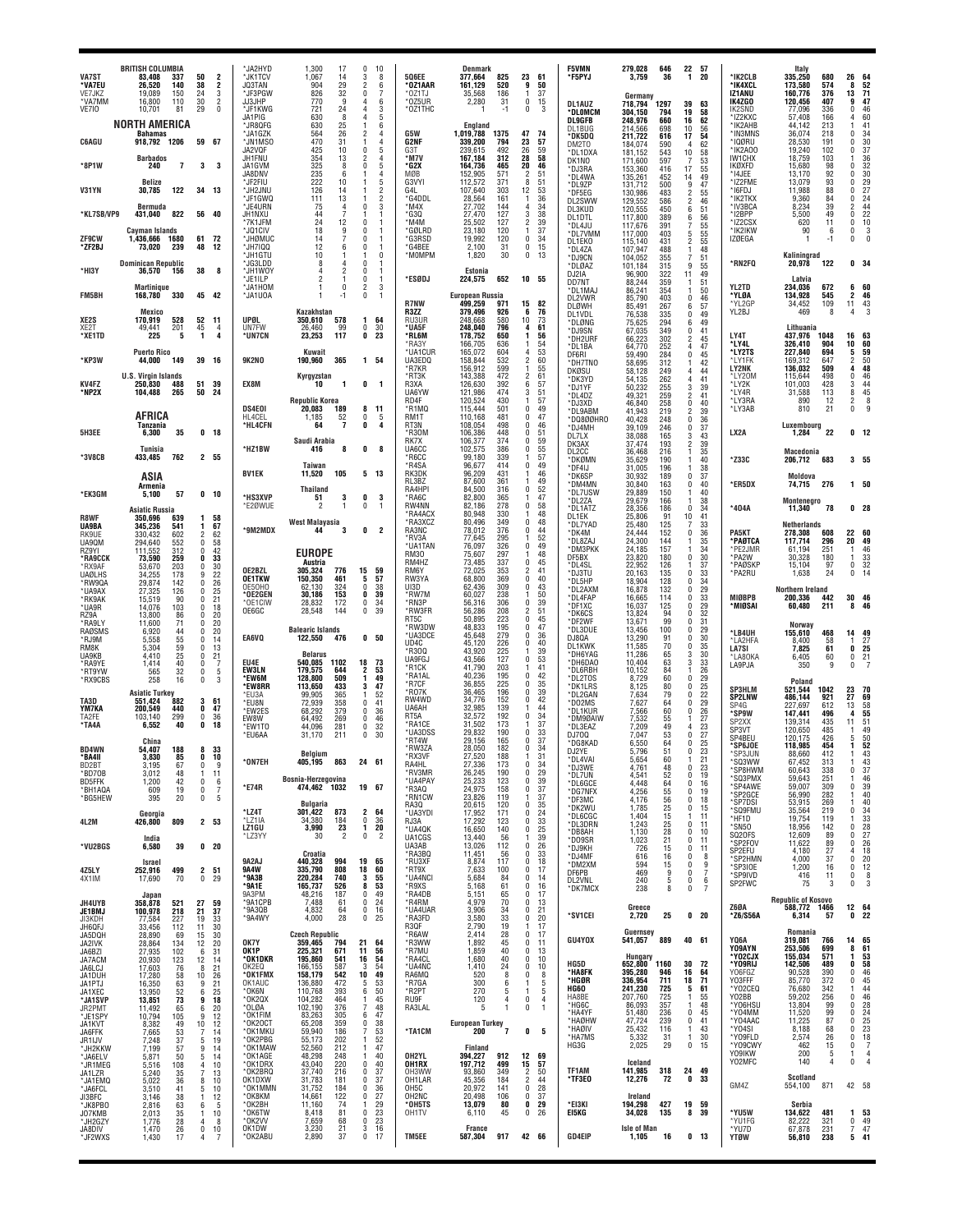| <b>VA7ST</b>                            | <b>BRITISH COLUMBIA</b><br>337<br>83,408                       | 50                                                                  | *JA2HYD<br>$\overline{\mathbf{c}}$<br>*JK1TCV           | 1,300<br>17<br>1,067<br>14                          | 0<br>10<br>3<br>8                              | <b>506EE</b>                          | <b>Denmark</b><br>825<br>377,664                      | 23                                       | 61                    | <b>F5VMN</b><br>'F5PYJ                 | 279,028<br>3.759                 | 646<br>36                                  | 1                                             | 22 57<br>20              | *IK2CLB                             | Italy<br>335,250                                   | 680                       | 26<br>64                                                                         |
|-----------------------------------------|----------------------------------------------------------------|---------------------------------------------------------------------|---------------------------------------------------------|-----------------------------------------------------|------------------------------------------------|---------------------------------------|-------------------------------------------------------|------------------------------------------|-----------------------|----------------------------------------|----------------------------------|--------------------------------------------|-----------------------------------------------|--------------------------|-------------------------------------|----------------------------------------------------|---------------------------|----------------------------------------------------------------------------------|
| *VA7EU<br>VE7JKZ<br>*VA7MM              | 26,520<br>140<br>150<br>19.089<br>110<br>16,800                | 38<br>24<br>30                                                      | 2<br>JQ3TAN<br>3<br>*JF3PGW<br>$\overline{2}$<br>JJ3JHP | 29<br>904<br>32<br>826<br>9<br>770                  | 6<br>2<br>$\theta$<br>7<br>6<br>4              | *OZ1AAR<br>*OZ1TJ<br>*0Z5UR           | 161,129<br>520<br>186<br>35,568<br>31<br>2,280        | 9<br>-1<br>0                             | 50<br>37<br>15        | DL1AUZ                                 | Germany<br>718,794               | 1297                                       | 39                                            | 63                       | *IK4XCL<br>IZ1ANU<br>IK4ZGO         | 173,580<br>160,776<br>120,456                      | 574<br>376<br>407         | $\frac{52}{71}$<br>8<br>13<br>47<br>9                                            |
| VE7IO                                   | 10,701<br>81<br><b>NORTH AMERICA</b>                           | 29                                                                  | $\mathbf 0$<br>*JF1KWG<br>JA1PIG<br>*JR8QFG             | 24<br>721<br>630<br>8<br>630<br>25                  | 3<br>4<br>5<br>6                               | *OZ1THC                               | -1<br>England                                         | 0                                        | 3                     | *DLOMCM<br>DL9GFB<br>DL1BUG            | 304,150<br>248,976<br>214.566    | 794<br>660<br>698                          | 19<br>16<br>10                                | $\frac{58}{62}$<br>56    | IK2SND<br>*IZ2KXC<br>*IK2AHB        | 77,096<br>57,408<br>44,142                         | 336<br>166<br>213         | 46<br>$\mathbf 0$<br>4                                                           |
| <b>C6AGU</b>                            | <b>Bahamas</b><br>918,792 1206                                 | 59 67                                                               | *JA1GZK<br><b>'JN1MSO</b><br>JA2VQF                     | 564<br>26<br>470<br>31<br>425<br>10                 | 2<br>4<br>$\overline{4}$<br>5<br>0             | G5W<br>G2NF<br>G3T                    | 1,019,788<br>1375<br>339,200<br>794<br>239,615<br>492 | 47<br>23<br>26                           | 74<br>57<br>59        | *DK5DQ<br>DM2TO<br>*DL1DXA             | 211,722<br>184.074<br>181,152    | 616<br>590<br>543                          | 17<br>4<br>10                                 | 54<br>62<br>58           | *IN3MNS<br>*IQØRU<br>*IK2AO0        | 36,074<br>28,530<br>19,240                         | 218<br>191<br>102         | 60<br>41<br>34<br>36<br>37<br>$\Omega$<br>$\mathbf{0}$<br>0                      |
| *8P1W                                   | <b>Barbados</b><br>240<br>7                                    | 3                                                                   | JH1FNU<br>3<br>JA1GVM<br>JA8DNV                         | 354<br>13<br>325<br>8<br>235<br>6                   | 4<br>2<br>$\Omega$<br>5<br>$\overline{4}$      | *M7V<br>*G2X<br>MØB                   | 167.184<br>312<br>164,736<br>465<br>152,905<br>571    | 28<br>20<br>2                            | 58<br>46<br>51        | DK1NO<br>*DJ3RA<br>*DL4WA              | 171,600<br>153,360<br>135,261    | 597<br>416<br>452                          | 7<br>17<br>14                                 | 53<br>55<br>49           | IW1CHX<br>IKØXFD<br>*I4JEE          | 18,759<br>15,680<br>13,170                         | 103<br>98<br>92           | 36<br>32<br>30<br>29<br>27<br>24<br>$\mathbf{0}$<br>$\mathbf{0}$                 |
| V31YN                                   | Belize<br>30,785<br>122                                        | 34<br>13                                                            | *JF2FIU<br>*JH2JNU<br>*JF1GWQ                           | 222<br>10<br>126<br>14<br>13<br>111                 | 5<br>$\overline{2}$<br>$\overline{\mathbf{c}}$ | G3VYI<br>G4L<br>*G4DDL                | 112,572<br>371<br>107,640<br>303<br>161<br>28,564     | 8<br>12                                  | 51<br>53<br>36        | *DL9ZP<br>*DF5EG<br>DL2SWW             | 131,712<br>130,986<br>129,552    | 500<br>483<br>586                          | 9<br>$\mathfrak{p}$<br>$\overline{2}$         | 47<br>55<br>46           | *IZ2FME<br>* 16FDJ<br>*IK2TKX       | 13,079<br>11,988<br>9,360                          | 93<br>88<br>84            | 0<br>$\mathbf{0}$<br>$\mathbf{0}$                                                |
| *KL7SB/VP9                              | Bermuda<br>822<br>431,040                                      | 40<br>56                                                            | *JE4URN<br>JH1NXU<br>*7K1JFM                            | 75<br>4<br>44<br>24<br>12                           | 3<br>$\Omega$<br>$\Omega$                      | *M4X<br>*G3Q<br>*M4M                  | 27,702<br>144<br>127<br>27,470<br>25,502<br>127       | 4<br>3<br>2                              | 34<br>38<br>39        | DL3KUD<br>DL1DTL                       | 120,555<br>117,800<br>117,676    | 450<br>389<br>391                          | 6<br>6<br>$\overline{7}$                      | 51<br>56                 | *IV3BCA<br>*I2BPP<br>*IZ2CSX        | 8,234<br>5,500<br>620                              | 39<br>49<br>11            | 44<br>2<br>22<br>0<br>10<br>0                                                    |
| <b>ZF9CW</b><br>*ZF2BJ                  | Cayman Islands<br>1,436,666<br>1680<br>239<br>73.020           | 61<br>72<br>48<br>12                                                | *JQ1CIV<br>*JHØMUC<br>*JH7IQQ                           | 18<br>9<br>14<br>12<br>6                            | 0<br>-1<br>$\Omega$<br>0                       | *GØLRD<br>*G3RSD<br>*G4BFF            | 23,180<br>120<br>19,992<br>120<br>2,100<br>31         | 1<br>$\Omega$<br>0                       | 37<br>34<br>15        | *DL4JU<br>*DL7VMM<br>DL1EK0            | 117,000<br>115,140               | 403<br>431<br>488                          | 5<br>$\overline{2}$                           | 55<br>55<br>55<br>48     | *IK2IKW<br><b>IZØEGA</b>            | 90<br>1                                            | 6<br>-1                   | 0<br>3<br>$\Omega$                                                               |
| *HI3Y                                   | <b>Dominican Republic</b><br>36,570<br>156                     | 38                                                                  | *JH1GTU<br>*JG3LDD<br>8<br>*JH1WOY                      | 10<br>8<br>4<br>2                                   | 0<br>$\Omega$<br>1<br>0<br>1                   | *MOMPM                                | 1,820<br>30<br>Estonia                                | 0                                        | 13                    | *DL4ZA<br>*DJ9CN<br>*DLØAZ             | 107,947<br>104,052<br>101,184    | 355<br>315                                 | 1<br>$\overline{7}$<br>9                      | 51<br>55                 | *RN2FQ                              | Kaliningrad<br>20,978                              | 122                       | 0 <sub>34</sub>                                                                  |
| FM5BH                                   | <b>Martinique</b><br>168,780<br>330                            | 45<br>42                                                            | *JE1ILP<br>*JA1HOM<br>*JA1U0A                           | 2<br>0<br>-1                                        | $\Omega$<br>-1<br>2<br>3<br>0<br>$\mathbf{1}$  | *ESØDJ                                | 224,575<br>652<br><b>European Russia</b>              |                                          | 10 55                 | DJ2IA<br>DD7NT<br>*DL1MAJ              | 96,900<br>88,244<br>86,241       | 322<br>359<br>354                          | 11<br>-1<br>$\mathbf{1}$                      | 49<br>51<br>50           | YL2TD<br>*YLØA                      | Latvia<br>234,036<br>134,928                       | 672<br>545                | 60<br>6<br>$\overline{\mathbf{2}}$<br>46                                         |
| XE2S                                    | Mexico<br>528<br>170,919                                       | 52<br>11                                                            | UPØL                                                    | Kazakhstan<br>350,610<br>578                        | 1<br>64                                        | <b>R7NW</b><br>R3ZZ<br>RU3UR          | 499,259<br>97<br>379,496<br>926<br>248,668<br>580     | 15<br>6<br>10                            | 82<br>76<br>73        | DL2VWR<br>DLØWH<br>DL1VDL              | 85,790<br>85,491<br>76,538       | 403<br>267<br>335                          | 0<br>6<br>$\theta$                            | 46<br>57<br>49           | *YL2GP<br>YL2BJ                     | 34,452<br>469                                      | 109<br>8                  | 43<br>11                                                                         |
| XE2T<br>*XE1TD                          | 49,441<br>201<br>225<br>5                                      | 45<br>$\mathbf{1}$                                                  | UN7FW<br>4<br>$\Delta$<br>*UN7CN                        | 99<br>26,460<br>117<br>23,253                       | 0<br>30<br>0<br>23                             | *UA5F<br>*RL6M<br>*RA3Y               | 796<br>248,040<br>178,752<br>650<br>166,705<br>636    | 4<br>1<br>1                              | 61<br>56<br>54        | *DLØNG<br>*DJ9SN<br>*DH2URF            | 75,625<br>67.035<br>66,223       | 294<br>349<br>302                          | 6<br>$\theta$<br>$\overline{2}$               | 49<br>41<br>45           | LY4T<br>*LY4L                       | Lithuania<br>437,976<br>326,410                    | 1048<br>904               | 16<br>63<br>10<br>60                                                             |
| *KP3W                                   | <b>Puerto Rico</b><br>44,000<br>149                            | 39<br>16                                                            | <b>9K2NO</b>                                            | Kuwait<br>190,960<br>365                            | 54<br>1                                        | *UA1CUR<br>UA3EDQ<br>*R7KR            | 165,072<br>604<br>532<br>158,844<br>156,912<br>599    | 4                                        | 53<br>60<br>55        | *DL1BA<br>DF6RI<br>*DH7TNO             | 64.770<br>59,490<br>58,695       | 252<br>284<br>312                          | $\overline{4}$<br>0<br>$\mathbf{1}$           | 47<br>$\frac{45}{42}$    | *LY2TS<br>*LY1FK<br><b>LY2NK</b>    | 227,840<br>169,312<br>136,032                      | 694<br>647<br>509         | 59<br>5<br>$\frac{50}{48}$<br>$\overline{c}$<br>4                                |
| <b>KV4FZ</b><br>*NP2X                   | <b>U.S. Virgin Islands</b><br>250.830<br>488<br>104,488<br>265 | 51<br>39<br>50<br>24                                                | EX8M                                                    | Kyrgyzstan<br>10<br>-1                              | 0<br>-1                                        | *RT3K<br>R3XA<br>UA6YW                | 143,388<br>472<br>126,630<br>392<br>121,986<br>474    | 2<br>6<br>3                              | 61<br>57<br>51        | DKØSU<br>*DK3YD<br>*DJ1YF              | 58,128<br>54,135<br>50,232       | 249<br>262<br>255                          | 4<br>4<br>3                                   | 44<br>41<br>39           | *LY20M<br>*LY2K<br>*LY4R            | 115,644<br>101,003<br>31,588                       | 498<br>428<br>113         | $\mathbf{0}$<br>46<br>44<br>3<br>45<br>8                                         |
|                                         | AFRICA                                                         |                                                                     | DS4E01<br>HL4CEL                                        | Republic Korea<br>20,083<br>189<br>1.185            | 8<br>11                                        | RD4F<br>*R1MQ<br>RM1T                 | 120,524<br>430<br>115,444<br>501<br>481               | 1<br>0<br>$\mathbf{0}$                   | 57<br>49              | *DL4DZ<br>*DJ3XD<br>*DL9ABM            | 49.321<br>46,840<br>41,943       | 259<br>258<br>219                          | $\overline{2}$<br>$\pmb{0}$<br>$\overline{2}$ | 41<br>40<br>39           | *LY3RA<br>*LY3AB                    | 890<br>810                                         | 12<br>21                  | $\overline{2}$<br>0                                                              |
| 5H3EE                                   | Tanzania<br>35<br>6,300                                        | 0 <sub>18</sub>                                                     | *HL4CFN                                                 | $\frac{52}{7}$<br>64                                | 0<br>5<br>0<br>4                               | RT3N<br>*R30M                         | 110,168<br>108,054<br>498<br>448<br>106,386           | $\mathbf{0}$<br>$\mathbf{0}$             | 47<br>46<br>51        | *DQ800HRO<br>*DJ4MH<br>DL7LX           | 40,428<br>39,109<br>38,088       | 248<br>246<br>165                          | 0<br>0<br>3                                   | 36<br>37<br>43           | LX2A                                | Luxembourg<br>1,284                                | 22                        | 0 <sub>12</sub>                                                                  |
| *3V8CB                                  | Tunisia<br>433,485<br>762                                      | 2 55                                                                | *HZ1BW                                                  | Saudi Arabia<br>8<br>416                            | 0<br>8                                         | RK7X<br>UA6CC<br>*R6CC                | 374<br>106,377<br>386<br>102,575<br>339<br>99,180     | $\mathbf{0}$<br>$\mathbf{0}$             | 59<br>55<br>57        | DK3AX<br>DL2CC<br>*DKØMN               | 37,474<br>36,468<br>35,629       | 193<br>216<br>190                          | $\overline{2}$<br>$\mathbf{1}$<br>1           | 39<br>35<br>40           | *Z33C                               | Macedonia<br>206,712                               | 683                       | 3 <sub>55</sub>                                                                  |
|                                         | <b>ASIA</b><br>Armenia                                         |                                                                     | <b>BV1EK</b>                                            | Taiwan<br>105<br>11,520                             | $5 \t13$                                       | *R4SA<br>RK3DK<br>RL3BZ               | 96,677<br>414<br>96,209<br>431<br>87,600<br>361       | $\mathbf{0}$<br>1                        | 49<br>46<br>49        | *DF4IJ<br>*DK6SP<br>*DM4MN             | 31.005<br>30,932<br>30,840       | 196<br>189<br>163                          | 1<br>0<br>0                                   | 38<br>37<br>40           | *ER5DX                              | Moldova<br>74,715                                  | 276                       | $1 50$                                                                           |
| *EK3GM                                  | 57<br>5,100<br><b>Asiatic Russia</b>                           | 0 <sub>10</sub>                                                     | *HS3XVP<br>E2ØWUE                                       | Thailand<br>51<br>3<br>$\mathfrak{p}$<br>1          | 0<br>3<br>0<br>1                               | RA4HPI<br>*RA6C<br>RW4NN              | 84,500<br>316<br>82,800<br>365<br>82.186<br>278       | $\mathbf{0}$<br>0                        | 52<br>47<br>58        | *DL7USW<br>*DL2ZA<br>*DL1ATZ           | 29,889<br>29,679<br>28,356       | 150<br>166<br>186                          | -1<br>1<br>$\mathbf 0$                        | 40<br>38<br>34           | *404A                               | Montenegro<br>11,340                               | 78                        | 0 <sub>28</sub>                                                                  |
| R8WF<br>UA9BA<br>RK9UE                  | 350,696<br>639<br>345,236<br>541<br>330,432<br>602             | 58<br>1<br>67<br>1<br>62<br>$\overline{2}$                          | *9M2MDX                                                 | <b>West Malayasia</b><br>44<br>3                    | 0<br>2                                         | *RA4ACX<br>*RA3XCZ<br>RA3NC           | 80,948<br>330<br>80,496<br>349<br>78,012<br>376       | 0<br>$\mathbf{0}$                        | 48<br>48<br>44        | DL1EK<br>*DL7YAD<br>*DK4M              | 25,806<br>25,480<br>24,444       | 91<br>125<br>152                           | 10<br>7<br>0                                  | 41<br>33<br>36           | PA5KT                               | Netherlands<br>278,308                             | 608                       | 60<br>22                                                                         |
| UA90M<br>RZ9YI<br>*RA9CCK               | 294,640<br>552<br>312<br>111,552<br>73,590<br>259              | 58<br>0<br>42<br>$\Omega$<br>33<br>0                                |                                                         | <b>EUROPE</b>                                       |                                                | *RV3A<br>*UA1TAN<br><b>RM30</b>       | 77,645<br>295<br>76,097<br>326<br>75,607<br>297       | 1.<br>$\Omega$                           | 52<br>49<br>48        | *DL8ZAJ<br>*DM3PKK<br>DF5BX            | 24,300<br>24,185<br>23,820       | 144<br>157<br>180                          | -1<br>-1<br>$\mathbf 0$                       | 35<br>34<br>30           | *PAØTCA<br>*PE2JMR<br>*PA2W         | 117,714<br>61,194<br>30,328                        | 296<br>251<br>180         | 49<br>20<br>46<br>-1                                                             |
| *RX9AF<br><b>UAØLHS</b>                 | 203<br>53,670<br>178<br>34,255<br>142                          | 30<br>$\Omega$<br>22<br>9<br>26<br>$\mathsf{r}$                     | OE2BZL<br><b>OE1TKW</b>                                 | Austria<br>305,324<br>776<br>461<br>150.350         | 15<br>59<br>5<br>57                            | RM4HZ<br>RM6Y<br>RW3YA                | 73,485<br>337<br>72,025<br>353<br>369<br>68,800       | $\mathbf{0}$<br>2<br>0                   | 45<br>41<br>40        | *DL4SL<br>*DJ3TU<br>*DL5HP             | 22,952<br>20,163<br>18,904       | 126<br>135<br>128                          | 1<br>$\theta$<br>0                            | 37<br>33<br>34           | *PAØSKF<br>*PA2RU                   | 15,104<br>1,638                                    | 97<br>24                  | $\frac{33}{32}$<br>0<br>$\mathbf 0$<br>14                                        |
| *RW9QA<br>*UA9AX<br>*RK9AK              | 29,874<br>27,325<br>126<br>15,519<br>90                        | 25<br>0<br>21<br>$\Omega$<br>18                                     | OE50HO<br>°0E2GEN<br>*OE1CIW                            | 324<br>62,130<br>30,186<br>153<br>28,832<br>172     | 0<br>38<br>0<br>39<br>0<br>34                  | UI3D<br>*RW7M<br>*RN3P                | 62,436<br>309<br>238<br>60,027<br>56,316<br>306       | $\mathbf{0}$<br>1<br>$\Omega$            | 43<br>50<br>39        | *DL2AXM<br>*DL4FAP<br>*DF1XC           | 16,878<br>16,665<br>16,037       | 132<br>114<br>125                          | $\mathbf 0$<br>0<br>0                         | 29<br>33<br>29           | MIØBPB<br>'MIØSAI                   | Northern Ireland<br>200,336<br>60,480              | 442<br>211                | 30<br>46<br>8<br>46                                                              |
| *UA9R<br>RZ9A<br>*RA9LY                 | 103<br>14,076<br>13,800<br>86<br>11,600<br>71                  | 0<br>20<br>$\Omega$<br>20<br>0<br>$\mathbf{0}$                      | OE6GC                                                   | 28,548<br>144<br><b>Balearic Islands</b>            | 0<br>39                                        | *RW3FR<br>RT5C<br>*RW3DW              | 56,286<br>208<br>50,895<br>223<br>48,833<br>195       | 2<br>$\mathbf{0}$<br>$\mathbf{0}$        | 51<br>45<br>47        | *DK6CS<br>*DF2WF<br>*DL3DUE            | 13,824<br>13,671<br>13,456       | 94<br>99<br>100                            | 0<br>0<br>0                                   | 32<br>31<br>29           |                                     | <b>Norway</b>                                      |                           |                                                                                  |
| RAØSMS<br>*RJ9M<br>RM8K                 | 6,920<br>44<br>55<br>5,558<br>59<br>5,304                      | 20<br>14<br>0<br>13<br>$\Omega$                                     | EA6VQ                                                   | 122,550<br>476<br><b>Belarus</b>                    | 50<br>0                                        | *UA3DCE<br>UD4C<br>*R300              | 279<br>45,648<br>45,120<br>226<br>43,920<br>225       | 0<br>0<br>1                              | 36<br>40<br>39        | DJ8QA<br>DL1KWK<br>*DH6YAG             | 13,290<br>11,585<br>11,286       | 91<br>70<br>65                             | 0<br>0<br>3                                   | 30<br>35<br>30           | *LB4UH<br>*LA2HFA<br><b>LA7SI</b>   | 155,610<br>8.400<br>7,825                          | 468<br>58<br>61           | 14<br>-49<br>$\frac{27}{25}$<br>0                                                |
| UA9KB<br>*RA9YE<br>*RT9YW               | 25<br>4,410<br>40<br>1,414<br>32<br>565                        | 21<br>0<br>0<br>0                                                   | EU4E<br>7<br>EW3LN<br>5<br>*EW6M                        | 540,085<br>1102<br>179,575<br>644<br>128.800<br>509 | 18<br>73<br>2<br>53<br>49<br>1                 | UA9FG.<br>*R1CK<br>*RA1AL             | 43,566<br>127<br>41,790<br>203<br>40,236<br>195       | 0<br>$\Omega$                            | 53<br>41<br>42        | *DH6DA0<br>*DL6RBH<br>*DL2TOS          | 10,404<br>10,152<br>8,729        | 63<br>84<br>60                             | 3<br>$\theta$                                 | 33<br>26<br>29           | 'LA80KA<br>LA9PJA                   | 6,405<br>350                                       | 60<br>9                   | 0<br>$\pmb{0}$                                                                   |
| *RX9CBS<br>TA3D                         | 258<br>16<br><b>Asiatic Turkey</b><br>551,424<br>882           | 0<br>3<br>61                                                        | 3<br>*EW8RR<br>*FU3A<br>*EU8N                           | 113,650<br>433<br>99,905<br>365<br>72,939<br>358    | 3<br>47<br>52<br>41<br>0                       | *R7CF<br>*R07K<br>RW4WD               | 36,855<br>225<br>36,465<br>196<br>152<br>34,776       | 0<br>$\mathbf{0}$<br>$\mathbf{0}$        | 35<br>39<br>42        | *DK1LRS<br>*DL2GAN<br>*D02MS           | 8,125<br>7,634<br>7,627          | 80<br>79<br>64                             | 0<br>$\theta$<br>0                            | 25<br>22<br>29           | <b>SP3HLM</b><br><b>SP2LNW</b>      | Poland<br>521,544<br>486,144                       | 1042<br>921               | 23<br>27<br>70<br>69                                                             |
| YM7KA<br>TA2FE<br>*TA4A                 | 200,549<br>440<br>103,140<br>299<br>6.552<br>40                | 47<br>0<br>0<br>36<br>0<br>18                                       | *EW2ES<br>EW8W<br>*EW1TO                                | 68.292<br>379<br>64,492<br>269<br>44,096<br>281     | 0<br>36<br>0<br>46<br>0<br>32                  | UA6AH<br>RT5A<br>*RA1CE               | 32,985<br>139<br>192<br>32,572<br>31,502<br>173       | $\mathbf{0}$                             | 44<br>34<br>37        | *DL1KUR<br>*DM9ØAIW<br>*DL3EAZ         | 7,566<br>7,532<br>7,209          | 60<br>55<br>49                             | $\mathbf 0$<br>1<br>4                         | 26<br>$^{27}_{23}$       | SP4G<br>*SP9W<br>SP <sub>2</sub> XX | 227,697<br>147,441<br>139,314                      | 612<br>496<br>435         | $\frac{58}{55}$<br>13<br>4<br>11<br>51                                           |
| BD4WN                                   | China<br>54,407<br>188                                         | 8<br>33                                                             | *EU6AA                                                  | 211<br>31,170                                       | $\mathbf 0$<br>30                              | *UA3DSS<br>*RT4W<br>*RW3ZA            | 29,832<br>190<br>29,156<br>165<br>28,050<br>182       | $\Omega$<br>0<br>$\mathbf{0}$            | $\frac{33}{37}$<br>34 | DJ700<br>*DG8KAD                       | 7,047<br>6,550<br>5.796          | 53<br>64<br>51                             | $\theta$<br>0<br>$\Omega$                     | 27<br>25<br>23           | SP3VT<br>SP4BEU<br><b>SP6JOE</b>    | 120,650<br>120,175<br>118,985                      | 485<br>426<br>454         | 49<br>50<br>5<br>52<br>1                                                         |
| `BA4II<br>BD2BT<br>*BD70B               | 3.83U<br>85<br>3,195<br>67<br>3,012<br>48                      | u<br>10<br>0<br>11<br>$\mathbf{1}$                                  | *ON7EH<br>9                                             | Belgium<br>405,195<br>863                           | 24 61                                          | 'RX3VI<br>RA4HL<br>*RV3MR             | 188<br>27.520<br>27,336<br>173<br>26,245<br>190       | $\mathbf 0$<br>0                         | 31<br>34<br>29        | DJ2YE<br>*DL4VAI<br>*DJ3WE             | 5,654<br>4,761                   | 60<br>48                                   | $\bf{0}$                                      | 21<br>23                 | *SP3JUN<br>'SQ3WW<br>*SP8HWM        | 88.660<br>67,452<br>60,643                         | 412<br>313<br>338         | 43<br>43<br>$\frac{37}{46}$<br>0                                                 |
| BD5FFK<br>*BH1AQA<br>*BG5HEW            | 42<br>1,200<br>19<br>609<br>20<br>395                          | $\Omega$<br>0<br>0                                                  | 6<br>*E74R<br>7<br>-5                                   | Bosnia-Herzegovina<br>474.462 1032                  | 19 67                                          | *UA4PAY<br>*R3AQ<br>*RN1CW            | 25,233<br>123<br>24,975<br>158<br>23,826<br>119       | $\mathbf 0$<br>0                         | 39<br>$\frac{37}{37}$ | *DL7UN<br>*DL6GCE<br>*DG7NFX<br>*DF3MC | 4,541<br>4,448<br>4,256<br>4.176 | 52<br>64<br>55<br>56                       | 0<br>0<br>0<br>$\mathbf 0$                    | 19<br>16<br>19<br>18     | *SQ3PMX<br>'SP4AWE<br>'SP2GCE       | 59,643<br>59,007<br>56,990                         | 251<br>309<br>282         | 39<br>$\mathbf 0$<br>40                                                          |
| 4L2M                                    | Georgia<br>426,800<br>809                                      | 2 53                                                                | *LZ4T<br>*LZ1IA                                         | <b>Bulgaria</b><br>873<br>301,422<br>34,380<br>184  | $\mathbf{2}$<br>64<br>0<br>36                  | RA30<br>*UA3YDI<br>RJ3A               | 20,615<br>120<br>17,952<br>171<br>17,292<br>123       | 0<br>$\mathbf{0}$<br>$\mathbf{0}$        | 35<br>24<br>33        | *DK2WU<br>*DL6CGC                      | 1,785<br>1.404                   | 25<br>15                                   | 0<br>1                                        | 15<br>11                 | *SP7DSI<br>*SQ9FMU<br>*HF1D         | 53,915<br>35,564<br>19,754                         | 269<br>219<br>119         | 40<br>$\mathbf{0}$                                                               |
| *VU2BGS                                 | India<br>6,580<br>39                                           | 0 <sub>20</sub>                                                     | LZ1GU<br>*LZ3YY                                         | 23<br>3,990<br>$\overline{2}$<br>30                 | 1<br>20<br>0<br>$\overline{\mathbf{2}}$        | *UA4QK<br>UA1CGS<br>UA3AB             | 16,650<br>140<br>13,440<br>56<br>13,026<br>112        | $\mathbf{0}$<br>1<br>$\mathbf{0}$        | 25<br>39<br>26        | *DL3DRN<br>*DB8AH<br>*DO9SR<br>*DJ9KH  | 1,243<br>1,130<br>1,023<br>726   | 25<br>28<br>21<br>15                       | 0<br>$\mathbf 0$<br>0<br>0                    | 11<br>10<br>11<br>11     | *SN50<br>SQ20FS<br>*SP2FOV          | 18,956<br>12,609<br>11,622                         | 142<br>89<br>89           | 34<br>33<br>28<br>27<br>27<br>26<br>$\mathbf{0}$<br>$\mathbf{0}$<br>$\mathbf{0}$ |
| 4Z5LY                                   | <b>Israel</b><br>252,916<br>499                                | $\mathbf{2}$<br>51                                                  | 9A2AJ<br><b>9A4W</b>                                    | Croatia<br>440,328<br>994<br>335.790<br>808         | 19<br>65<br>18<br>60                           | *RA3BQ<br>*RU3XF<br>*RT9X             | 11,451<br>56<br>8,874<br>117<br>100<br>7,633          | n.<br>0<br>$\mathbf 0$                   | 33<br>18<br>17        | *DJ4MF<br>*DM2XM                       | 616<br>594<br>469                | 16<br>15<br>9                              | $\bf{0}$<br>0<br>0                            | 8<br>9<br>$\overline{7}$ | SP2EFU<br>*SP2HMN<br>*SP3IOE        | 4.180<br>4,000<br>1,200                            | 27<br>37<br>16            | $\frac{18}{20}$<br>4<br>$\mathbf{0}$<br>$\mathbf 0$<br>12                        |
| 4X1IM                                   | 70<br>17,690<br>Japan                                          | 0<br>29                                                             | °9A3B<br>*9A1E<br>9A3PM                                 | 740<br>220,284<br>165,737<br>526<br>48,216<br>187   | 3<br>55<br>53<br>8<br>0<br>49                  | *UA4NCI<br>*R9XS<br>*RA4DB            | 5,684<br>84<br>5,168<br>61<br>5,151<br>65             | 0<br>$\mathbf 0$<br>0                    | 14<br>16<br>17        | DF6PB<br>DL2VNL<br>*DK7MCX             | 240<br>238                       | $\begin{smallmatrix}5\\8\end{smallmatrix}$ | 0<br>$\pmb{0}$                                | 6<br>$\overline{7}$      | *SP9IVD<br>SP2FWC                   | 416<br>75                                          | 11<br>3                   | 0<br>8<br>0<br>3                                                                 |
| JH4UYB<br><b>JE1BMJ</b><br>JI3KDH       | 358,878<br>521<br>100,978<br>218<br>227<br>77,584              | 27<br>59<br>21<br>37<br>19<br>33                                    | *9A1CPB<br>*9A3QB<br>*9A4WY                             | 7.488<br>61<br>4,832<br>64<br>28<br>4,000           | 0<br>24<br>0<br>16<br>0<br>25                  | *R4RM<br>*UA4UAR<br>*RA3FD            | 70<br>4.979<br>3,906<br>34<br>3,580<br>33             | $\mathbf 0$<br>0<br>$\mathbf{0}$         | 13<br>21<br>20        | *SV1CEI                                | Greece<br>2,720                  | 25                                         |                                               | 0 <sub>20</sub>          | Z60A<br>*Z6/S56A                    | <b>Republic of Kosovo</b><br>588,772 1466<br>6,314 | 57                        | 12 64<br>0<br>22                                                                 |
| JH6QFJ<br>JA5DQH<br>JA2IVK              | 33,456<br>112<br>28,890<br>69<br>28,864<br>134                 | 11<br>30<br>30<br>15<br>12<br>20                                    | OK7Y                                                    | <b>Czech Republic</b><br>359,465<br>794             | 21<br>64                                       | R3QF<br>*R6AW<br>*R3WW                | 19<br>2,790<br>2,414<br>28<br>1,892<br>45             | 1<br>0<br>$\Omega$                       | 17<br>17<br>11        | GU4YOX                                 | Guernsey<br>541,057              | 889                                        |                                               | 40 61                    | YQ6A                                | Romania<br>319,081                                 | 766                       | 65<br>14                                                                         |
| JA6BZI<br>JA7ACM<br>JA6LCJ              | 102<br>27,935<br>20,930<br>123<br>17,603<br>76                 | 31<br>6<br>14<br>12<br>21<br>8                                      | OK1P<br>*OK1DKR<br>OK2EQ                                | 225,321<br>671<br>541<br>195,860<br>587<br>166,155  | 11<br>56<br>16<br>54<br>54<br>3                | *R7MU<br>*RA4CL<br>*UA4NC             | 40<br>1,859<br>40<br>1,680<br>24<br>1,410             | $\mathbf{0}$<br>$\mathbf{0}$<br>$\Omega$ | 13<br>10<br>10        | HG5D                                   | Hungary<br>652,800               | 1160                                       | 30                                            | -72                      | Y09AYN<br>*YO2CJX<br>*Y09RIJ        | 253,506<br>155,034<br>142,506                      | 699<br>571<br>489         | 8<br>61<br>$\frac{53}{58}$<br>0                                                  |
| JA1DUH<br>JA1PTJ<br>JA1XEC              | 58<br>17,280<br>16,350<br>63<br>52<br>13,950                   | 10<br>26<br>21<br>9<br>6<br>25                                      | *OK1FMX<br>OK1AUC<br>*OK6N                              | 158,179<br>542<br>136,880<br>472<br>110,768<br>393  | 10<br>49<br>53<br>5<br>6<br>50                 | RA6MQ<br>*R7GA<br>*R2PT               | 520<br>8<br>300<br>6<br>270<br>5                      | $\Omega$<br>1<br>$\mathbf{1}$            | 8<br>5<br>5           | *HA8FK<br>*HGØR<br><b>HG60</b>         | 395,280<br>336,954<br>241,230    | 946<br>711<br>725                          | 16<br>18<br>5                                 | 64<br>71<br>61           | Y06FGZ<br>Y03FFF<br>*Y02CEQ         | 90,528<br>85,770<br>76,680                         | 390<br>372<br>342         | 46<br>$\mathbf 0$<br>45<br>0<br>$\frac{44}{46}$                                  |
| *JA1SVP<br>JR2PMT<br>*JE1SPY            | 73<br>13,851<br>11,492<br>65<br>10,794<br>105                  | 18<br>9<br>20<br>6<br>12<br>9                                       | *OK2QX<br>*OLØA<br>*OK1FIM                              | 104,282<br>464<br>102,190<br>376<br>83,263<br>305   | 45<br>-1<br>$\overline{7}$<br>48<br>6<br>47    | RU9F<br>RA3LAL                        | 120<br>4<br>-5                                        | 0<br>$\mathbf{0}$                        | 4<br>1                | HA8BE<br>*HG6C<br>*HA4YF               | 207,760<br>86,093<br>51,480      | 725<br>357<br>236                          | 1<br>$\mathbf{1}$<br>0                        | 55<br>48<br>45           | Y02BB<br>*Y06HSU<br>*Y04MM          | 59,202<br>13,804<br>11,520                         | 256<br>99<br>99           | $\mathbf{0}$<br>$\mathbf 0$<br>0                                                 |
| JA1KVT<br>JA6FFK                        | 49<br>8,382<br>7,665<br>53<br>37                               | 10<br>12<br>$\overline{7}$<br>14                                    | *OK2OCT<br>*OK1MKU<br>*OK2PBG                           | 65,208<br>359<br>59,940<br>186<br>55,173<br>202     | 0<br>38<br>53<br>7<br>52                       | *TA1CM                                | <b>European Turkey</b><br>200<br>7                    | 0                                        | 5                     | *HAØHW<br>*HAØIV<br>*HA7MS             | 47,724<br>25,432<br>5,332        | 239<br>116<br>31                           | 0<br>$\mathbf{1}$<br>1                        | 41<br>43<br>30           | *Y04AAC<br>*Y04SI<br>*Y09FLD        | 11,225<br>8,188<br>2,574                           | 87<br>68<br>26            | 28<br>24<br>25<br>23<br>$\mathbf{0}$<br>$\mathbf 0$<br>18<br>0                   |
| JR1IJV<br>*JH2KKW<br>*JA6ELV<br>*JR1MEG | 7,248<br>7,199<br>57<br>50<br>5,871<br>5,516<br>108            | 19<br>5<br>9<br>14<br>5<br>14<br>10<br>4                            | *OK1MAW<br>*OK1AGE<br>*OK1DRX                           | 52,560<br>212<br>48,298<br>248<br>220<br>43,040     | 47<br>-1<br>40<br>1<br>40<br>0                 | OH2YL<br>OH1RX                        | Finland<br>394,227<br>912<br>197,712<br>499           | 12<br>15                                 | 69<br>57              | HG3G                                   | 2,025<br>Iceland                 | 29                                         | $\pmb{0}$                                     | 15                       | *Y09CWY<br>Y09IKW<br>Y02MFC         | 462<br>200<br>140                                  | 15<br>5<br>$\overline{4}$ | $\mathbf{0}$<br>7<br>$\overline{4}$<br>0                                         |
| JA1LZR<br>*JA1EMQ<br>*JA6FCL            | 35<br>5,240<br>5,022<br>36<br>3,510<br>41                      | 13<br>7<br>8<br>10<br>10<br>$\sqrt{2}$                              | *OK2BRQ<br>OK1DXW<br>*OK1MMN                            | 37,740<br>216<br>31,783<br>181<br>31,752<br>184     | 37<br>0<br>0<br>37<br>0<br>36                  | OH3WW<br>OH1LAR<br>OH5C               | 349<br>93,860<br>184<br>45,356<br>141<br>20,972       | $\overline{2}$<br>$\overline{2}$<br>0    | 50<br>44<br>28        | TF1AM<br>*TF3E0                        | 141,985<br>12,276                | 318<br>72                                  | 24<br>0                                       | 49<br>33                 | GM4Z                                | Scotland<br>554,100                                | 871                       | 42 58                                                                            |
| JI3BFC<br>*JK8PB0                       | 3,146<br>38<br>2,816<br>63                                     | 12<br>-1<br>6                                                       | *OK8KM<br>*OK2BH<br>-5<br>*OK6TW                        | 122<br>14,661<br>11,160<br>74<br>8,418<br>81        | 27<br>$\Omega$<br>29<br>0<br>23                | OH2NC<br>*OH5TS<br>OH <sub>1</sub> TV | 106<br>20,498<br>13,079<br>80<br>45<br>6,110          | $\Omega$<br>0<br>$\mathbf{0}$            | 37<br>29<br>26        | *EI3KI<br>EI5KG                        | Ireland<br>194,298<br>34,028     | 427<br>135                                 | 19<br>8                                       | 59<br>39                 | *YU5W                               | Serbia<br>134,622                                  | 481                       | 53<br>1.                                                                         |
| JO7KMB<br>*JH2GZY<br>JA8DIV<br>*JF2WXS  | 2,013<br>35<br>28<br>1,776<br>26<br>1,470<br>1,430<br>17       | 10<br>-1<br>$\overline{4}$<br>0<br>$\frac{10}{7}$<br>$\overline{4}$ | *OK2VV<br>8<br>OK1DW<br>*OK2ABU                         | 7,659<br>68<br>3,230<br>21<br>2,890<br>37           | 23<br>0<br>3<br>16<br>0<br>17                  | TM5EE                                 | France<br>587,304<br>917                              |                                          | 42 66                 | GD4EIP                                 | Isle of Man<br>1,105             | 16                                         |                                               | 0 <sub>13</sub>          | *YU1FG<br>*YU7D<br><b>YTØW</b>      | 82,222<br>67,878<br>56,810                         | 321<br>231<br>238         | 49<br>0<br>47<br>$\overline{7}$<br>5 41                                          |
|                                         |                                                                |                                                                     |                                                         |                                                     |                                                |                                       |                                                       |                                          |                       |                                        |                                  |                                            |                                               |                          |                                     |                                                    |                           |                                                                                  |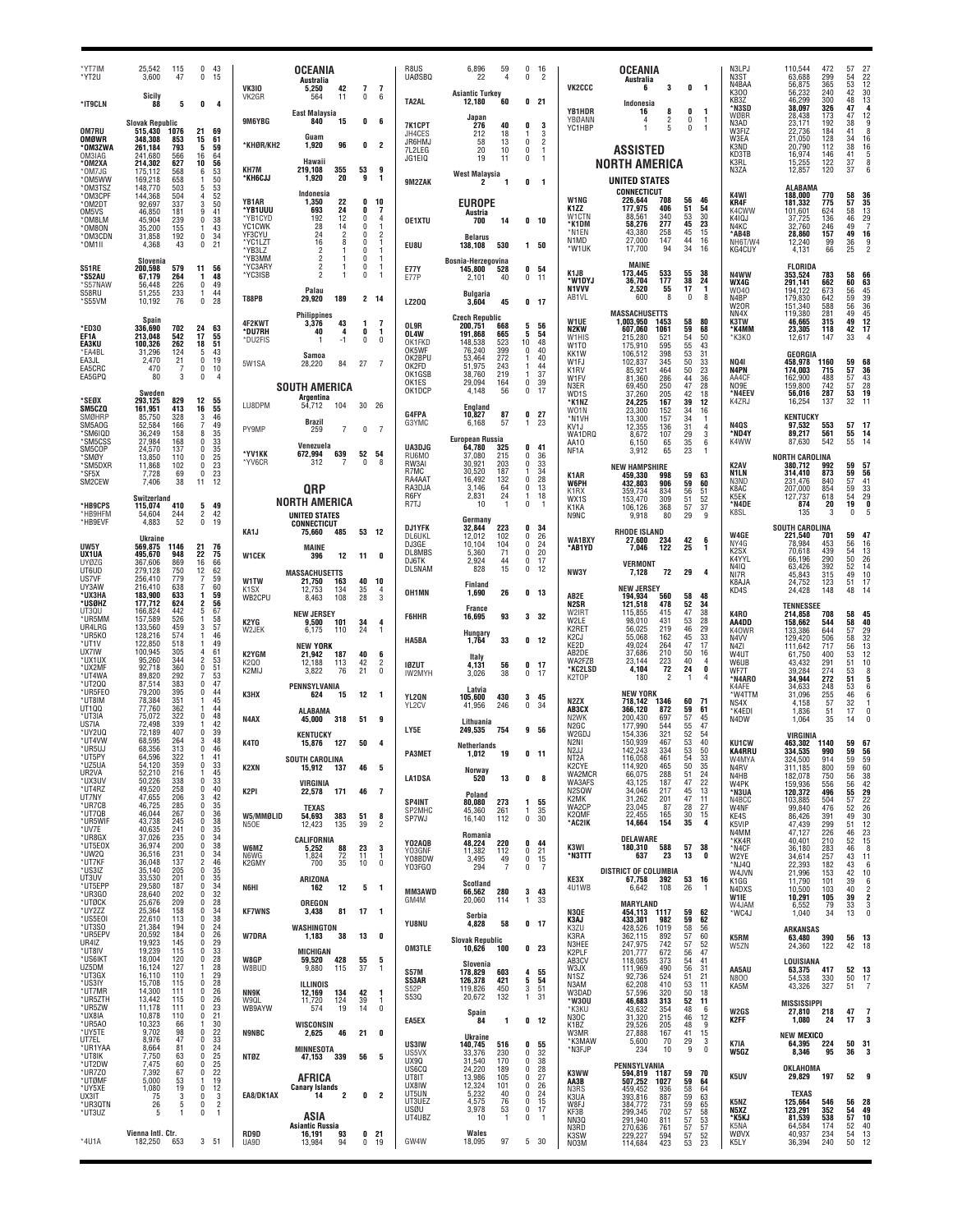| 'YT7IM<br>*YT2U                 | 25.542<br>3,600                   | 115<br>47          | $\Omega$<br>0                | 43<br>15                                      |                              | <b>OCEANIA</b><br>Australia                           |                                  |                            | R8US<br><b>UAØSBQ</b>         | 6,896<br>59<br>22<br>4                             | $\mathbf{0}$<br>0             | -16<br>$\overline{\phantom{a}}$                  |                                                 | <b>OCEANIA</b><br>Australia                               |                          |                                                  | N3LPJ<br>N3ST<br>N4BAA                 | 110.544<br>63,688<br>56,875                 | 472<br>299<br>365    | 27<br>22<br>12<br>13<br>30<br>13<br>57<br>$\frac{54}{53}$              |
|---------------------------------|-----------------------------------|--------------------|------------------------------|-----------------------------------------------|------------------------------|-------------------------------------------------------|----------------------------------|----------------------------|-------------------------------|----------------------------------------------------|-------------------------------|--------------------------------------------------|-------------------------------------------------|-----------------------------------------------------------|--------------------------|--------------------------------------------------|----------------------------------------|---------------------------------------------|----------------------|------------------------------------------------------------------------|
| *IT9CLN                         | Sicily<br>88                      | 5                  | 0                            | 4                                             | <b>VK310</b><br>VK2GR        | 42<br>5,250<br>11<br>564<br><b>East Malaysia</b>      | $\overline{7}$<br>0              | -7<br>6                    | TA2AL                         | <b>Asiantic Turkey</b><br>12,180<br>60             |                               | 0 <sub>21</sub>                                  | VK2CCC<br><b>YB1HDR</b>                         | 3<br>6<br>Indonesia<br>16<br>8                            | 0<br>0                   | $\mathbf{1}$<br>-1                               | K300<br>KB3Z<br>*N3SD                  | 56.232<br>46.299<br>38.097                  | 240<br>300<br>326    | 48<br>47                                                               |
| <b>OM7RU</b>                    | <b>Slovak Republic</b><br>515,430 | 1076               | 21                           | 69                                            | 9M6YBG                       | 840<br>15                                             | 0                                | 6                          | 7K1CPT<br>JH4CES              | Japan<br>276<br>40<br>212<br>18                    | 0                             | 3<br>3                                           | YBØANN<br>YC1HBP                                | $\overline{2}$<br>4<br>5                                  | $\mathbf{0}$<br>n        | -1                                               | WØBR<br>N3AD<br>W3FIZ                  | 28.438<br>23,171<br>22,736                  | 173<br>192<br>184    | $\begin{array}{c} 12 \\ 9 \end{array}$<br>47<br>38<br>41<br>8          |
| OMØWR<br>*OM3ZWA<br>OM3IAG      | 348,308<br>261,184<br>241.680     | 853<br>793<br>566  | 15<br>5<br>16                | 61<br>59<br>-64                               | *KHØR/KH2                    | Guam<br>1,920<br>96                                   | 0                                | 2                          | JR6HMJ<br>7L2LEG              | 13<br>58<br>10<br>20<br>19                         | 0<br>0                        | $\overline{2}$<br>$\overline{1}$                 |                                                 | ASSISTED                                                  |                          |                                                  | W3FA<br>K3ND<br>KD3TB                  | 21.050<br>20,790<br>16,974                  | 128<br>112<br>146    | 34<br>16<br>38<br>16<br>41<br>5                                        |
| *OM2XA<br>*OM7JG<br>*OM5WW      | 214,302<br>175,112<br>169,218     | 627<br>568<br>658  | 10<br>6<br>1                 | 56<br>53<br>50                                | KH7M<br>*КН6СЈЈ              | Hawaii<br>355<br>219,108<br>20<br>1,920               | 53<br>9                          | 9<br>1                     | JG1EI0<br>9M2ZAK              | 11<br>West Malaysia<br>2<br>-1                     | 0<br>0                        | -1<br>- 1                                        |                                                 | NORTH AMERICA<br>UNITED STATES                            |                          |                                                  | K3RL<br>N3ZA                           | 15,255<br>12,857                            | 122<br>120           | $\frac{37}{37}$<br>8                                                   |
| *OM3TSZ<br>*OM3CPF<br>OM2DT*    | 148,770<br>144,368<br>92.697      | 503<br>504<br>337  | 5<br>$\overline{4}$<br>3     | 53<br>52<br>50                                | YB1AR                        | Indonesia<br>22<br>1,350                              | 0                                | 10                         |                               | <b>EUROPE</b>                                      |                               |                                                  | W1NG<br>K1ZZ                                    | CONNECTICUT<br>226,644<br>708<br>177,975<br>406           | 56<br>51                 | 46<br>54                                         | K4WI<br>KR4F                           | <b>ALABAMA</b><br>188,000<br>181,332        | 770<br>775           | 58<br>36<br>35<br>57                                                   |
| OM5VS<br>OM8LM*<br>*OM8ON       | 46,850<br>45,904<br>35,200        | 181<br>239<br>155  | 9<br>0                       | 41<br>38<br>43                                | *YB1UUU<br>'YB1CYD<br>YC1CWK | 693<br>24<br>12<br>192<br>28<br>14                    | 0<br>$\Omega$<br>0               | 7<br>$\overline{4}$        | <b>OE1XTU</b>                 | Austria<br>700<br>14                               |                               | 0 <sub>10</sub>                                  | W1CTN<br>*K1DM                                  | 340<br>88.561<br>277<br>58,276                            | 53<br>45                 | 30<br>23                                         | K4CWW<br>K4IQJ<br>N4KC                 | 101,601<br>37,725<br>32,760                 | 624<br>136<br>246    | $\begin{array}{c} 13 \\ 29 \\ 7 \end{array}$<br>58<br>46<br>49         |
| <b>OM3CDN</b><br>*OM1II         | 31,858<br>4,368                   | 192<br>43          | 0<br>0                       | 34<br>21                                      | YF3CYU<br>*YC1LZT<br>*YB3LZ  | 24<br>2<br>16<br>8<br>$\overline{\phantom{a}}$        | $\Omega$<br>$\Omega$<br>$\Omega$ | $\overline{2}$<br>-1<br>-1 | EU8U                          | <b>Belarus</b><br>138,108<br>530                   |                               | 1 50                                             | *N1EN<br>N1MD<br>*W1UK                          | 258<br>43,380<br>27,000<br>147<br>94<br>17,700            | 45<br>44<br>34           | 15<br>16<br>16                                   | *AB4B<br>NH6T/W4<br>KG4CUY             | 28.860<br>12,240<br>4,131                   | 157<br>99<br>66      | 49<br>$\begin{array}{c}\n16 \\ 9 \\ 2\n\end{array}$<br>$\frac{36}{25}$ |
| <b>S51RE</b>                    | Slovenia<br>200,598               | 579                | 11                           | 56                                            | 'YB3MM<br>*YC3ARY            | $\overline{2}$<br>2<br>-1                             | 0<br>$\Omega$<br>$\Omega$        |                            | <b>E77Y</b>                   | Bosnia-Herzegovina<br>145,800<br>528               |                               | 0 <sub>54</sub>                                  | K1JB                                            | <b>MAINE</b><br>533<br>173,445                            | 55                       | 38                                               |                                        | <b>FLORIDA</b>                              |                      |                                                                        |
| 'S52AU<br>*S57NAW<br>S58RU      | 67,179<br>56,448<br>51,255        | 264<br>226<br>233  | 1<br>0<br>-1                 | 48<br>49<br>44                                | *YC3ISB                      | Palau                                                 |                                  |                            | E77P                          | 2,101<br>40<br><b>Bulgaria</b>                     | 0                             | 11                                               | *W1DYJ<br>N1VVV<br>AB <sub>1</sub> VI           | 36,704<br>177<br>2,520<br>55<br>600<br>8                  | 38<br>17<br>$\mathbf{0}$ | 24<br>$\mathbf{1}$<br>8                          | N4WW<br>WX4G<br>W040                   | 353,524<br>291,141<br>194.122               | 783<br>662<br>673    | 58<br>66<br>63<br>45<br>45<br>60<br>56                                 |
| *S55VM                          | 10,192<br>Spain                   | 76                 | $\Omega$                     | 28                                            | T88PB                        | 189<br>29,920<br><b>Philippines</b>                   |                                  | 2 14                       | <b>LZ200</b>                  | 3,604<br>45<br><b>Czech Republic</b>               |                               | 0 <sub>17</sub>                                  | W1UE                                            | <b>MASSACHUSETTS</b>                                      |                          |                                                  | N4BP<br>W2OR<br>NN <sub>4</sub> X      | 179,830<br>151,340<br>119,380               | 642<br>588<br>281    | 39<br>36<br>45<br>42<br>12<br>17<br>59<br>56<br>49                     |
| *ED30<br>EF1A                   | 336,690<br>213,048                | 702<br>542         | 24<br>17                     | 63<br>55<br>51                                | 4F2KWT<br>*DU7RH<br>*DU2FIS  | 43<br>3.376<br>40<br>4<br>$-1$                        | -1<br>0<br>$\mathbf 0$           | -7<br>1<br>$\theta$        | OL9R<br>OL4W<br>OK1FKD        | 200,751<br>668<br>191,868<br>665<br>148,538<br>523 | 5<br>5<br>10                  | 56<br>54<br>48                                   | N2KW<br>W1HIS                                   | 1,003,950<br>1453<br>607,060<br>1061<br>521<br>215,280    | 58<br>59<br>54           | 80<br>68<br>50                                   | K3TW<br>*K4MM<br>*КЗКО                 | 46,665<br>23,305<br>12.617                  | 315<br>118<br>147    | 49<br>42<br>33                                                         |
| <b>EA3KU</b><br>*EA4BL<br>EA3JL | 100.326<br>31,296<br>2.470        | 262<br>124<br>21   | 18<br>5<br>0                 | 43<br>19                                      | 5W1SA                        | Samoa<br>28,220<br>84                                 | 27                               | -7                         | OK5WF<br>OK2BPU               | 76,240<br>399<br>53,464<br>272                     | $\theta$                      | 40<br>40                                         | W <sub>1</sub> TO<br>KK1W<br>W1FJ               | 175,910<br>595<br>398<br>106,512<br>102,837<br>345        | 55<br>53<br>50           | 43<br>31<br>33                                   | NQ41                                   | GEORGIA<br>458,978                          | 1160                 | 59<br>68                                                               |
| EA5CRC<br>EA5GPQ                | 470<br>80                         | 3                  | 0<br>$\mathbf 0$             | 10<br>$\overline{4}$                          |                              | SOUTH AMERICA                                         |                                  |                            | OK2FD<br>OK1GSB<br>OK1ES      | 51,975<br>243<br>38.760<br>219<br>29,094<br>164    | -1<br>0                       | 44<br>37<br>39                                   | K <sub>1</sub> RV<br>W1FV<br>N3ER               | 464<br>85.92<br>81,360<br>286<br>69.450<br>250            | 50<br>44<br>47           | 23<br>36<br>28                                   | N4PN<br>AA4CF<br>NO9E                  | 174,003<br>162,900<br>159,800               | 715<br>488<br>742    | 57<br>36<br>$\frac{43}{28}$<br>57                                      |
| *SEØX<br>SM5CZQ                 | Sweden<br>293,125<br>161,951      | 829<br>413         | 12<br>16                     | 55<br>55                                      | LU8DPM                       | <b>Argentina</b><br>54,712<br>104                     | 30                               | - 26                       | OK1DCP                        | 4.148<br>56<br>England                             | $\mathbf 0$                   | 17                                               | WD1S<br>*K1NZ                                   | 37,260<br>205<br>24,225<br>167                            | 42<br>39                 | 18<br>12                                         | *N4EEV<br>K4ZRJ                        | 56,016<br>16.254                            | 287<br>137           | $\frac{57}{53}$<br>32<br>$1^{\circ}$                                   |
| SMØHRP<br>SM5AOG                | 85,750<br>52,584                  | 328<br>166         | 3                            | 46<br>49                                      | PY9MP                        | Brazil<br>7<br>259                                    | 0                                | $\overline{7}$             | G4FPA<br>G3YMC                | 10,827<br>87<br>57<br>6,168                        | 0                             | $\frac{27}{23}$                                  | W01N<br>*N1VH<br>KV <sub>1</sub> .              | 23,300<br>152<br>157<br>13.300<br>12,355<br>136           | 34<br>34<br>31           | 16<br>-1<br>4                                    | N4QS                                   | <b>KENTUCKY</b><br>97,532                   | 553                  | 57<br>-17                                                              |
| 'SM6IQD<br>*SM5CSS<br>SM5COP    | 36,249<br>27,984<br>24,570        | 158<br>168<br>137  | 8<br>$\Omega$<br>0           | 35<br>33<br>35                                | *YV1KK                       | Venezuela<br>639<br>672,994                           | 52                               | 54                         | UA3DJG                        | <b>European Russia</b><br>64,780<br>325            | 0                             | 41                                               | WA1DRQ<br>AA10<br>NF <sub>1</sub> A             | 107<br>8,672<br>6,150<br>65<br>3,912<br>65                | 29<br>35<br>23           | 3<br>6<br>$\mathbf{1}$                           | *ND4Y<br>K4WW                          | 89,217<br>87,630                            | 561<br>542           | 14<br>55<br>55<br>14                                                   |
| <b>SMØY</b><br>'SM5DXR<br>*SF5X | 13,850<br>11.868<br>7,728         | 110<br>102<br>69   | 0<br>0<br>0                  | $\begin{array}{c} 25 \\ 23 \\ 23 \end{array}$ | *YV6CR                       | 312<br>7                                              | 0                                | -8                         | RU6MO<br>RW3AI<br>R7MC        | 37.080<br>215<br>30,921<br>203<br>30,520<br>187    | 0<br>$\mathbf{0}$             | 36<br>33<br>34                                   | K <sub>1</sub> AR                               | <b>NEW HAMPSHIRE</b><br>459,330<br>998                    | 59                       | 63                                               | K <sub>2</sub> AV<br>N <sub>1</sub> LN | <b>NORTH CAROLINA</b><br>380.712<br>314.410 | 992<br>873           | 59<br>57<br>56<br>59                                                   |
| SM2CEW                          | 7,406<br>Switzerland              | 38                 | 11                           | 12                                            |                              | <b>QRP</b>                                            |                                  |                            | RA4AAT<br>RA3DJA<br>R6FY      | 16,492<br>132<br>3,146<br>64<br>2,831<br>24        | $\mathbf 0$<br>0<br>-1        | 28<br>13<br>18                                   | <b>W6PH</b><br>K <sub>1</sub> R <sub>X</sub>    | 432,803<br>906<br>834<br>359.734                          | 59<br>56                 | 60<br>.51                                        | N3ND<br>K8AC<br>K5EK                   | 231,476<br>207,000<br>127.737               | 840<br>854<br>618    | 57<br>59<br>54<br>$\frac{41}{33}$                                      |
| *HB9CPS<br>*HB9HFM              | 115,074<br>54,604                 | 410<br>244         | 5<br>$\overline{\mathbf{2}}$ | 49<br>42                                      |                              | NORTH AMERICA<br>UNITED STATES                        |                                  |                            | R7TJ                          | 10<br>$\mathbf{1}$<br>Germany                      | $\mathbf{0}$                  | -1                                               | WX1S<br>K <sub>1</sub> KA<br>N9NC               | 153,470<br>309<br>368<br>106,126<br>9,918<br>80           | 51<br>57<br>29           | 52<br>37<br>9                                    | *N4DE<br>K8SL                          | 874<br>135                                  | 20                   | 19<br>0<br>$\ddot{\mathbf{0}}$                                         |
| *HB9EVF                         | 4,883<br><b>Ukraine</b>           | 52                 | $\mathbf{0}$                 | 19                                            | KA1J                         | <b>CONNECTICUT</b><br>75,660<br>485                   | 53 12                            |                            | DJ1YFK<br><b>DL6UKL</b>       | 32.844<br>223<br>12,012<br>102<br>104              | 0<br>0<br>0                   | - 34<br>26<br>24                                 | <b>WA1BXY</b>                                   | <b>RHODE ISLAND</b><br>27.600<br>234                      | 42                       | 6                                                | W4GE<br>NY4G                           | <b>SOUTH CAROLINA</b><br>221,540<br>78,984  | 701<br>453           | 59<br>47<br>56                                                         |
| UW5Y<br>UX1UA<br><b>UYØZG</b>   | 569,875<br>495,670<br>367,606     | 1146<br>948<br>869 | 21<br>22<br>16               | 76<br>75<br>66                                | <b>W1CEK</b>                 | MAINE<br>12<br>396                                    | 11                               | 0                          | DJ3GE<br>DL8MBS<br>DJ6TK      | 10,104<br>71<br>5,360<br>2,924<br>44               | 0<br>0                        | 20<br>17                                         | *AB1YD                                          | 7,046<br>122<br><b>VERMONT</b>                            | 25                       | 1                                                | K <sub>2</sub> SX<br>K4YYL             | 70.618<br>66.196                            | 439<br>290           | 16<br>13<br>26<br>14<br>10<br>17<br>54<br>50<br>52                     |
| UT6UD<br>US7VF<br>UY3AW         | 279,128<br>256,410<br>216,410     | 750<br>779<br>638  | 12<br>7                      | 62<br>59<br>60                                | W1TW                         | <b>MASSACHUSETTS</b><br>21,750<br>163                 | 40                               | 10                         | DL5NAM                        | 828<br>15<br><b>Finland</b>                        |                               | $0$ 12                                           | NW3Y                                            | 7,128<br>72<br><b>NEW JERSEY</b>                          | 29                       | 4                                                | N410<br>NI7R<br>K8A.IA                 | 63,426<br>45,843<br>24,752                  | 392<br>315<br>123    | 49<br>51                                                               |
| *ихзнл<br>*USØHZ                | 183,900<br>177.712                | 633<br>624<br>442  | 1<br>2<br>5                  | 59<br>56<br>67                                | K <sub>1</sub> SX<br>WB2CPU  | 134<br>12,753<br>108<br>8.463                         | 35<br>28                         | $\overline{4}$<br>3        | OH1MN                         | 1,690<br>26<br>France                              |                               | 0 <sub>13</sub>                                  | AB2E<br>N <sub>2</sub> SR                       | 194,934<br>560<br>121,518<br>478                          | 58<br>52                 | 48<br>34                                         | KD4S                                   | 24,428<br><b>TENNESSEE</b>                  | 148                  | 48<br>14                                                               |
| UT3QU<br><b>UR5MM</b><br>UR4LRG | 166,824<br>157,589<br>133,560     | 526<br>459         | -1<br>3                      | 58<br>57                                      | K2YG<br>W2JEK                | <b>NEW JERSEY</b><br>9.500<br>101<br>6,175<br>110     | 34<br>24                         | 4                          | <b>F6HHR</b>                  | 93<br>16,695<br>Hungary                            |                               | 3 32                                             | W2IRT<br>W2LE<br>K2RET                          | 115.855<br>415<br>98,010<br>431<br>56.025<br>219          | 47<br>53<br>46           | 38<br>28<br>29                                   | K4RO<br>AA4DD<br>K40WR                 | 214,858<br>158,662<br>133,386               | 708<br>544<br>644    | 58<br>45<br>40<br>58<br>57                                             |
| *UR5K0<br>*UT1V<br>UX7IW        | 128,216<br>122,850<br>100,945     | 574<br>518<br>305  |                              | 46<br>49<br>61                                | K2YGM                        | <b>NEW YORK</b><br>21.942<br>187                      | 40                               | - 6                        | <b>HA5BA</b>                  | 33<br>1,764<br>Italy                               |                               | 0 <sub>12</sub>                                  | K2CJ<br>KE2D<br>AB2DE                           | 55,068<br>162<br>49.024<br>264<br>37,686<br>210           | 45<br>47<br>50           | 33<br>17<br>16                                   | N <sub>4</sub> W<br>N4ZI<br>W4UT       | 129,420<br>111,642<br>61.750                | 506<br>717<br>400    | 29<br>32<br>13<br>58<br>56<br>53<br>12                                 |
| *UX1UX<br>*UX2MF<br>*UT4WA      | 95.260<br>92.718<br>89,820        | 344<br>360<br>292  | 2<br>0<br>7                  | 53<br>51<br>53                                | K2Q0<br>K2MIJ                | 12,188<br>113<br>3.822<br>76                          | 42<br>21                         | 2<br>$\mathbf{0}$          | <b>IØZUT</b><br>IW2MYH        | 4,131<br>56<br>38<br>3,026                         | $\mathbf{0}$                  | 0 <sub>17</sub><br>- 17                          | WA2FZB<br>*KC2LSD<br>K2TOP                      | 23,144<br>223<br>72<br>4,104<br>180                       | 40<br>24                 | 4<br>0<br>4                                      | W6UB<br>WF7T<br>*N4ARO                 | 43,432<br>39.284<br>34,944                  | 291<br>274<br>272    | 51<br>10<br>53<br>8<br>51<br>5                                         |
| *UT200<br>*UR5FE0<br>*UT8IM     | 87,514<br>79,200<br>78,384        | 383<br>395<br>351  | 0<br>$\Omega$                | 47<br>44<br>45                                | КЗНХ                         | PENNSYLVANIA<br>15<br>624                             | 12                               | -1                         | YL2QN                         | Latvia<br>430<br>105,600                           |                               | 345                                              | N <sub>2</sub> ZX                               | <b>NEW YORK</b><br>1346                                   | 60                       | 71                                               | K4AFE<br>*W4TTM                        | 34.633<br>31,096                            | 248<br>$^{255}_{57}$ | 53<br>46<br>32                                                         |
| UT100<br>*UT3IA<br>US7IA        | 77.760<br>75,072<br>72.498        | 362<br>322<br>339  | $\Omega$                     | 44<br>48<br>42                                | N4AX                         | <b>ALABAMA</b><br>45,000<br>318                       | 51                               | -9                         | YL2CV                         | 246<br>41,956<br>Lithuania                         | $\Omega$                      | -34                                              | AB3CX<br>N <sub>2</sub> WK                      | 718,142<br>366,120<br>872<br>200.430<br>697               | 59<br>57                 | 61<br>45                                         | NS4X<br>*K4EDI<br>N4DW                 | 4,158<br>1,836<br>1,064                     | 51<br>35             | 17<br>$\theta$<br>14                                                   |
| ™2UQ<br>*UT4VW                  | 72,189<br>68.595                  | 407<br>264         | $\Omega$<br>3                | 39<br>48                                      | K4TO                         | <b>KENTUCKY</b><br>127<br>15.876                      | 50                               | 4                          | LY5E                          | 754<br>249,535<br><b>Netherlands</b>               |                               | 9 56                                             | N2GC<br>W2GD.<br>N <sub>2</sub> NI              | 177.990<br>544<br>321<br>154.336<br>150,939<br>467        | 55<br>52<br>53           | 47<br>54<br>40                                   | <b>KU1CW</b>                           | <b>VIRGINIA</b><br>463,302 1140             |                      | 59<br>67                                                               |
| *UR5UJ<br>*IIT5PY<br>*UZ5UA     | 68,356<br>64 596<br>54,120        | 313<br>359         | 0<br>0                       | 46<br>41<br>33                                | K2XN                         | SOUTH CAROLINA<br>15,912 137                          | 46                               | 5                          | <b>PA3MET</b>                 | 1,012<br>19                                        |                               | 0, 11                                            | N2.1<br>NI 2A<br>K2CYE                          | 142.243<br>334<br>116,058<br>461<br>465<br>114,920        | 53<br>50                 | 50<br>33<br>35                                   | KA4RRU<br>W4MYA<br>N4RV                | 334,535<br>324,500<br>311,185               | 990<br>914<br>800    | 59<br>56<br>59<br>$\frac{59}{60}$<br>59                                |
| UR2VA<br>*UX3UV<br>*UT4RZ       | 52,210<br>50,226<br>49,520        | 216<br>338<br>258  | 1<br>0<br>0                  | 45<br>33<br>40                                | K2PI                         | VIRGINIA<br>171                                       | 46                               | - 7                        | <b>LA1DSA</b>                 | Norway<br>13<br>520                                | 0                             | -8                                               | WA2MCR<br>WA3AFS<br>N <sub>2</sub> SQW          | 288<br>66,075<br>43,125<br>187<br>34,046<br>217           | 51<br>47<br>45           | 24<br>22<br>13                                   | N4HB<br>W4PK<br>*N3UA                  | 182,078<br>159,936                          | 750<br>556<br>496    | $\frac{56}{56}$                                                        |
| UT7NY<br>*UR7CB<br>*UT7QB       | 47,655<br>46,725<br>46,044        | 206<br>285<br>267  | 3<br>0<br>0                  | 42<br>35<br>36                                |                              | 22,578<br><b>TEXAS</b>                                |                                  |                            | SP4INT<br>SP2MHC              | Poland<br>80,080<br>273<br>45,360<br>261           | 1<br>$\overline{1}$           | 55<br>35                                         | K2MK<br>WA2CP                                   | 31,262<br>201<br>87<br>23,045                             | 47<br>28                 | 11<br>27                                         | N4BCC<br>W4NF                          | 120,372<br>103,885<br>99,840                | 504<br>476           | 55<br>57<br>52                                                         |
| *UR5WIF<br>*UV7E                | 43,738<br>40,635                  | 245<br>241         | 0<br>Ò                       | 38<br>35                                      | W5/MMØLID<br>N5OE            | 383<br>54,693<br>135<br>12,423                        | 51<br>39                         | 8<br>$\overline{2}$        | SP7WJ                         | 16,140<br>112<br>Romania                           |                               | 0 <sub>30</sub>                                  | K2QMF<br>*AC2IK                                 | 22,455<br>165<br>14,664<br>154                            | 30<br>35                 | 15<br>$\overline{\mathbf{4}}$                    | KE4S<br>K5VIP<br>N4MM                  | 86,426<br>47,439<br>47,127                  | 391<br>299<br>226    | $\frac{49}{51}$<br>$46$                                                |
| *UR8GX<br>*UT5E0X<br>*UW2Q      | 37,026<br>36,974<br>36,516        | 235<br>200<br>231  | 0<br>0<br>0                  | 34<br>38<br>34                                | W6MZ<br>N6WG                 | CALIFORNIA<br>5,252<br>88<br>$\overline{72}$<br>1,824 | 23<br>11                         | 3<br>-1                    | Y02AQB<br>Y03GNF<br>Y08BDW    | 48,224<br>220<br>11,382<br>112<br>49<br>3,495      | 0<br>$\bf{0}$                 | 44<br>21                                         | K3WI<br>*N3TTT                                  | DELAWARE<br>588<br>180,310<br>23<br>637                   | 57<br>13                 | 38<br>0                                          | *KK4R<br>*N4CF<br>W2YE                 | 40,401<br>36,180<br>34,614                  | 210<br>283<br>257    | 52<br>46<br>43<br>11                                                   |
| *UT7KF<br>*US3IZ<br>UT3UV       | 36,048<br>35,140<br>33,530        | 137<br>205<br>201  | $\overline{2}$<br>0<br>0     | 46<br>35<br>35                                | K2GMY                        | 700<br>35<br>ARIZONA                                  | 10                               | 0                          | Y03FGO                        | 294<br>7                                           | $\ddot{\mathbf{0}}$           | $\begin{matrix} 0 & 15 \\ 0 & 7 \end{matrix}$    | KE3X                                            | <b>DISTRICT OF COLUMBIA</b><br>67,758<br>392              | 53                       | 16                                               | *NJ4Q<br>W4JVN<br>K1GG                 | 22,393<br>21,996<br>11,790                  | 182<br>153<br>101    | 43<br>6<br>$\substack{42\\39}$<br>10<br>6                              |
| *UT5EPP<br>*UR3GO<br>*UTØCK     | 29,580<br>28,640<br>25,676        | 187<br>202<br>209  | 0<br>0<br>0                  | $\frac{34}{32}$<br>28                         | N6HI                         | 162<br>12<br>OREGON                                   | 5                                | $\overline{\mathbf{1}}$    | MM3AWD<br>GM4M                | Scotland<br>66,562<br>280<br>20,060<br>114         | 1                             | 3 <sub>43</sub><br>33                            | 4U1WB                                           | 6,642<br>108<br>MARYLAND                                  | 26                       | $\overline{1}$                                   | N4DXS<br>W1IE<br>W4JAM                 | 10,500<br>10,291                            | 103<br>105           | 40<br>39<br>2<br>3                                                     |
| *UY2ZZ<br>*US5E0I<br>*UT3S0     | 25,364<br>22,610<br>21,384        | 158<br>113<br>194  | 0<br>$\pmb{0}$<br>0          | 34<br>38<br>24                                | <b>KF7WNS</b>                | 81<br>3,438<br>WASHINGTON                             | 17                               | - 1                        | YU8NU                         | Serbia<br>58<br>4,828                              |                               | 0 <sub>17</sub>                                  | N3QE<br>K3AJ                                    | 454,113<br>- 1117<br>433,301<br>982                       | 59<br>59                 | 62<br>62                                         | *WC4J                                  | 6,552<br>1,040                              | 79<br>34             | 33<br>13<br>$\mathbf{0}$                                               |
| *UR5EPV<br>UR4IZ<br>*UT8IV      | 20,592<br>19,923<br>19,239        | 184<br>145<br>115  | 0<br>0<br>0                  | 26<br>29                                      | <b>W7DRA</b>                 | 38<br>1,183                                           | 13                               | 0                          | <b>OM3TLE</b>                 | <b>Slovak Republic</b><br>10,626<br>100            |                               | 0 <sub>23</sub>                                  | K3ZU<br>K3RA<br>N3HEE                           | 428,526<br>1019<br>362,115<br>892<br>247,975<br>742       | 58<br>$\frac{57}{57}$    | 56<br>60<br>52                                   | K5RM<br>W5ZN                           | <b>ARKANSAS</b><br>63,480<br>24,360         | 390<br>122           | 56<br>13<br>42<br>18                                                   |
| *US6IKT<br>UZ5DM                | 18,004<br>16,124                  | 120<br>127         | 0<br>1                       | $\begin{array}{c} 33 \\ 28 \end{array}$<br>28 | W8GP<br>W8BUD                | MICHIGAN<br>59,520<br>428<br>9,880<br>115             | 55<br>37                         | -5<br>-1                   | <b>S57M</b>                   | Slovenia<br>603<br>178,829                         |                               | 4 55                                             | K2PLF<br>AB3CV<br>W3JX                          | 201,777<br>672<br>118,085<br>373<br>111,969<br>490        | 56<br>54<br>56           | 47<br>41<br>31                                   | AA5AU                                  | LOUISIANA<br>63,375                         | 417                  | 52<br>13                                                               |
| *UT3GX<br>*US3IY<br>*UT7MR      | 16,110<br>15,708<br>14,300        | 110<br>115<br>111  | 1<br>0<br>0                  | 29<br>28<br>26                                | NN9K                         | ILLINOIS<br>12,169<br>134                             | 42                               | -1                         | S53AR<br>S52P                 | 126,378<br>421<br>450<br>119,826                   |                               | $\begin{array}{cc} 5 & 54 \\ 3 & 51 \end{array}$ | N <sub>1</sub> SZ<br>N3AM<br>W3DAD              | 92,736<br>524<br>62,208<br>410<br>320<br>57,596           | 51<br>53<br>50           | 21<br>11<br>18                                   | <b>N800</b><br>KA5M                    | 54,538<br>43,326                            | 330<br>327           | 50<br>17<br>$\overline{7}$<br>51                                       |
| *UR5ZTH<br>*UR5ZW<br>*UX8IA     | 13,442<br>11,178<br>10,878        | 115<br>111<br>110  | 0<br>0<br>0                  | 26<br>$^{23}_{21}$                            | W9QL<br>WB9AYW               | 11,720<br>124<br>19<br>574                            | 39<br>14                         | $\mathbf{1}$<br>0          | S530                          | 20,672<br>132<br>Spain<br>84                       |                               | 1 31                                             | *W30U<br>*K3KU<br><b>N30C</b>                   | 46,683<br>313<br>43,632<br>354<br>31,320<br>215           | 52<br>48<br>46           | 11<br>- 6<br>12                                  | W <sub>2G</sub> S                      | <b>MISSISSIPPI</b><br>27,810 218            |                      | 47<br>-7<br>3                                                          |
| *UR5A0<br>*UY5TE<br>UT7EL       | 10,323<br>9,702<br>8,976          | 66<br>98<br>47     | 1<br>0<br>$\pmb{0}$          | 30<br>22<br>33                                | <b>N9NBC</b>                 | WISCONSIN<br>46<br>2,625                              | 21                               | 0                          | EA5EX                         | 1<br>Ukraine                                       |                               | 0 <sub>12</sub>                                  | K <sub>1</sub> B <sub>Z</sub><br>W3MR<br>*K3MAW | 29,526<br>205<br>27,888<br>167<br>5,600<br>70             | 48<br>41<br>29           | 9<br>$\begin{array}{c} 15 \\ 3 \\ 0 \end{array}$ | K2FF                                   | 1,080<br><b>NEW MEXICO</b>                  | 24                   | 17                                                                     |
| *UR1YAA<br>*UT8IK<br>*UT2DW     | 8,664<br>7,750<br>7,475           | 81<br>63<br>60     | 0<br>0<br>0                  | 24<br>25<br>25                                | <b>NTØZ</b>                  | <b>MINNESOTA</b><br>47,153 339                        | 56                               | 5                          | US3IW<br>US5VX<br><b>UX90</b> | 140,745<br>516<br>33,376<br>230<br>31,540<br>170   | 0<br>0<br>$\Omega$            | 55<br>32<br>38                                   | *N3FJP                                          | 10<br>234                                                 | 9                        |                                                  | K7IA<br>W5GZ                           | 64.395 224<br>8,346                         | 95                   | 50<br>31<br>36<br>3                                                    |
| *UR7Z0<br>*UTØMF                | 7,392<br>5,000                    | 67<br>53           | 0<br>1                       | $\frac{22}{19}$                               |                              | AFRICA                                                |                                  |                            | US6CQ<br>UT8IT<br>UX8IW       | 24,220<br>189<br>13,986<br>105<br>12,324<br>101    | $\mathbf{0}$<br>0<br>0        | 28<br>27<br>26                                   | K3WW<br>AA3B                                    | PENNSYLVANIA<br>594,819 1187<br>507,252<br>1027           | 59<br>59                 | 70<br>64                                         | K5UV                                   | OKLAHOMA<br>29,829                          | 197                  | 52<br>g                                                                |
| *UY5XE<br>UX3IT<br>*UR3QTN      | 1,080<br>75<br>26                 | 19<br>3<br>5       | $\bf{0}$<br>0<br>$\pmb{0}$   | $\begin{array}{c} 12 \\ 3 \\ 2 \end{array}$   | EA8/DK1AX                    | <b>Canary Islands</b><br>$\overline{2}$<br>14         | 0                                | $\overline{\mathbf{2}}$    | UT5UN<br>UT3UEZ<br>usøu       | 40<br>5,232<br>4,575<br>76<br>53<br>3,978          | 0<br>$\bf{0}$<br>$\mathbf{0}$ | 24<br>15<br>17                                   | N3RS<br>K3UA<br>W8FJ                            | 459,452<br>936<br>393,816<br>887<br>384.772<br>731<br>702 | 58<br>59                 | 64<br>63<br>65<br>58                             | K5NZ                                   | <b>TEXAS</b><br>125,664                     | 546                  | 28<br>56                                                               |
| *UT3UZ                          | 5                                 | $\overline{1}$     | 0                            | $\overline{1}$                                |                              | ASIA<br><b>Asiantic Russia</b>                        |                                  |                            | UT4UBZ                        | 10<br>1                                            | $\bf{0}$                      | $\overline{1}$                                   | KF3B<br>NN3Q<br>N3RD                            | 299,345<br>291,940<br>811<br>270,636<br>761<br>594        | 59<br>57<br>57           | 53<br>$\frac{57}{52}$                            | N5XZ<br>*K5KJ<br>K5NA                  | 123,291<br>81,539<br>64,584                 | 352<br>538<br>174    | $\frac{49}{10}$<br>$\begin{array}{c} 54 \\ 57 \\ 52 \end{array}$<br>40 |
| *4U1A                           | Vienna Intl. Ctr.<br>182,250 653  |                    |                              | 3, 51                                         | RD9D<br>UA9D                 | 16,191<br>93<br>13,984<br>94                          | 0                                | -21<br>$0$ 19              | GW4W                          | Wales<br>18,095<br>97                              |                               | 5 30                                             | K3SW<br>NO3M                                    | 229,227<br>114,684<br>423                                 | $\frac{57}{57}$<br>53    | 23                                               | WØVX<br>K5LY                           | 40,937<br>36,394                            | 234<br>240           | $\frac{54}{50}$<br>$\frac{13}{12}$                                     |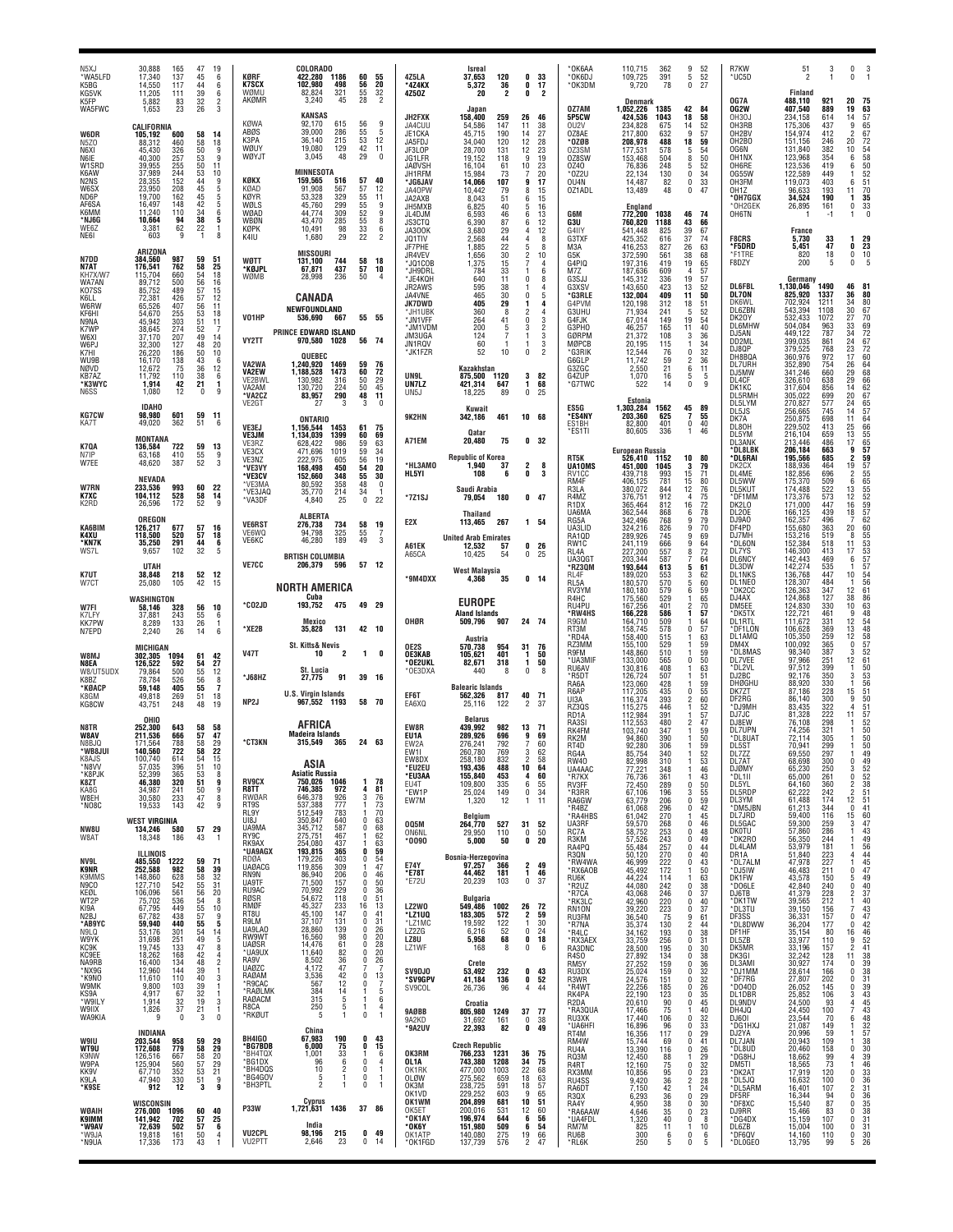| N5X.I<br>*WA5LFD<br>K5BG<br>KG5VK                                                                | 30.888<br>165<br>17,340<br>137<br>14.550<br>117<br>11,205<br>111                                                                    | 47<br>45<br>44<br>39                                                  | 19<br>6<br>6<br>6                                                                         | KØRF<br><b>K7SCX</b><br>WØMU                                      | <b>COLORADO</b><br>422,280<br>1186<br>102,980<br>498<br>82,824<br>321                                                   | 60<br>56<br>55                          | 55<br>20<br>32                                                     | 4Z5LA<br>*4Z4KX<br>4Z5OZ                                                             | <b>Isreal</b><br>37,653<br>120<br>5,372<br>36<br>$\overline{2}$<br>20                                                      | 0<br>0<br>0                                     | 33<br>17<br>$\overline{2}$                 | OK6AA<br>*OK6DJ<br>*OK3DM                                               | 110,715<br>362<br>109,725<br>391<br>9,720<br>78                                                                                           | 9<br>52<br>52<br>5<br>27<br>$\mathbf 0$                                                                                                  | R7KW<br>*UC5D                                                                               | 51<br>2<br>Finland                                                                                                                           | 3<br>1 | $\mathbf{0}$<br>3<br>$\mathbf{0}$                                                                                    |
|--------------------------------------------------------------------------------------------------|-------------------------------------------------------------------------------------------------------------------------------------|-----------------------------------------------------------------------|-------------------------------------------------------------------------------------------|-------------------------------------------------------------------|-------------------------------------------------------------------------------------------------------------------------|-----------------------------------------|--------------------------------------------------------------------|--------------------------------------------------------------------------------------|----------------------------------------------------------------------------------------------------------------------------|-------------------------------------------------|--------------------------------------------|-------------------------------------------------------------------------|-------------------------------------------------------------------------------------------------------------------------------------------|------------------------------------------------------------------------------------------------------------------------------------------|---------------------------------------------------------------------------------------------|----------------------------------------------------------------------------------------------------------------------------------------------|--------|----------------------------------------------------------------------------------------------------------------------|
| K5FP<br>WA5FWC<br>W6DR<br>N <sub>5</sub> Z <sub>0</sub><br>N6XI                                  | 5,882<br>83<br>1,653<br>23<br>CALIFORNIA<br>600<br>105,192<br>460<br>88,312<br>45.430<br>326<br>40.300                              | 32<br>26<br>58<br>58<br>$\begin{array}{c} 50 \\ 53 \\ 50 \end{array}$ | $\overline{2}$<br>3<br>14<br>18<br>9<br>ğ.                                                | AKØMR<br>KØWA<br>ABØS<br>K3PA<br>WØUY<br>WØYJT                    | 3,240<br>45<br><b>KANSAS</b><br>92,170<br>615<br>39,000<br>286<br>36,140<br>215<br>19,080<br>129<br>3,045<br>48         | 28<br>56<br>55<br>53<br>42<br>29        | 2<br>9<br>5<br>$\frac{12}{11}$<br>$\theta$                         | JH2FXK<br>JA4CUU<br>JE1CKA<br>JA5FDJ<br>JF3LOP                                       | Japan<br>158.400<br>259<br>54,586<br>147<br>45,715<br>190<br>34,040<br>120<br>28,700<br>131<br>118                         | 26<br>11<br>14<br>12<br>12<br>9                 | 46<br>$\frac{38}{27}$<br>28<br>23<br>19    | 0Z7AM<br><b>5P5CW</b><br>OU2V<br>OZ8AE<br>*OZØB<br>0Z3SM                | Denmark<br>1,052,226<br>1385<br>424,536<br>1043<br>234,828<br>675<br>632<br>217,800<br>208,978<br>488<br>177,531<br>578<br>153,468<br>504 | 42<br>84<br>18<br>58<br>14<br>52<br>9<br>57<br>18<br>59<br>5<br>54<br>50<br>8                                                            | OG7A<br>OG2W<br>0H30J<br>OH3RB<br>OH2BV<br>OH <sub>2</sub> BO<br>OG6N<br>OH <sub>1</sub> NX | 488,110<br>921<br>407,540<br>889<br>234,158<br>614<br>175,306<br>437<br>154,974<br>412<br>151,156<br>246<br>131,840<br>382<br>123.968<br>354 |        | 20<br>75<br>63<br>19<br>14<br>57<br>65<br>9<br>$\overline{2}$<br>67<br>72<br>$20\,$<br>$\frac{54}{58}$<br>10<br>6    |
| N6IE<br>W1SRD<br>K6AW<br>N <sub>2</sub> N <sub>S</sub><br>W6SX<br>ND6P<br>AF6SA<br>K6MM<br>*NJ6G | 39,955<br>255<br>37.989<br>244<br>152<br>28.355<br>23,950<br>208<br>19.700<br>162<br>148<br>16,497<br>11,240<br>110<br>10,664<br>94 | $\frac{53}{44}$<br>$45$<br>$42$<br>$34$<br>38                         | 11<br>$\begin{smallmatrix} 10\ 9 \ 5 \end{smallmatrix}$<br>$\frac{5}{5}$<br>6<br>5        | KØKX<br>KØAD<br>KØYR<br>WØLS<br>WØAD                              | <b>MINNESOTA</b><br>159.565<br>516<br>91,908<br>567<br>53,328<br>329<br>45,760<br>299<br>309<br>44,774<br>43,470<br>285 | 57<br>57<br>55<br>$\frac{55}{52}$<br>55 | 40<br>12<br>11<br>9<br>9<br>8                                      | JG1LFR<br><b>JAØVSH</b><br>JH1RFM<br>*JG6JAV<br>JA40PW<br>JA2AXB<br>JH5MXB<br>JL4DJM | 19,152<br>16,104<br>61<br>15,984<br>73<br>14,066<br>107<br>10,442<br>79<br>51<br>8,043<br>6,825<br>40<br>6,593<br>46       | 10<br>9<br>8<br>6<br>5<br>6                     | 23<br>20<br>17<br>15<br>15<br>16<br>13     | 0Z8SW<br>0Z40<br>*0Z2U<br>OU4N<br>OZ1ADL<br>G6M                         | 76,836<br>248<br>22,134<br>130<br>82<br>14,487<br>48<br>13,489<br>England<br>772,200<br>1038                                              | 52<br>5<br>34<br>$\mathbf{0}$<br>$\frac{33}{47}$<br>0<br>$\mathbf{0}$<br>46<br>-74                                                       | OH6RE<br>0G55W<br>OH3FM<br>OH <sub>1</sub> Z<br>*OH7GGX<br>*OH2GEK<br>OH6TN                 | 123,536<br>419<br>122,589<br>449<br>119,073<br>403<br>96,633<br>193<br>34,524<br>190<br>26,895<br>161<br>$-1$                                |        | 6<br>$\frac{52}{51}$<br>1<br>6<br>70<br>11<br>35<br>1<br>0<br>33<br>$\theta$<br>1                                    |
| WE6Z<br>NE61<br>N7DD                                                                             | 62<br>3,381<br>603<br>9<br>ARIZONA<br>384,560                                                                                       | $\frac{22}{1}$<br>59                                                  | 8<br>51                                                                                   | WBØN<br>KØPK<br>K4IU<br>WØTT                                      | 10,491<br>98<br>29<br>1,680<br><b>MISSOURI</b><br>131,100<br>744                                                        | 33<br>22                                | 6<br>$\overline{2}$<br>18                                          | JS3CTQ<br>JA300K<br>JQ1TIV<br>JF7PHE<br>JR4VEV                                       | 6.390<br>87<br>3,680<br>29<br>2,568<br>44<br>1,885<br>22<br>30<br>1,656                                                    | 6<br>4<br>$\overline{2}$                        | 12<br>12<br>8<br>8<br>10                   | G3U<br>G4IIY<br>G3TXF<br>M3A<br>G5K                                     | 760,820<br>1188<br>541,448<br>825<br>425,352<br>616<br>416,253<br>827<br>372,590<br>561<br>419                                            | 43<br>66<br>39<br>67<br>37<br>74<br>26<br>63<br>38<br>68                                                                                 | <b>F8CRS</b><br>*F5DRD<br>*F1TRE                                                            | France<br>33<br>5,730<br>47<br>5,451<br>820                                                                                                  | 18     | 29<br>1<br>23<br>0<br>0<br>10<br>5<br>0                                                                              |
| <b>N7AT</b><br>KH7X/W7<br>WA7AN<br>K07SS<br>K6LL                                                 | 176,541<br>762<br>660<br>115,704<br>89,712<br>500<br>85,752<br>489<br>72,381<br>426                                                 | 58<br>54<br>56<br>57<br>57                                            | 25<br>18<br>$\frac{16}{15}$                                                               | *KØJPL<br>WØMB                                                    | 437<br>67,871<br>28,998<br>236<br>CANADA                                                                                | 58<br>57<br>50                          | 10                                                                 | *JQ1COB<br>*JH9DRL<br>*JE4KQH<br>JR2AWS<br>JA4VNE<br><b>JK7DWD</b>                   | 1,375<br>15<br>784<br>33<br>640<br>11<br>595<br>38<br>465<br>30<br>405<br>29                                               | 0<br>$\mathbf{0}$<br>1                          | 4<br>6<br>8<br>4<br>5<br>4                 | G4PIQ<br>M7Z<br>G3SJJ<br>G3XSV<br>*G3RLE<br>G4PVM                       | 197,316<br>187,636<br>609<br>145,312<br>336<br>143,650<br>423<br>132,004<br>409<br>120,198<br>312                                         | 19<br>65<br>57<br>$\overline{4}$<br>19<br>57<br>13<br>52<br>50<br>11<br>18                                                               | F8DZY<br><b>DL6FBL</b><br>DL70N<br>DK6WL                                                    | 200<br>Germany<br>1,130,046<br>1490<br>825,920<br>1337<br>702,924<br>1211                                                                    | 5      | 46<br>81<br>36<br>80<br>34<br>80                                                                                     |
| W6RW<br>KF6HI<br>N9NA<br>K7WF<br>W6XI<br>W6PJ                                                    | 65,526<br>407<br>54,670<br>255<br>45,942<br>303<br>274<br>38,645<br>207<br>37,170<br>32,300<br>127                                  | 56<br>53<br>51<br>$\frac{52}{49}$<br>48                               | 11<br>18<br>11<br>$\overline{7}$<br>14<br>20                                              | V01HP<br>VY2TT                                                    | NEWFOUNDLAND<br>536,690<br>667<br>PRINCE EDWARD ISLAND<br>970,580 1028                                                  | 55 55<br>56 74                          |                                                                    | *.JH1UBk<br>*JN1VFF<br>*JM1VDM<br>JM3UGA<br>JN1RQV                                   | 360<br>8<br>264<br>41<br>200<br>5<br>124<br>60<br>-1                                                                       | 2<br>0<br>3<br>1<br>1                           | $\overline{4}$<br>3<br>$\overline{2}$<br>3 | G3UHU<br>G4FJK<br>G3PHO<br>GØRPM<br>MØPCB                               | 241<br>71,934<br>67,014<br>149<br>46,257<br>165<br>21,372<br>108<br>20,195<br>115                                                         | 51<br>52<br>5<br>54<br>19<br>40<br>11<br>3<br>36<br>34<br>-1                                                                             | DL6ZBN<br>DK20Y<br><b>DL6MHW</b><br>DJ5AN<br>DD2ML                                          | 543,394<br>1108<br>532,433<br>1072<br>504,084<br>963<br>449,122<br>787<br>399.035<br>861                                                     |        | 30<br>67<br>27<br>70<br>33<br>34<br>24                                                                               |
| K7HI<br>WU9B<br>NØVD<br>KB7AZ<br>*K3WYC<br>N6SS                                                  | 186<br>26,220<br>138<br>16,170<br>75<br>12,672<br>11,792<br>110<br>42<br>1,914<br>1,080<br>12                                       | $\frac{50}{43}$<br>36<br>$\frac{38}{21}$<br>0                         | 10<br>6<br>$\begin{array}{c} 12 \\ 6 \\ 1 \end{array}$<br>9                               | VA2WA<br><b>VA2EW</b><br>VE2BWL<br>VA2AM                          | QUEBEC<br>1,240,920<br>1469<br>1,188,528<br>1473<br>130,982<br>316<br>130,720<br>224                                    | 59<br>60<br>50<br>50                    | -76<br>$\frac{72}{29}$<br>45                                       | *JK1FZR<br>UN9L<br>UN7LZ                                                             | 52<br>10<br>Kazakhstan<br>875,500 1120<br>647<br>421,314<br>89                                                             | 0<br>3<br>1<br>0                                | $\frac{3}{2}$<br>82<br>68<br>-25           | *G3RIK<br>G6GLP<br>G3ZGC<br>G4ZUP<br>*G7TWC                             | 12,544<br>76<br>11,742<br>59<br>2,550<br>21<br>1,070<br>16<br>522<br>14                                                                   | 32<br>0<br>$\overline{2}$<br>36<br>6<br>11<br>5<br>5<br>9<br>$\Omega$                                                                    | DJ8QP<br>DH8BQA<br><b>DL7URH</b><br>DJ5MW<br>DL4CF<br>DK1KC                                 | 379,525<br>768<br>360,976<br>972<br>352,890<br>754<br>341,246<br>660<br>326,610<br>638<br>317,604<br>856                                     |        | 69<br>72<br>67<br>72<br>60<br>64<br>68<br>23<br>17<br>26<br>29<br>66<br>62<br>67<br>29<br>14                         |
| <b>KG7CW</b><br>KA7T                                                                             | <b>IDAHO</b><br>98,980<br>601<br>49,020<br>362                                                                                      | 59<br>51                                                              | 11<br>6                                                                                   | *VA2CZ<br>VE2GT<br>VE3EJ                                          | 290<br>83,957<br>3<br>27<br><b>ONTARIO</b><br>1,156,544<br>1453                                                         | 48<br>3<br>61                           | 11<br>$\theta$<br>75                                               | UN <sub>5</sub> J<br>9K2HN                                                           | 18,225<br>Kuwait<br>461<br>342,186<br><b>Oatar</b>                                                                         | 10 68                                           |                                            | ES5G<br>'ES4NY<br>ES1BH<br>*ES1TI                                       | Estonia<br>1,303,284<br>1562<br>203,360<br>625<br>82,800<br>401<br>80,605<br>336                                                          | 45<br>89<br>7<br>55<br>$\mathbf 0$<br>40<br>1<br>46                                                                                      | DL5RMH<br>DL5LYM<br>DL5JS<br>DK7A<br>DL80H                                                  | 305,022<br>699<br>270,827<br>577<br>256,665<br>745<br>250,875<br>698<br>229,502<br>413                                                       |        | 20<br>24<br>65<br>57<br>64<br>14<br>11                                                                               |
| K7QA<br>N7IP<br>W7EE                                                                             | <b>MONTANA</b><br>722<br>136,584<br>63,168<br>410<br>48,620<br>387                                                                  | 59<br>55<br>52                                                        | 13<br>9<br>3                                                                              | VE3JM<br>VE3RZ<br>VE3CX<br>VE3NZ<br>*VE3VY                        | 1,134,039<br>1399<br>628,422<br>986<br>471.696<br>1019<br>222,975<br>605<br>168.498<br>450                              | 60<br>59<br>59<br>56<br>54              | 69<br>63<br>34<br>19<br>20                                         | A71EM<br>*HL3AMO                                                                     | 20,480<br>75<br><b>Republic of Korea</b><br>1,940<br>37                                                                    | $\overline{2}$                                  | 0 <sub>32</sub><br>8                       | RT5K<br>UA10MS                                                          | <b>European Russia</b><br>526,410<br>1152<br>451,000<br>1045                                                                              | 80<br>10<br>79<br>3                                                                                                                      | DL5YM<br>DL3ANK<br>*DL8LBK<br>*DL6RAI<br>DK2CX                                              | 216,104<br>659<br>213,446<br>486<br>206,184<br>663<br>195,566<br>685<br>464<br>188.936                                                       |        | 25<br>13<br>17<br>$\frac{9}{2}$<br>19                                                                                |
| W7RN<br>K7XC<br>K2RD                                                                             | <b>NEVADA</b><br>993<br>233,536<br>104,112<br>528<br>26,596<br>172                                                                  | 60<br>58<br>52                                                        | 22<br>14<br>9                                                                             | *VE3CV<br>*VE3MA<br>*VE3JAQ<br>*VA3DF                             | 152,660<br>348<br>80,592<br>358<br>35,770<br>214<br>4,840<br>25                                                         | 55<br>48<br>34<br>$\mathbf{0}$          | 30<br>$\mathbf 0$<br>-1<br>22                                      | HL5YI<br>*7Z1SJ                                                                      | 108<br>6<br>Saudi Arabia<br>79,054<br>180                                                                                  | 0                                               | 3<br>$0$ 47                                | RV1CC<br>RM4F<br>R3LA<br>R4MZ<br>R <sub>1</sub> D <sub>X</sub><br>UA6MA | 993<br>439.718<br>406.125<br>781<br>380,072<br>844<br>376,751<br>912<br>365,464<br>812<br>362,544                                         | 15<br>71<br>$\frac{80}{76}$<br>$\begin{array}{c} 15 \\ 12 \end{array}$<br>75<br>$\overline{4}$<br>72<br>78<br>79<br>16<br>6              | DL4ME<br>DL5WW<br>DL5KUT<br>*DF1MM<br>DK2LO<br>DL20E                                        | 182,856<br>696<br>175,370<br>509<br>174,488<br>522<br>173,376<br>573<br>171,000<br>447<br>439<br>166,125                                     |        | 665657595756555295762<br>$\frac{2}{6}$<br>13<br>12<br>16<br>18                                                       |
| KA6BIM<br>K4XU<br>*KN7K<br>WS7L                                                                  | <b>OREGON</b><br>126,217<br>677<br>520<br>118.500<br>35,250<br>291<br>9,657<br>102                                                  | 57<br>$\frac{57}{44}$<br>32                                           | 16<br>$\begin{array}{c} 18 \\ 6 \end{array}$<br>5                                         | <b>VE6RST</b><br>VE6WQ<br>VE6KC                                   | <b>ALBERTA</b><br>276,738<br>734<br>94,798<br>325<br>189<br>46,280                                                      | 58<br>55<br>49                          | 19<br>7<br>3                                                       | E <sub>2</sub> X<br>A61EK                                                            | <b>Thailand</b><br>267<br>113,465<br><b>United Arab Emirates</b><br>12,532<br>57<br>54                                     | 0<br>$\mathbf{0}$                               | 1 54<br>26<br>25                           | RG5A<br>UA3LID<br>RA1QD<br>RW1C<br>RL4A                                 | 868<br>342,496<br>768<br>324.216<br>826<br>289,926<br>745<br>241,119<br>666<br>227,200<br>557                                             | 9<br>70<br>69<br>q<br>9<br>64<br>72<br>8                                                                                                 | DJ9A0<br>DF4PD<br>DJ7MH<br>*DL6ON<br>DL7YS                                                  | 162,357<br>496<br>155,680<br>363<br>153,216<br>519<br>152,384<br>518<br>146,300<br>413                                                       |        | 7<br>20<br>60<br>55<br>53<br>53<br>57<br>8<br>11<br>17                                                               |
| K7UT<br>W7CT                                                                                     | <b>UTAH</b><br>38.848<br>218<br>25,080<br>105                                                                                       | 52<br>42                                                              | -12<br>15                                                                                 | <b>VE7CC</b>                                                      | <b>BRTISH COLUMBIA</b><br>206,379<br>596<br><b>NORTH AMERICA</b>                                                        | 57 12                                   |                                                                    | A65CA<br>*9M4DXX                                                                     | 10,425<br><b>West Malaysia</b><br>4,368<br>35                                                                              |                                                 | 0 <sub>14</sub>                            | UA3QG1<br>*RZ3QM<br>RL4F<br>RL5A<br>RV3YM                               | 203,344<br>587<br>193,644<br>613<br>189,020<br>553<br>180,570<br>570<br>180,180<br>579                                                    | $64$<br>61<br>5<br>$\substack{62\\60}$<br>3<br>5<br>59<br>6                                                                              | <b>DL6NCY</b><br>DL3DW<br><b>DL1NKS</b><br>DL1NEO<br>*DK2CC                                 | 142,443<br>469<br>142,274<br>535<br>447<br>136,768<br>128,307<br>484<br>347<br>126,363                                                       |        | 6<br>57<br>10<br>54<br>56<br>1<br>12<br>61                                                                           |
| W7FI<br>K7LFY<br><b>KK7PW</b><br>N7EPD                                                           | WASHINGTON<br>58,146<br>328<br>37,881<br>243<br>8,289<br>133<br>26<br>2,240                                                         | 56<br>55<br>26<br>14                                                  | 10<br>6<br>$\mathbf{1}$<br>6                                                              | *CO2JD<br>*XE2B                                                   | Cuba<br>193,752<br>475<br>Mexico<br>131<br>35,828                                                                       | 49 29<br>42 10                          |                                                                    | OHØR                                                                                 | <b>EUROPE</b><br><b>Aland Islands</b><br>907<br>509,796                                                                    | 24 74                                           |                                            | R4HC<br>RU4PU<br>*RW4HS<br>R9GM<br>RT3M                                 | 175,560<br>529<br>167,256<br>401<br>166,228<br>586<br>164.710<br>509<br>158,745<br>578                                                    | $\frac{65}{70}$<br>1<br>2<br>57<br>64<br>57<br>$\Omega$                                                                                  | DJ4AX<br>DM5EE<br>*DK5TX<br>DL1RTL<br>*DF1LON                                               | 124,868<br>127<br>124,830<br>330<br>122,721<br>461<br>111,672<br>331<br>369<br>106,628                                                       |        | 38<br>$\frac{86}{63}$<br>10<br>48<br>9<br>12<br>13                                                                   |
| W8MJ<br>N8EA<br>W8/UT5UDX                                                                        | <b>MICHIGAN</b><br>302,305<br>1094<br>592<br>126,522<br>79,864<br>500                                                               | 61<br>54<br>55                                                        | 42<br>27<br>12                                                                            | <b>V47T</b>                                                       | <b>St. Kitts&amp; Nevis</b><br>10<br>2<br>St. Lucia                                                                     | 1                                       | $\mathbf{0}$                                                       | OE2S<br>OE3KAB<br>*OE2UKL<br>*OE3DXA                                                 | Austria<br>570,738<br>954<br>401<br>105,621<br>82,671<br>318<br>440<br>8                                                   | 31<br>1<br>1<br>$\mathbf 0$                     | 76<br>50<br>50<br>8                        | *RD4A<br>RZ3MM<br>R9FM<br>*UA3MIF<br>RU6AV                              | 158,400<br>515<br>155.100<br>529<br>148,860<br>510<br>133,000<br>565<br>130,816<br>408                                                    | 63<br>59<br>59<br>50<br>0<br>63                                                                                                          | DL1AMQ<br>DM4X<br>*DL8MAS<br>DL7VEE<br>*DL2VL<br>DJ2BC                                      | 105,350<br>259<br>100.092<br>365<br>98,340<br>387<br>97,966<br>251<br>399<br>97.512<br>92,176<br>350                                         |        | 54<br>48<br>58<br>57<br>57<br>52<br>61<br>50<br>$\begin{matrix} 12 \ 0 \end{matrix}$<br>3<br>12<br>$\mathbf{1}$<br>3 |
| K8B7<br>*KØACP<br>K8GM<br>KG8CW                                                                  | 78.784<br>526<br>59,148<br>405<br>49.818<br>269<br>43,751<br>248                                                                    | 56<br>55<br>51<br>48                                                  | 8<br>$\overline{\mathbf{z}}$<br>18<br>19                                                  | *J68HZ<br>NP2J                                                    | 27,775<br>91<br><b>U.S. Virgin Islands</b><br>967,552 1193                                                              | 39 16<br>58<br>- 70                     |                                                                    | EF6T<br>EA6XQ                                                                        | <b>Balearic Islands</b><br>562,326<br>817<br>25,116<br>122                                                                 | 40 71<br>$\overline{2}$                         | -37                                        | *R5DT<br>RA6A<br>R6AP<br>UI3A<br>RZ30S<br>RD <sub>1</sub> A             | 126,724<br>507<br>123,060<br>428<br>117,205<br>435<br>393<br>116,374<br>115,275<br>446<br>112.984<br>391                                  | 51<br>59<br>$\begin{array}{c} 55 \\ 60 \end{array}$<br>$\Omega$<br>52                                                                    | DHØGHU<br>DK7ZT<br>DF2RG<br>*DJ9MH<br>DJ7JC                                                 | 88,920<br>330<br>87,186<br>228<br>300<br>86,140<br>83,435<br>322<br>81,328<br>222                                                            |        | 53<br>56<br>56<br>51<br>50<br>15<br>9<br>$\frac{51}{57}$<br>4<br>11                                                  |
| N8TR<br>W8AV<br>N8BJQ<br>*WB8JU                                                                  | OHIO<br>252,300<br>643<br>211,536<br>666<br>788<br>171.564<br>140,560<br>722                                                        | 58<br>57<br>$\frac{58}{58}$                                           | 58<br>47<br>29<br>22                                                                      | <b>*CT3KN</b>                                                     | AFRICA<br><b>Madeira Islands</b><br>315,549<br>365                                                                      | 24 63                                   |                                                                    | EW8R<br>EU1A<br>EW2A<br>FW <sub>1</sub>                                              | <b>Belarus</b><br>439,992<br>982<br>289,926<br>696<br>792<br>276,241<br>260,780<br>769                                     | 13<br>9<br>7<br>3                               | -71<br>69<br>-60<br>62                     | RA3SI<br>RK4FM<br>RK2M<br>RT4D<br>RG4A                                  | 480<br>112,553<br>103,740<br>347<br>94.860<br>390<br>92,280<br>306<br>85,754<br>340                                                       | $\frac{57}{47}$<br>2<br>59<br>$\substack{50\\59}$<br>52                                                                                  | DJ8EW<br>DL7UPN<br>*DL8UAT<br>DL5S1<br>DL7ZZ                                                | 76,108<br>298<br>74,256<br>321<br>72,114<br>305<br>299<br>70.941<br>69,550<br>297                                                            |        | -1<br>$\begin{array}{c} 50 \\ 50 \end{array}$<br>50<br>-1<br>49                                                      |
| <b>KOAJS</b><br>*N8VV<br>*K8PJK<br>K8ZT<br>KA8G<br>W8EH                                          | TUU.740<br>014<br>57,035<br>396<br>52,399<br>365<br>46,380<br>320<br>241<br>34,987<br>30,580<br>233                                 | 54<br>$\frac{51}{53}$<br>51<br>$\frac{50}{47}$                        | -10<br>$\begin{smallmatrix} 10\ 0\ 8\ \mathsf{g} \end{smallmatrix}$<br>9<br>$\frac{8}{9}$ | <b>RV9CX</b><br>R8TT<br><b>RWØAR</b>                              | ASIA<br><b>Asiatic Russia</b><br>750,026<br>1046<br>746,385<br>972<br>646,378<br>926<br>777                             | -1<br>4<br>3                            | 78<br>81<br>76                                                     | EW8DX<br>*EU2EU<br>*EU3AA<br>EU4T<br>*EW1P<br>EW7M                                   | 258,180<br>832<br>193,436<br>488<br>453<br>155,840<br>109,800<br>335<br>149<br>25,024<br>1,320<br>12                       | 10<br>4<br>$^6_0$<br>$\mathbf{1}$               | 58<br>64<br>60<br>55<br>34<br>11           | <b>RW40</b><br>UA4AAC<br>*R7KX<br>RV3FF<br>*R3RR<br>RA6GW               | 82,998<br>77,221<br>310<br>348<br>76,736<br>361<br>72,450<br>289<br>67,106<br>196<br>63,779<br>206                                        | $\frac{53}{46}$<br>43<br>$\mathbf{0}$<br>$\frac{50}{55}$<br>3<br>59<br>0                                                                 | DL7A1<br>DJØMY<br>*DL1II<br>DL5YL<br>DL5RDP<br>DL3YM                                        | 68,698<br>300<br>65,230<br>250<br>261<br>65,000<br>360<br>64,160<br>62,222<br>242<br>61,488<br>174                                           |        | 0<br>49<br>3<br>$\begin{smallmatrix} 0\\2\\2 \end{smallmatrix}$                                                      |
| *NO8C<br>NW8U<br>W8AT                                                                            | 19,533<br>143<br><b>WEST VIRGINIA</b><br>134,246<br>580<br>18,348<br>186                                                            | 42<br>57 29<br>43                                                     | $\overline{1}$                                                                            | RT9S<br>RL9Y<br>UI8J<br>UA9MA<br>RY9C<br>RK9AX                    | 537,388<br>512,549<br>783<br>350,847<br>640<br>587<br>345,712<br>275,751<br>467<br>254,080<br>437                       | 0<br>0<br>1.                            | 73<br>70<br>63<br>68<br>62<br>63                                   | 005M<br><b>ON6NL</b><br>$*0090$                                                      | Belgium<br>264,770<br>527<br>29,950<br>110<br>5,000<br>50                                                                  | 31 52<br>0                                      | 50<br>0 <sub>20</sub>                      | R4BZ*<br>*RA4HBS<br>UA3RF<br>RC7A<br>R3KM                               | 61,068<br>296<br>270<br>61,042<br>59,570<br>268<br>58,752<br>253<br>243<br>57,526                                                         | $^{42}_{45}$<br>$\mathbf{0}$<br>1<br>0<br>46<br>48<br>$\Omega$<br>49<br>$\Omega$                                                         | *DM5JBN<br>DL7JRD<br>DL5GAC<br>DKOTU<br>*DK2RO                                              | 61,213<br>344<br>116<br>59,400<br>59,300<br>259<br>57,860<br>286<br>56,350<br>244                                                            |        | 52<br>52<br>53<br>51<br>51<br>41<br>60<br>7<br>3<br>9<br>$\frac{12}{0}$<br>15 <sub>1</sub><br>3<br>1                 |
| NV9L<br><b>K9NR</b><br>K9MMS<br>N <sub>9</sub> CO                                                | ILLINOIS<br>485,550<br>1222<br>252,588<br>982<br>148,860<br>127,710<br>542                                                          | 59                                                                    | 71<br>39<br>$\frac{32}{31}$                                                               | *UA9AGX<br>RDØA<br><b>UAØACG</b><br>RN9N<br>UA9TF                 | 193,815<br>365<br>179,226<br>403<br>309<br>119,856<br>86,940<br>206<br>71,500<br>157                                    | 0<br>0<br>-1<br>0<br>0                  | 59<br>$\frac{54}{47}$<br>46<br>50                                  | E74Y<br>*E78T<br>*E72U                                                               | Bosnia-Herzegovina<br>97,257<br>366<br>44,462<br>181<br>20,239<br>103                                                      | 1                                               | $2$ 49<br>46<br>0 37                       | RA4PQ<br>R3QN<br>*RW4WA<br>*RX6AOB<br>RU6K                              | 55,484<br>257<br>50,120<br>270<br>222<br>46,999<br>172<br>45,492<br>44.224<br>114<br>44,080<br>242                                        | 44<br>$\Omega$<br>$\frac{40}{43}$<br>$\Omega$<br>0<br>50<br>1<br>63<br>38<br>37<br>1<br>$\Omega$                                         | DL4LAM<br>DR1A<br>*DL7ALM<br>*DJ5IW<br>DK1FW<br>*DO6LE                                      | 53,979<br>181<br>51,840<br>$\frac{223}{227}$<br>47,978<br>211<br>46,483<br>43,578<br>150<br>42,840<br>240                                    |        | 56<br>$\overline{4}$<br>44<br>$\mathbf{1}$<br>$\frac{45}{47}$<br>0<br>$\frac{5}{0}$<br>49<br>40                      |
| KEØL<br>WT2P<br>KI9A<br>N2BJ<br>*AB9YC                                                           | 106,096<br>561<br>75,702<br>67,795<br>536<br>449<br>67,782<br>438<br>440<br>59,940                                                  | 58<br>58<br>55<br>55<br>55<br>55<br>57                                | 20<br>$\frac{8}{10}$                                                                      | RU9AC<br>RØSR<br>RMØF<br>RT8U<br>R9LM                             | 229<br>70,992<br>54,672<br>118<br>45,327<br>233<br>147<br>45,100<br>131<br>37,107                                       | 0<br>0<br>16<br>0<br>0                  | 36<br>51<br>13<br>41<br>31                                         | LZ2WO<br>*LZ1UQ<br>*LZ1MC                                                            | Bulgaria<br>549,486<br>1002<br>183,305<br>$\begin{array}{r} 572 \\ 122 \\ 52 \end{array}$<br>19,592                        | 26<br>2<br>1                                    | 72<br>59<br>30                             | *R2UZ<br>*R7CA<br>*RK3LC<br>RN10N<br>RU3FM<br>*R7NA                     | 43,068<br>246<br>42,960<br>39,220<br>220<br>223<br>36,540<br>75<br>35,374<br>130                                                          | 0<br>$rac{40}{37}$<br>$\Omega$<br>$\Omega$<br>61<br>9<br>$\overline{2}$<br>44                                                            | DJ6TB<br>*DK1TW<br>*DL3TU<br>DF3SS<br>*DL8DWW                                               | 228<br>41,379<br>39,565<br>212<br>39,150<br>156<br>36,331<br>157<br>36,204<br>177                                                            |        | 37<br>$\frac{2}{1}$<br>40<br>$\overline{7}$<br>0<br>0                                                                |
| N9LQ<br>W9YK<br>KC <sub>9</sub> K<br>KC9EE<br>NA9RB                                              | 53,176<br>301<br>31,698<br>251<br>19,745<br>133<br>18,262<br>168<br>134<br>16,400                                                   | <b>55</b><br>54<br>49<br>47<br>42                                     | $\frac{5}{14}$<br>$\frac{5}{8}$<br>$\frac{8}{4}$<br>$\frac{4}{2}$                         | UA9LA0<br>RW9WT<br><b>UAØSR</b><br>*UA9UX<br>RA9V<br><b>UAØZC</b> | 28,860<br>139<br>98<br>16,560<br>61<br>14,476<br>11,640<br>$\substack{82\\36}$<br>8,502                                 | 0<br>0<br>0<br>0<br>0                   | 26<br>20<br>28<br>20<br>26                                         | LZ2ZG<br>LZ8U<br>LZ1WF                                                               | 6,216<br>68<br>5,958<br>168<br>8<br>Crete                                                                                  | 0<br>0<br>0                                     | 24<br>18<br>6                              | *R4LC<br>*RX3AEX<br>RA3DNC<br>R4SO<br>RM5Y                              | 34,162<br>193<br>33,759<br>256<br>28,500<br>195<br>27,892<br>134<br>159<br>27,252                                                         | $\frac{38}{31}$<br>0<br>0<br>$\begin{array}{c} 30 \\ 38 \\ 36 \end{array}$<br>$\Omega$<br>$\Omega$<br>0                                  | DF1HF<br>DL5ZB<br>DK5MR<br>DK3GI<br>DL3AMI                                                  | 35,154<br>80<br>33,977<br>110<br>33,196<br>157<br>32,242<br>128<br>174<br>30,927                                                             |        | 16<br>$\frac{9}{2}$<br>11<br>0                                                                                       |
| *NX9G<br>*K9NO<br><b>W9MK</b><br>KS9A<br>*W9ILY                                                  | 12,960<br>144<br>11,610<br>110<br>103<br>9,800<br>4,917<br>$\frac{67}{32}$<br>$\frac{37}{3}$<br>1,914                               | $\frac{48}{39}$<br>40<br>$\frac{39}{32}$<br>19                        | $\mathbf{1}$<br>3<br>$\mathbf{1}$<br>$\mathbf{1}$<br>3                                    | RAØAM<br>*R9CAC<br>*RAØLMK<br>RAØACM<br>R8CA                      | 47<br>4,172<br>3,536<br>42<br>12<br>567<br>384<br>$\begin{array}{c} 14 \\ 5 \\ 5 \end{array}$<br>315<br>250             | $\Omega$<br>0<br>1<br>-1                | $\begin{array}{c} 13 \\ 7 \end{array}$<br>5<br>6<br>$\overline{4}$ | SV9DJ0<br>*SV9GPV<br>SV9COL                                                          | 53,492<br>232<br>136<br>41,184<br>96<br>26,736<br>Croatia                                                                  | 0<br>4                                          | $0$ 43<br>52<br>44                         | RU3DX<br>R3WR<br>*R4WT<br>RK4PA<br>R2DA                                 | 25,024<br>159<br>24,576<br>151<br>22,256<br>185<br>22,190<br>123<br>90<br>20,610                                                          | $\begin{array}{c} 32 \\ 32 \\ 26 \end{array}$<br>0<br>$\Omega$<br>0<br>$\frac{35}{45}$<br>$\Omega$<br>0                                  | *DJ1MM<br>*DF7RG<br>*D040D<br>DL1DBR<br>DL9NDV                                              | 28,614<br>166<br>27,807<br>202<br>26,052<br>145<br>25,852<br>106<br>24,500<br>93                                                             |        | 0<br>Ò<br>0<br>3<br>$\overline{4}$                                                                                   |
| W9IIX<br>WA9KIA<br>W9IU<br><b>WT9U</b>                                                           | 1,826<br>$\Omega$<br>9<br>INDIANA<br>203,544<br>958<br>779                                                                          | $\frac{21}{3}$<br>59                                                  | $\mathbf{1}$<br>$\mathbf 0$<br>29                                                         | *RKØUT<br>BH4IGO<br>*BG7BDB                                       | 5<br>1<br>China<br>67,983<br>190<br>75<br>6.000                                                                         | 0<br>0<br>0                             | $\mathbf{1}$<br>43<br>15                                           | 9AØBB<br>9A2KD<br>*9A2UV                                                             | 805,980<br>1249<br>31,692<br>161<br>82<br>22,393<br><b>Czech Republic</b>                                                  | 37 77<br>0<br>0                                 | 38<br>49                                   | *RA3QUA<br>RU3XK<br>*UA6HFI<br>RT4M<br>RM4W                             | 17,466<br>75<br>17,440<br>106<br>16,896<br>96<br>16,356<br>117<br>15,744<br>69                                                            | 40<br>$\begin{array}{c} 32 \\ 33 \\ 29 \end{array}$<br>0<br>$\Omega$<br>$\mathbf{0}$<br>$\Omega$                                         | DH4JQ<br>DJ601<br>*DG1HXJ<br>DJ2YA<br>DL7JAN<br>*DL8UD                                      | 24,450<br>100<br>23,544<br>70<br>21,087<br>149<br>20,996<br>59<br>20,943<br>109<br>20,460<br>158                                             |        | $\begin{array}{c} 7 \\ 6 \end{array}$<br>$\mathbf{1}$<br>$\mathbf 0$                                                 |
| K9NW<br>W9PA<br>KK9V<br>K9LA<br>*K9SE                                                            | 172,608<br>667<br>126,516<br>125,904<br>560<br>67,710<br>$\frac{352}{330}$<br>47,940<br>912<br>12                                   | 58<br>58<br>53<br>53<br>53<br>51<br>3                                 | 29<br>20<br>29<br>21<br>9<br>9                                                            | *BH4TQX<br>*BG1DX<br>*BH4DQS<br>*BG4GOV<br>*BH3PTL                | 33<br>1.001<br>96<br>6<br>10<br>2<br>5<br>1<br>2<br>1                                                                   | 1.<br>0<br>0<br>0<br>0                  | 6<br>$\overline{4}$<br>-1<br>-1<br>$\overline{1}$                  | OK3RM<br>OL1A<br>OK1RK<br>OLØW<br>OK3M                                               | 766,233<br>1231<br>743,380<br>1208<br>477,000<br>1003<br>275,562<br>659<br>238,725<br>591                                  | 36<br>34<br>22<br>18<br>18                      | 75<br>75<br>68<br>63<br>57                 | RU4A<br>RQ3M<br>R4RT<br>RX3MM<br>RU4SS<br>RA6DT                         | 13,390<br>116<br>12,450<br>88<br>12,160<br>$^{75}_{95}$<br>10,856<br>36<br>9,420<br>7,150<br>$\frac{42}{36}$                              | $\frac{41}{26}$<br>0<br>1<br>32<br>23<br>28<br>0<br>$\Omega$<br>2                                                                        | *DG8HJ<br>DM5TI<br>*DK2AT<br>*DL5JQ<br>*DL5ARM                                              | 18,662<br>99<br>18,565<br>73<br>17,919<br>120<br>100<br>16,632<br>16,401<br>107                                                              |        | 4<br>0<br>$\frac{0}{2}$                                                                                              |
| WØAIH<br><b>K9IMM</b><br>*W9AV<br>*W9JA<br>*N9UA                                                 | WISCONSIN<br>276,000<br>1096<br>141,942<br>702<br>72,639<br>502<br>161<br>19,818<br>173<br>17,336                                   | 60<br>57<br>57<br>50<br>43                                            | 40<br>25<br>6<br>$\frac{4}{1}$                                                            | <b>P33W</b><br><b>VU2CPL</b><br>VU2PTT                            | Cyprus<br>1,721,631<br>1436<br>India<br>98,196<br>215<br>23<br>2,646                                                    | 37<br>86<br>$0$ 49<br>$\mathbf{0}$      | -14                                                                | OK1VD<br>OK1WM<br>OK5ET<br>*OK1AY<br>*0K6Y<br>OK1ATP<br>*OK1FGD                      | 229,252<br>603<br>204,899<br>681<br>200,016<br>531<br>196,974<br>644<br>509<br>151,980<br>140,080<br>275<br>576<br>137,739 | 9<br>10<br>12<br>6<br>6<br>19<br>$\overline{2}$ | 65<br>51<br>60<br>56<br>54<br>66<br>47     | R3QX<br>RA4Y<br>*RA6AAW<br>*UA4FDL<br>RM7M<br>RU6B<br>*RL6K             | 6,293<br>38<br>4,950<br>4,646<br>$\frac{35}{40}$<br>1,320<br>825<br>11<br>300<br>250<br>6<br>5                                            | $\begin{array}{l} 24 \\ 29 \\ 30 \end{array}$<br>$\Omega$<br>0<br>$^{23}_{8}$<br>$\mathbf{0}$<br>0<br>1<br>10<br>0<br>$\frac{6}{5}$<br>Ò | DF5RF<br>*DF8XC<br>DJ9RR<br>*DG4DX<br>DL6ZB<br>*DF6QV<br>*DL0GEO                            | 16,344<br>94<br>15,540<br>87<br>15,466<br>83<br>107<br>15,159<br>15,004<br>100<br>14,160<br>110<br>13,795<br>99                              |        | $43444624333333445444333643363333131306$<br>0<br>$_{0}^{0}$<br>0<br>0<br>0<br>5                                      |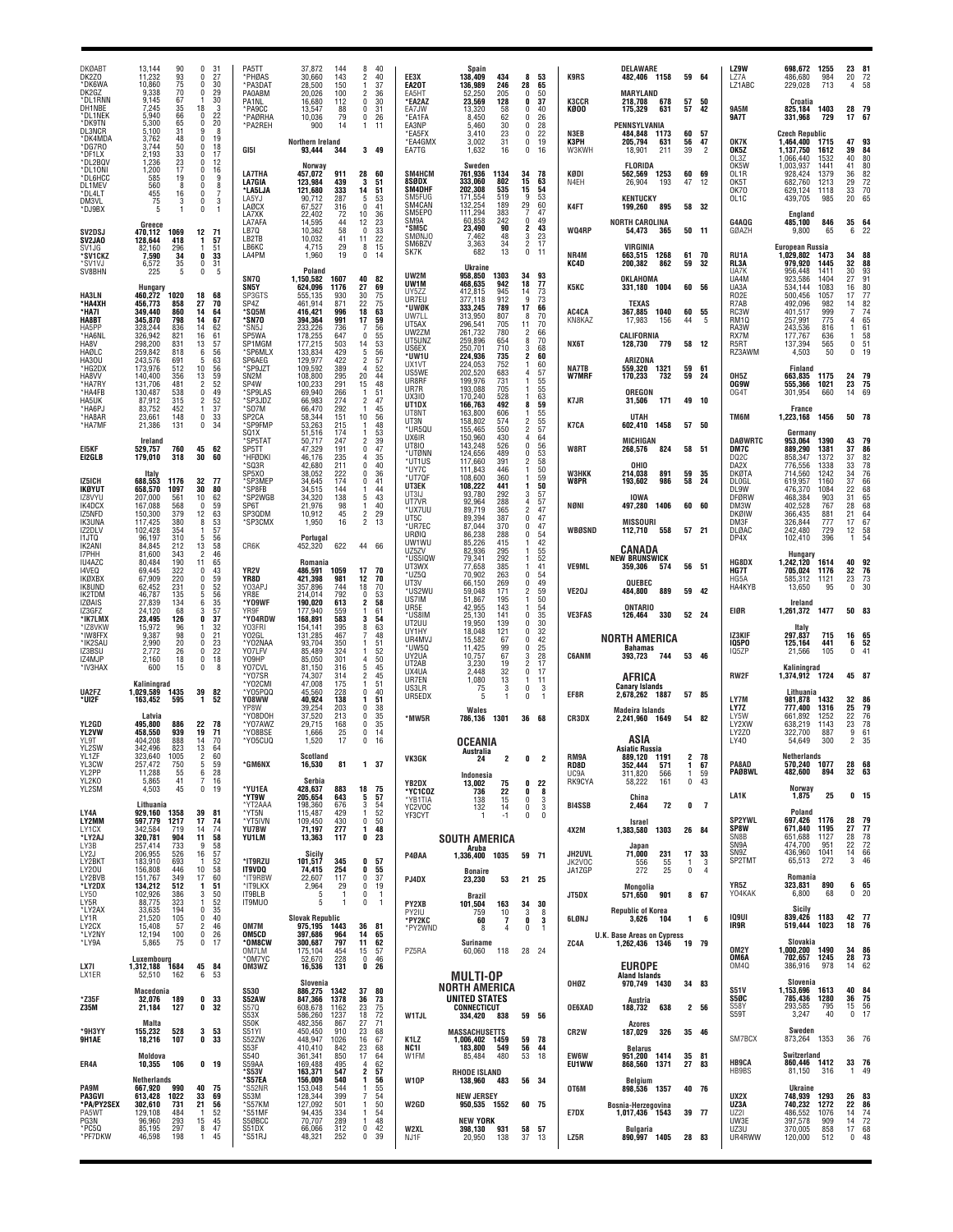| <b>DKØABT</b><br>DK2Z0<br>*DK6WA                       | 13,144<br>90<br>11,232<br>93<br>75<br>70<br>10,860                                   | 31<br>0<br>0<br>27<br>30<br>0                                                       | PA5TT<br>*PHØAS<br>*PA3DAT                       | 37.872<br>144<br>30,660<br>143<br>28.500<br>150                       | 8<br>40<br>2<br>40<br>37<br>1                      | EE3X<br>EA20T                          | <b>Spain</b><br>138,409<br>434<br>136.989<br>246                                | 8<br>28                                | 53<br>65                 | <b>K9RS</b>                       | <b>DELAWARE</b><br>482,406 1158                                               |                | 59 64                      | LZ9W<br>LZ7A<br>LZ1ABC                                  | 698.672<br>486,680<br>229,028                                | 1255<br>984<br>713           | 23<br>20<br>4                   | 81<br>72<br>58                    |
|--------------------------------------------------------|--------------------------------------------------------------------------------------|-------------------------------------------------------------------------------------|--------------------------------------------------|-----------------------------------------------------------------------|----------------------------------------------------|----------------------------------------|---------------------------------------------------------------------------------|----------------------------------------|--------------------------|-----------------------------------|-------------------------------------------------------------------------------|----------------|----------------------------|---------------------------------------------------------|--------------------------------------------------------------|------------------------------|---------------------------------|-----------------------------------|
| DK2GZ<br>*DL1RNN<br>DH1NBE<br>*DL1NEK                  | 9.338<br>9,145<br>67<br>35<br>7,245<br>66<br>5,940                                   | 29<br>$\mathbf 0$<br>30<br>18<br>3<br>O<br>22<br>0                                  | <b>PA0ABM</b><br>PA1NL<br>*PA9CC<br>*PAØRHA      | 20,026<br>100<br>16.680<br>112<br>13,547<br>88<br>10,036<br>79        | 36<br>30<br>0<br>0<br>31<br>0<br>26                | EA5HT<br>*EA2AZ<br>EA7JW<br>*EA1FA     | 52,250<br>205<br>23,569<br>128<br>13,320<br>58<br>8.450<br>62                   | 0<br>0<br>0<br>$\Omega$                | 50<br>37<br>40<br>26     | <b>K3CCR</b><br>KØOO              | MARYLAND<br>218.708<br>678<br>175,329<br>631                                  | 57<br>57       | - 50<br>42                 | 9A5M<br><b>9A7T</b>                                     | Croatia<br>825,184<br>331,968                                | 1403<br>729                  | 28<br>17                        | 67                                |
| *DK9TN<br><b>DL3NCR</b><br>*DK4MDA<br>*DG7RO<br>*DF1LX | 5,300<br>65<br>31<br>5,100<br>48<br>3.762<br>3,744<br>50<br>2,193<br>$\frac{33}{23}$ | 20<br>8<br>9<br>19<br>$\theta$<br>$\frac{18}{17}$<br>0<br>$\bf{0}$                  | *PA2REH<br>GI5I                                  | 900<br>14<br>Northern Ireland<br>93,444<br>344                        | $\mathbf{1}$<br>11<br>349                          | EA3NP<br>*EA5FX<br>*EA4GMX<br>EA7TG    | 5,460<br>30<br>3,410<br>23<br>3,002<br>31<br>1,632<br>16                        | 0<br>0<br>$\mathbf{0}$<br>$\mathbf{0}$ | 28<br>22<br>19<br>16     | N3EB<br>КЗРН<br>W3KWH             | PENNSYLVANIA<br>484,848<br>1173<br>205,794<br>631<br>18,901<br>211            | 60<br>56<br>39 | 57<br>47<br>$\overline{2}$ | OK7K<br>OK5Z<br>OL3Z                                    | <b>Czech Republic</b><br>1,464,400<br>1,137,750<br>1.066.440 | 1715<br>1612<br>1532         | 47<br>39<br>40                  | 93<br>84<br>80                    |
| *DL2BQV<br>*DL10NI<br>*DL6HCC<br>DL1MEV<br>*DL4LT      | 1,236<br>17<br>1,200<br>19<br>585<br>8<br>560<br>455<br>75<br>16                     | 12<br>$\bf{0}$<br>0<br>16<br>9<br>0<br>8<br>$\theta$<br>0                           | <b>LA7THA</b><br>LA7GIA<br>*LA5LJA               | Norway<br>457,072<br>911<br>123,984<br>439<br>121,680<br>333          | 28<br>60<br>51<br>3<br>51<br>14<br>5               | SM4HCM<br>8SØDX<br>SM4DHF<br>SM5FUG    | Sweden<br>761,936<br>1134<br>333,060<br>802<br>535<br>202,308<br>519<br>171,554 | 34<br>15<br>15<br>9                    | 78<br>63<br>54<br>53     | KØDI<br>N4EH                      | <b>FLORIDA</b><br>1253<br>562,569<br>26,904<br>193<br><b>KENTUCKY</b>         | 60<br>47       | 69<br>12                   | OK5W<br>OL1R<br>OK5T<br><b>OK70</b>                     | 1,003,937<br>928,424<br>682,760<br>629,124                   | 1441<br>1379<br>1213<br>1118 | 41<br>36<br>$\substack{29\\33}$ | 80<br>82<br>$\frac{72}{70}$<br>65 |
| DM3VL<br>*DJ9BX                                        | 3<br>Greece                                                                          | $\bf{0}$<br>3<br>$\theta$                                                           | LA5YJ<br><b>LAØCX</b><br>LA7XK<br>LA7AFA         | 90,712<br>287<br>67,527<br>316<br>22,402<br>72<br>14.595<br>44        | 53<br>41<br>$\mathbf{0}$<br>10<br>36<br>12<br>23   | SM4CAN<br>SM5EP0<br>SM9A               | 132,254<br>189<br>111,294<br>383<br>242<br>60,858                               | 29<br>$\mathbf 0$                      | 60<br>47<br>49           | K4FT                              | 199,260<br>895<br>NORTH CAROLINA                                              |                | 58 32                      | OL1C<br>G4AQG                                           | 439,705<br>England<br>485,100                                | 985<br>846                   | 20<br>35                        | 64                                |
| SV2DSJ<br><b>SV2JAO</b><br>SV <sub>1</sub> .JG         | 470,112<br>1069<br>128,644<br>418<br>82,160<br>296                                   | 12<br>71<br>57<br>1<br>51<br>-1                                                     | LB7Q<br>LB2TB<br>LB6KC                           | 10,362<br>58<br>10,032<br>41<br>4,715<br>29                           | $\mathbf{0}$<br>33<br>11<br>22<br>$_{0}^{8}$<br>15 | *SM5C<br>SMØNJO<br>SM6BZV<br>SK7K      | 23,490<br>90<br>7,462<br>48<br>34<br>3,363<br>13<br>682                         | 2<br>3<br>$\overline{2}$<br>0          | 43<br>$^{23}_{17}$<br>11 | WQ4RP                             | 54,473<br>365<br>VIRGINIA                                                     |                | 50 11                      | GØAZH                                                   | 9,800<br><b>European Russia</b>                              | 65                           | 6                               |                                   |
| *SV1CKZ<br>*SV1VJ<br>SV8BHN                            | 34<br>7,590<br>35<br>6,572<br>5<br>225                                               | 33<br>0<br>0<br>31<br>$\pmb{0}$<br>5                                                | LA4PM<br><b>SN70</b>                             | 1,960<br>19<br>Poland<br>1,150,582<br>1607                            | 14<br>40<br>82                                     | UW2M<br>UW1M                           | Ukraine<br>958,850<br>1303<br>942<br>468,635                                    | 34<br>18                               | 93<br>77                 | NR4M<br>KC4D                      | 663,515 1268<br>200,382<br>862<br>OKLAHOMA                                    | 61<br>59       | 70<br>-32                  | RU1A<br>RL3A<br>UA7K<br>UA4M                            | 1,029,802<br>979,920<br>956,448<br>923,586                   | 1473<br>1445<br>1411<br>1404 | 34<br>32<br>30<br>27            | 88<br>88<br>93<br>91              |
| <b>HA3LN</b><br>*НА4ХН<br>*HA7I                        | Hungary<br>460,272<br>1020<br>456,773<br>858<br>349.440<br>860                       | 18<br>68<br>70<br>27<br>14<br>64                                                    | SN5Y<br>SP3GTS<br>SP4Z<br>*SQ5M                  | 624,096<br>1176<br>555,135<br>930<br>461,914<br>871<br>416.421<br>996 | 27<br>69<br>30<br>75<br>22<br>75<br>18<br>63       | UY5ZZ<br>UR7EU<br>*UWØK<br>UW7LL       | 412,815<br>945<br>377,118<br>912<br>333,245<br>789<br>313.950<br>807            | 14<br>9<br>17<br>8                     | 73<br>73<br>66<br>70     | <b>K5KC</b><br>AC4CA              | 331,180<br>1004<br><b>TEXAS</b><br>367,885<br>1040                            | 60             | 60 56<br>55                | UA3A<br>R <sub>02</sub> E<br>R7AB<br>RC3W               | 534,144<br>500,456<br>492,096<br>401.517                     | 1083<br>1057<br>982<br>999   | 16<br>17<br>14                  | $rac{80}{77}$<br>$\frac{82}{74}$  |
| HA8BT<br>HA5PP<br>*HA6NL<br>HA8V                       | 345,870<br>798<br>328.244<br>836<br>326,942<br>821<br>298,200<br>831                 | 14<br>67<br>62<br>14<br>16<br>61<br>13<br>57                                        | *SN7O<br>'SN5J<br>SP5WA<br>SP1MGM                | 394,364<br>991<br>736<br>233,226<br>178,255<br>647<br>177.215<br>503  | 17<br>59<br>56<br>$\mathsf{r}$<br>55<br>53<br>14   | UT5AX<br>UW2ZM<br>UT5UNZ               | 296,541<br>705<br>261,732<br>780<br>259,896<br>654                              | 11<br>2<br>8                           | 70<br>66<br>70           | KN8KAZ<br>NX6T                    | 17,983<br>156<br>CALIFORNIA<br>128,730<br>779                                 | 44             | -5<br>58 12                | RM10<br>RA3W<br>RX7M<br>R <sub>5</sub> RT               | 257,991<br>243,536<br>177,767<br>137,394                     | 775<br>816<br>636<br>565     | 4<br>$\Omega$                   | 65<br>61<br>58<br>51              |
| HAØLC<br>HA30U<br>*HG2DX                               | 259,842<br>818<br>243,576<br>691<br>173,976<br>512                                   | 6<br>56<br>5<br>63<br>10<br>56<br>59                                                | *SP6MLX<br>SP6AEG<br>*SP9JZT                     | 133,834<br>429<br>129.977<br>422<br>109,592<br>389                    | 5<br>56<br>57<br>$\overline{2}$<br>52              | US6EX<br>*UW1U<br>UX1VT                | 250,701<br>710<br>224,936<br>735<br>224,053<br>752<br>202,520                   | 3<br>2<br>4                            | 68<br>60<br>60           | NA7TB                             | ARIZONA<br>559,320<br>1321                                                    | 59             | 61                         | RZ3AWM                                                  | 4,503<br>Finland                                             | 50                           | $\Omega$                        |                                   |
| HA8VV<br>*HA7RY<br>*HA4FB                              | 140,400<br>356<br>481<br>131,706<br>130,487<br>538<br>87,912                         | 13<br>52<br>$\overline{2}$<br>49<br>0<br>52<br>$\overline{2}$                       | SN <sub>2</sub> M<br>SP4W<br>'SP9LAS<br>*SP3JDZ  | 108,800<br>295<br>291<br>100,233<br>69,940<br>266<br>66,983<br>274    | 20<br>44<br>48<br>15<br>51<br>$\mathfrak{p}$<br>47 | US5WE<br>UR8RF<br>UR7R<br><b>UX310</b> | 683<br>199,976<br>731<br>193,088<br>705<br>170,240<br>528                       |                                        | 57<br>55<br>55<br>63     | W7MRF<br>K7JR                     | 732<br>170,233<br>OREGON<br>171                                               | 59             | 24<br>49 10                | <b>OH5Z</b><br><b>OG9W</b><br>OG4T                      | 663,835<br>555,366<br>301,954                                | 1175<br>1021<br>660          | 24<br>23<br>14                  | -79<br>75<br>69                   |
| <b>HA5UK</b><br>*HA6PJ<br>*HA8AR<br>*HA7MF             | 315<br>452<br>83,752<br>148<br>23,661<br>21,386<br>131                               | 37<br>-1<br>33<br>0<br>$\mathbf 0$<br>34                                            | *SO7M<br>SP <sub>2</sub> CA<br>'SP9FMP           | 66,470<br>292<br>58,344<br>151<br>53,263<br>215                       | 45<br>10<br>56<br>48                               | UT1DX<br>UT8NT<br>UT3N                 | 166,763<br>492<br>163,800<br>606<br>158,802<br>574                              | 8<br>2                                 | 59<br>55<br>55           | K7CA                              | 31,506<br><b>UTAH</b><br>602,410<br>1458                                      |                | 57 50                      | TM6M                                                    | France<br>1,223,168                                          | 1456                         | 50 78                           |                                   |
| EI5KF<br>E12GLB                                        | Ireland<br>529.757<br>760<br>179,010<br>318                                          | 45<br>62<br>30<br>60                                                                | SQ <sub>1</sub> X<br>*SP5TAT<br>SP5TT<br>*HFØDKI | 51,516<br>174<br>50,717<br>247<br>47,329<br>191<br>46,176<br>235      | 53<br>2<br>39<br>0<br>47<br>35<br>4                | *UR5QU<br>UX6IR<br>UT810<br>*UTØNN     | 155,465<br>550<br>150,960<br>430<br>143,248<br>526<br>124,656<br>489            | $\mathbf{0}$<br>$\Omega$               | 57<br>64<br>56<br>53     | W8RT                              | MICHIGAN<br>268,576<br>824                                                    |                | 58 51                      | <b>DAØWRTC</b><br>DM7C<br>D <sub>Q</sub> <sub>2</sub> C | Germany<br>953,064<br>889.290<br>858,347                     | 1390<br>1381<br>1372         | 43<br>37<br>37                  | 79<br>86<br>82                    |
| IZ5ICH                                                 | Italy<br>688,553<br>1176                                                             | 32<br>-77                                                                           | *SQ3R<br>SP5X0<br>'SP3MEF                        | 211<br>42.680<br>38,052<br>222<br>34.645<br>174                       | 40<br>0<br>0<br>36<br>0<br>41                      | *UT1US<br>*UY7C<br>*UT7QF<br>UT3EK     | 117,660<br>391<br>111,843<br>446<br>108,600<br>360<br>108,222<br>441            | 1                                      | 58<br>50<br>59<br>50     | <b>W3HKK</b><br><b>W8PR</b>       | OHIO<br>214,038<br>891<br>193,602<br>986                                      | 59<br>58       | 35<br>24                   | DA2X<br><b>DKØTA</b><br><b>DLOGL</b>                    | 776.556<br>714,560<br>619,957                                | 1338<br>1242<br>1160         | 33<br>34<br>$\frac{37}{22}$     | 78<br>76<br>66                    |
| IKØYUT<br>IZ8VYU<br>IK4DCX<br>IZ5NFD                   | 658,570<br>1097<br>207,000<br>561<br>568<br>167,088<br>379<br>150,300                | 30<br>80<br>10<br>62<br>$\mathbf 0$<br>59<br>12<br>63                               | *SP8FB<br>*SP2WGE<br>SP6T<br>SP3QDM              | 34,515<br>144<br>34,320<br>138<br>21,976<br>98<br>10,912<br>45        | 44<br>5<br>43<br>40<br>1<br>$\overline{c}$<br>29   | UT3IJ<br>UT7VR<br>*ux7uu               | 93.780<br>292<br>92,964<br>288<br>89,719<br>365                                 | 3<br>2                                 | 57<br>57<br>47           | NØNI                              | <b>IOWA</b><br>1406<br>497,280                                                |                | 60 60                      | DL9W<br><b>DFØRW</b><br>DM3W<br>DKØIW                   | 476,370<br>468,384<br>402,528<br>366,435                     | 1084<br>903<br>767<br>881    | 31<br>28<br>21                  | 68<br>65<br>68<br>64              |
| <b>IK3UNA</b><br>IZ2DLV<br>11JTQ                       | 117,425<br>380<br>102,428<br>354<br>310<br>96,197                                    | 53<br>8<br>57<br>5<br>56                                                            | *SP3CMX                                          | 1,950<br>16<br>Portugal                                               | $\overline{c}$<br>13                               | UT5C<br>*UR7EC<br>URØIQ<br>UW1WU       | 89,394<br>387<br>87,044<br>370<br>86,238<br>288<br>85.226<br>415                | 0<br>0<br>0                            | 47<br>47<br>-54<br>42    | WBØSND                            | MISSOURI<br>112,710<br>558                                                    |                | 57 21                      | DM3F<br>DLØAC<br>DP4X                                   | 326,844<br>242,480<br>102,410                                | 777<br>729<br>396            | 17<br>12<br>1                   | 67<br>$\frac{58}{54}$             |
| IK2ANI<br>I7PHH<br>IU4AZC<br>14VEQ                     | 84,845<br>212<br>81,600<br>343<br>80,484<br>190<br>69,445<br>322                     | $\begin{array}{c} 13 \\ 2 \end{array}$<br>58<br>46<br>11<br>65<br>$\mathbf 0$<br>43 | CR6K<br>YR <sub>2</sub> V                        | 452,320<br>622<br>Romania<br>486.591<br>1059                          | 66<br>44<br>17<br>70                               | UZ5ZV<br>*US5IQW<br>UT3WX              | 82,936<br>295<br>79,341<br>292<br>77,658<br>385                                 |                                        | 55<br>52<br>41           | <b>VE9ML</b>                      | CANADA<br><b>NEW BRUNSWICK</b><br>359,306<br>574                              |                | 56 51                      | HG8DX<br>HG7T                                           | Hungary<br>1,242,120<br>705,024                              | 1614<br>1176                 | 40<br>32                        | 92<br>76                          |
| IKØXBX<br>IK8UND<br>IK2TDM                             | 67,909<br>220<br>62.452<br>231<br>46,787<br>135                                      | 0<br>59<br>52<br>$\Omega$<br>5<br>56                                                | YR8D<br>Y03APJ<br>YR8E                           | 421,398<br>981<br>744<br>357.896<br>214,014<br>792                    | 12<br>70<br>70<br>18<br>53<br>0                    | *UZ5Q<br>UT3V<br>*US2WU                | 70.902<br>263<br>66,150<br>269<br>59,048<br>171                                 | 0<br>0<br>1                            | 54<br>49<br>59           | VE20J                             | QUEBEC<br>889<br>484,800                                                      |                | 59 42                      | HG5A<br>HA4KYB                                          | 585,312<br>13,650                                            | 1121<br>95                   | 23<br>$\mathbf 0$               | 73<br>30                          |
| <b>IZØAIS</b><br>IZ3GFZ<br>*IK7LMX                     | 27,839<br>134<br>24,120<br>68<br>23,495<br>126                                       | $\frac{35}{57}$<br>6<br>3<br>37<br>0<br>-1                                          | *Y09WF<br>YR9F<br>*Y04RDW                        | 190,020<br>613<br>177,940<br>559<br>168,891<br>583                    | 58<br>2<br>61<br>54<br>63                          | US7IM<br>UR5E<br>*US8IM<br>UT2UU       | 51,867<br>195<br>42,955<br>143<br>25,130<br>141<br>19,950<br>139                | n                                      | 50<br>54<br>35<br>30     | <b>VE3FAS</b>                     | ONTARIO<br>330<br>126,464                                                     |                | 52 24                      | EIØR                                                    | Ireland<br>1,261,372                                         | 1477                         | 50 83                           |                                   |
| *IZ8VKW<br>*IW8FFX<br>*IK2SAU<br>IZ3BSU                | 15,972<br>96<br>98<br>9,387<br>20<br>2,990<br>26<br>2,772                            | 32<br>21<br>$\Omega$<br>23<br>0<br>22<br>0                                          | Y03FRI<br>Y02GL<br>*YO2NAA<br>Y07LFV             | 395<br>154,141<br>131,285<br>467<br>93,704<br>350<br>85,489<br>324    | 8<br>48<br>51<br>52                                | UY1HY<br>UR4MVJ<br>UW50                | 18,048<br>121<br>15,582<br>67<br>11,425<br>99                                   | n<br>0<br>0<br>3                       | 32<br>42<br>25           | <b>C6ANM</b>                      | NORTH AMERICA<br><b>Bahamas</b>                                               |                |                            | IZ3KIF<br><b>IQ5PO</b><br>IQ5ZP                         | Italy<br>297,837<br>125,164<br>21,566                        | 715<br>441<br>105            | 16<br>6<br>0                    | 65<br>52                          |
| IZ4MJP<br>*IV3HAX                                      | 18<br>2.160<br>15<br>600<br>Kaliningrad                                              | $\pmb{0}$<br>18<br>0<br>8                                                           | Y09HP<br>Y07CVL<br>*Y07SR<br>*Y02CMI             | 85,050<br>301<br>81,150<br>316<br>74.307<br>314<br>47,008<br>175      | 50<br>5<br>45<br>2<br>45<br>1<br>51                | UY2UA<br>UT2AB<br>UX4UA<br>UR7EN       | 10,757<br>67<br>3.230<br>19<br>2,448<br>32<br>1,080<br>13                       | 2<br>0<br>1                            | 28<br>17<br>17<br>-11    |                                   | 393,723<br>744<br>AFRICA                                                      |                | 53 46                      | RW2F                                                    | Kaliningrad<br>1,374,912                                     | 1724                         | 45 87                           |                                   |
| UA2FZ<br>*UI2F                                         | 1,029,589<br>1435<br>163,452<br>595                                                  | 39<br>82<br>1<br>52                                                                 | 'Y05PQQ<br>Y08WW<br>YP8W                         | 45.560<br>228<br>40,924<br>138<br>39.254<br>203                       | 40<br>$\mathbf{0}$<br>51<br>38<br>$\mathsf{r}$     | US3LR<br>UR5EDX                        | 75<br>3<br>5<br>Wales                                                           | 0<br>0                                 | 3<br>-1                  | EF8R                              | <b>Canary Islands</b><br>1887<br>2.678.262<br><b>Madeira Islands</b>          |                | 57 85                      | LY7M<br>LY7Z                                            | Lithuania<br>981,878<br>777.400                              | 1432<br>1316                 | 32<br>25                        | 86<br>79                          |
| YL2GD<br><b>YL2VW</b><br>YL9T                          | Latvia<br>495.800<br>886<br>458,550<br>939<br>404.208<br>888                         | 22<br>78<br>19<br>71<br>70<br>14                                                    | *Y08DOH<br>*Y07AWZ<br>*Y08BSE<br>*Y05CUQ         | 37,520<br>213<br>29.715<br>168<br>1,666<br>25<br>1,520<br>17          | 0<br>35<br>35<br>0<br>0<br>14<br>0<br>16           | *MW5R                                  | 786,136<br>1301                                                                 | 36                                     | 68                       | CR3DX                             | 2,241,960 1649<br>ASIA                                                        |                | 54 82                      | LY5W<br>LY2XW<br>LY2Z0<br>LY40                          | 661,892<br>638,219<br>322,700<br>54,649                      | 1252<br>1143<br>887<br>300   | 22<br>23<br>$\frac{9}{2}$       | 76<br>78<br>$\frac{61}{35}$       |
| YL2SW<br>YL1ZF<br>YL3CW                                | 342,496<br>823<br>323,640<br>1005<br>750<br>257,472                                  | 13<br>64<br>60<br>2<br>59<br>5                                                      | *GM6NX                                           | Scotland<br>16,530<br>81                                              | 1 37                                               | VK3GK                                  | OCEANIA<br>Australia                                                            | $\frac{0}{2}$                          |                          | RM9A<br>RD8D                      | <b>Asiatic Russia</b><br>889,120 1191<br>352,444<br>571                       | 1              | 2 78<br>67                 | PA8AD                                                   | <b>Netherlands</b><br>570.240                                | 1077                         | 28                              | 68                                |
| YL2PP<br>YL2KO<br>YL2SM                                | 55<br>11,288<br>41<br>5,865<br>4,503<br>45                                           | 6<br>28<br>7<br>16<br>0<br>19                                                       | *YU1EA<br>*YT9W                                  | Serbia<br>428,637<br>883<br>643                                       | 18<br>75<br>57<br>5                                | YB2DX<br>*YC1COZ                       | Indonesia<br>75<br>13.002<br>22<br>736                                          | 0<br>0                                 | 22<br>8                  | UC <sub>9</sub> A<br>RK9CYA       | 311,820<br>566<br>58,222<br>161                                               | 1<br>0         | 59<br>43                   | PAØBWL<br>LA1K                                          | 482,600<br>Norway<br>1,875                                   | 894<br>25                    | 32 63                           | 0 <sub>15</sub>                   |
| LY4A<br>LY2MM                                          | Lithuania<br>929,160 1358<br>597,779<br>1217                                         | 39<br>81<br>17<br>74                                                                | *YT2AAA<br>*YT5N<br>*YT5IVN                      | 205,654<br>198,360<br>676<br>115,487<br>429<br>109,450<br>430         | 3<br>54<br>52<br>-1<br>0<br>50                     | *YB1TIA<br>YC2VOC<br>YF3CYT            | $\frac{15}{14}$<br>138<br>132                                                   | 0<br>$\mathbf 0$<br>$\mathbf 0$        | 3<br>3<br>$\mathbf{0}$   | <b>BI4SSB</b>                     | China<br>72<br>2,464<br>Israel                                                | 0              | $\overline{7}$             | <b>SP2YWL</b>                                           | Poland<br>697,426                                            | 1176                         | 28 79                           |                                   |
| <b>IY1CX</b><br>*LY2AJ<br>LY3B                         | 342.584<br>719<br>320,781<br>904<br>733<br>257,414                                   | 74<br>14<br>58<br>11<br>9<br>58                                                     | YU7BW<br>YU1LM                                   | 71,197<br>277<br>13,363<br>117                                        | 48<br>-1<br>0<br>23                                |                                        | <b>SOUTH AMERICA</b><br>Aruba                                                   |                                        |                          | 4X2M                              | 1303<br>1,383,580<br>Japan                                                    |                | 26 84                      | SP8W<br>SN8B<br>SN9A<br>SN9Z                            | 671,840<br>651,688<br>474,700<br>436,960                     | 1195<br>1127<br>951<br>1041  | 27<br>28<br>22<br>14            | 77<br>78<br>72<br>66              |
| LY2J<br>LY2BKT<br>LY20U<br>LY2BVB                      | 206,955<br>526<br>183,910<br>693<br>446<br>156,808<br>151,767<br>349                 | $\frac{57}{52}$<br>16<br>$\overline{1}$<br>58<br>10<br>17<br>60                     | *IT9RZU<br><b>IT9VDQ</b><br>*IT9RBW              | <b>Sicily</b><br>101,517<br>345<br>254<br>74,415<br>117<br>22,607     | 57<br>0<br>0<br>55<br>0<br>37                      | P4ØAA<br>PJ4DX                         | 1,336,400 1035<br><b>Bonaire</b><br>53<br>23,230                                | 59 71<br>21 25                         |                          | <b>JH2UVL</b><br>JK2VOC<br>JA1ZGP | 71,000<br>231<br>55<br>556<br>25<br>272                                       | 17<br>$\Omega$ | 33<br>3<br>4               | SP2TMT                                                  | 65,513<br>Romania                                            | 272                          | 3                               | 46                                |
| *LY2DX<br>LY50<br>LY5R                                 | 134,212<br>512<br>102,926<br>386<br>88,775<br>323                                    | 51<br>1<br>3<br>50<br>52<br>$\mathbf{1}$                                            | *IT9LKX<br>IT9BLB<br>IT9MU0                      | 2,964<br>29<br>-5<br>$\overline{1}$<br>5<br>-1                        | 0<br>19<br>0<br>$\overline{1}$<br>0<br>- 1         | PY2XB                                  | <b>Brazil</b><br>163<br>101,504                                                 |                                        | 34 30                    | JT5DX                             | Mongolia<br>571,650<br>901                                                    |                | 8 67                       | YR5Z<br>Y04KAK                                          | 323,831<br>6,800<br>Sicily                                   | 890<br>68                    | 0                               | 6 65<br>20                        |
| *LY2AX<br>LY1R<br>LY2CX<br>*LY2NY                      | 33,635<br>194<br>21,520<br>105<br>15,408<br>57<br>12.194<br>100                      | 0<br>35<br>40<br>0<br>46<br>2<br>$\mathbf 0$<br>26                                  | OM7M<br>OM5CD                                    | <b>Slovak Republic</b><br>975,195<br>1443<br>397,686<br>964           | 36<br>81<br>14<br>65                               | PY2IU<br>*PY2KC<br>*PY2WND             | 759<br>10<br>60<br>$\overline{1}$<br>8<br>4                                     | 3<br>0<br>0                            | 8<br>3<br>-1             | 6LØNJ                             | <b>Republic of Korea</b><br>3,626<br>104<br><b>U.K. Base Areas on Cypress</b> | $\mathbf{1}$   | 6                          | <b>109UI</b><br>IR9R                                    | 839,426<br>519,444 1023                                      | 1183                         | 42 77<br>18 76                  |                                   |
| *LY9A                                                  | 5,865<br>75<br>Luxembourg                                                            | 0<br>17                                                                             | *OM8CW<br>OM7LM<br>*OM7YC                        | 300,687<br>797<br>454<br>175,104<br>52,670<br>228                     | 11<br>62<br>57<br>15<br>0<br>46                    | PZ5RA                                  | Suriname<br>60,060 118                                                          | 28 24                                  |                          | ZC4A                              | 1,262,436 1346                                                                |                | 19 79                      | OM2Y<br>OM6A                                            | Slovakia<br>1,000,200 1490<br>702,657 1245                   |                              | 34 86<br>28 73                  |                                   |
| LX7I<br>LX1ER                                          | 1,312,188 1684<br>52,510<br>162<br>Macedonia                                         | 45 84<br>6<br>- 53                                                                  | OM3WZ<br><b>S530</b>                             | 16,536<br>131<br>Slovenia<br>886,275<br>1342                          | 0<br>-26<br>80<br>37                               |                                        | MULTI-OP<br>NORTH AMERICA                                                       |                                        |                          | OHØZ                              | <b>EUROPE</b><br><b>Aland Islands</b><br>1430<br>970,749                      |                | 34 83                      | OM4Q<br><b>S51V</b>                                     | 386,916<br>Slovenia<br>1,153,696                             | 978<br>1613                  | 14<br>40 84                     | 62                                |
| *Z35F<br>Z35M                                          | 32,076<br>189<br>127<br>21,184                                                       | 0<br>33<br>32<br>0                                                                  | S52AW<br>S57Q<br>S53X                            | 847,366<br>1378<br>608,678<br>1162<br>586,260<br>1237                 | 36<br>73<br>23<br>75<br>72<br>18                   | <b>W1TJL</b>                           | UNITED STATES<br><b>CONNECTICUT</b><br>334,420 838                              |                                        | 59 56                    | <b>OE6XAD</b>                     | Austria<br>188,732<br>638                                                     |                | 2 56                       | S5ØC<br>S58Y<br>S59T                                    | 785,436<br>293,585<br>3,247                                  | 1280<br>795<br>40            | 36<br>15<br>$\mathbf 0$         | 75<br>56<br>17                    |
| *9H3YY<br>9H1AE                                        | Malta<br>155,232<br>528<br>107<br>18,216                                             | 3<br>53<br>33<br>0                                                                  | S50K<br>S51YI<br>S52ZW<br>S53F                   | 482,356<br>867<br>450,450<br>910<br>448,947<br>1026<br>410,410<br>842 | 27<br>71<br>23<br>68<br>16<br>67<br>23<br>68       | K1LZ<br>NC11                           | <b>MASSACHUSETTS</b><br>1,006,402 1459<br>183,800<br>549                        | 56                                     | 59 78<br>44              | CR <sub>2</sub> W                 | <b>Azores</b><br>187,029<br>326<br><b>Belarus</b>                             |                | 35 46                      | SM7BCX                                                  | Sweden<br>873,264 1353                                       |                              | 36 76                           |                                   |
| ER4A                                                   | Moldova<br>10,355<br>106                                                             | 0 <sub>19</sub>                                                                     | S540<br>S59AA<br>*S53V                           | 361,341<br>850<br>169,488<br>495<br>163,371<br>547                    | 17<br>64<br>62<br>$\overline{4}$<br>2<br>57        | W1FM                                   | 480<br>85,484<br><b>RHODE ISLAND</b>                                            |                                        | 53 18                    | EW6W<br>EU1WW                     | 951,200 1414<br>868,560<br>1371                                               | 27             | 35 81<br>83                | <b>HB9CA</b><br>HB9BS                                   | Switzerland<br>860,446 1412<br>81,150                        | 316                          | 33 76<br>$\mathbf{1}$           | 49                                |
| <b>PA9M</b><br>PA3GVI<br>*PA/PY2SEX                    | Netherlands<br>667,920<br>990<br>613,428<br>1022<br>302,610<br>731                   | 40<br>- 75<br>33<br>69<br>21<br>56                                                  | *S57EA<br>*S52NR<br>S53M<br>*S57KM               | 156,009<br>540<br>153,048<br>544<br>399<br>128,344<br>127,092<br>501  | 1<br>56<br>55<br>-1.<br>54<br>7<br>50<br>1         | W10P<br>W2GD                           | 138,960<br>483<br><b>NEW JERSEY</b><br>950,535 1552                             | 56 34<br>60 75                         |                          | OT6M                              | Belgium<br>898,536 1357<br>Bosnia-Herzegovina                                 |                | 40 76                      | UX2X<br>UZ3A                                            | <b>Ukraine</b><br>748,939<br>740,232                         | 1293<br>1272                 | 26<br>22                        | 83<br>86                          |
| PA5WT<br>PG3N<br>*PC5Q                                 | 129,108<br>484<br>293<br>96,960<br>297<br>85,195                                     | 52<br>$\mathbf{1}$<br>15<br>45<br>47<br>8                                           | *S51MF<br>S5ØBCC<br>S51DX                        | 94,435<br>334<br>70,707<br>289<br>312<br>66,066                       | 54<br>-1<br>48<br>-1<br>0<br>42                    | W2XL                                   | <b>NEW YORK</b><br>398,130<br>931                                               | 58                                     | 57                       | E7DX                              | 1,017,436 1543<br>Bulgaria                                                    |                | 39 77                      | UZ2I<br>UW3E<br>UZ3U                                    | 486,552<br>397,578<br>370,005                                | 1076<br>909<br>858           | 14<br>14 72<br>17               | 74<br>68                          |
| *PF7DKW                                                | 46,598<br>198                                                                        | 45<br>$\mathbf{1}$                                                                  | *S51RJ                                           | 48,321<br>252                                                         | 0<br>39                                            | NJ1F                                   | 20,950<br>138                                                                   | 37                                     | 13                       | LZ5R                              | 890,997 1405                                                                  |                | 28 83                      | UR4RWW                                                  | 120,000                                                      | 512                          | 0                               | 48                                |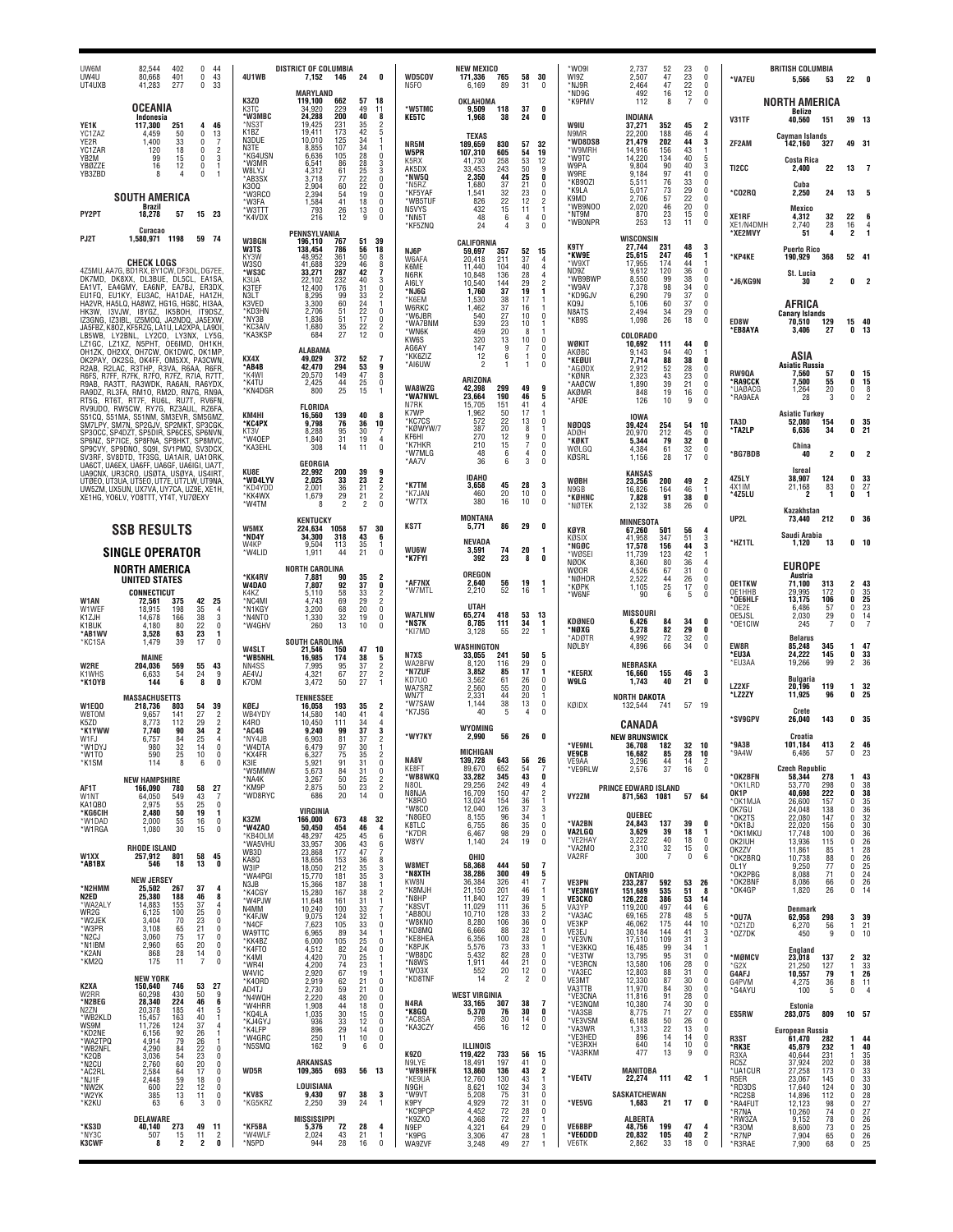| UW6M<br>UW4U<br>UT4UXB                        | 402<br>82,544<br>401<br>80,668<br>277<br>41,283                                                                                                   | 0<br>44<br>43<br>0<br>33<br>$\Omega$                                                      | 4U1WB                                                     | <b>DISTRICT OF COLUMBIA</b><br>7,152<br>146                      | 24<br>0                                                            | <b>WD5COV</b><br>N5FO                 | <b>NEW MEXICO</b><br>171,336<br>765<br>6,169<br>89               | 58<br>30<br>31<br>$\mathbf{0}$                                      | *WO9I<br>WI9Z<br>*NJ9R                 | 2,737<br>52<br>2,507<br>47<br>47<br>2,464                      | 23<br>$\mathbf 0$<br>23<br>$\mathbf 0$<br>22<br>$\mathbf 0$                                 | *VA7EU                               | <b>BRITISH COLUMBIA</b><br>5,566<br>53                       |                                | $22 \t 0$                        |
|-----------------------------------------------|---------------------------------------------------------------------------------------------------------------------------------------------------|-------------------------------------------------------------------------------------------|-----------------------------------------------------------|------------------------------------------------------------------|--------------------------------------------------------------------|---------------------------------------|------------------------------------------------------------------|---------------------------------------------------------------------|----------------------------------------|----------------------------------------------------------------|---------------------------------------------------------------------------------------------|--------------------------------------|--------------------------------------------------------------|--------------------------------|----------------------------------|
|                                               | <b>OCEANIA</b>                                                                                                                                    |                                                                                           | K3ZO<br>K3TC                                              | MARYLAND<br>119.100<br>662<br>34.920<br>229                      | 57<br>18<br>49<br>11                                               | *W5TMC                                | OKLAHOMA<br>9,509<br>118                                         | 37<br>0                                                             | *ND9G<br>*K9PMV                        | 492<br>16<br>112<br>8                                          | $\begin{array}{c} 12 \\ 7 \end{array}$<br>0<br>$\Omega$                                     |                                      | <b>NORTH AMERICA</b><br>Belize                               |                                |                                  |
| YE1K<br>YC1ZAZ                                | Indonesia<br>117,300<br>251<br>50<br>4.459                                                                                                        | 46<br>4<br>$\mathbf 0$<br>13                                                              | 'W3MBC<br>*NS3T<br>K <sub>1</sub> B <sub>Z</sub><br>N3DUE | 24,288<br>200<br>231<br>19.425<br>19,411<br>173<br>10,010<br>125 | 40<br>8<br>$\mathfrak{p}$<br>35<br>42<br>5<br>34<br>1              | <b>KE5TC</b>                          | 1,968<br>38<br><b>TEXAS</b>                                      | 24<br>0                                                             | W9IU<br>N9MR                           | INDIANA<br>352<br>37,271<br>22,200<br>188                      | 45<br>2<br>46<br>4                                                                          | V31TF                                | 40.560<br>151<br><b>Cavman Islands</b>                       |                                | 39 13                            |
| YE2R<br>YC <sub>17</sub> AR<br>YB2M<br>YBØZZE | 1,400<br>33<br>18<br>120<br>99<br>15                                                                                                              | -7<br>0<br>$\overline{2}$<br>$\mathbf 0$<br>3<br>0<br>$\mathbf 0$<br>-1                   | N3TF<br><b>*KG4USN</b><br>*W3MR                           | 107<br>8,855<br>6,636<br>105<br>6,541<br>86                      | 34<br>28<br>0<br>28                                                | NR5M<br>W5PR<br>K5RX                  | 189,659<br>830<br>107,310<br>605<br>41,730<br>258                | 57<br>32<br>19<br>54<br>53<br>12                                    | *WD8DSB<br>'W9MRH<br>*W9TC<br>W9PA     | 202<br>21,479<br>156<br>14,916<br>14,220<br>134<br>9.804<br>90 | 44<br>$\mathbf{3}$<br>43<br>1<br>40<br>5<br>40<br>3                                         | ZF2AM                                | 142,160<br>327<br><b>Costa Rica</b>                          |                                | 49 31                            |
| YB3ZBD                                        | 12<br>16<br>8<br>4                                                                                                                                | 0<br>$\overline{1}$                                                                       | <b>W8I Y.I</b><br>*AB3SX<br>K300                          | 4,312<br>61<br>3,718<br>77<br>2,904<br>60                        | $\frac{3}{3}$<br>25<br>22<br>0<br>22<br>0                          | AK5DX<br>*NW5Q<br>*N5R7               | 243<br>33,453<br>44<br>2,350<br>37<br>1.680                      | 50<br>9<br>25<br>0<br>21<br>$\theta$                                | W9RE<br>*KB90ZI<br>*K9LA               | 97<br>9,184<br>76<br>73<br>5,511<br>5,017                      | 41<br>$\mathbf 0$<br>$\substack{33 \\ 29}$<br>$\begin{smallmatrix} 0\\ 0 \end{smallmatrix}$ | TI2CC                                | 2.400<br>22<br>Cuba                                          | 13                             | -7                               |
| PY2PT                                         | <b>SOUTH AMERICA</b><br>Brazil<br>18,278<br>57                                                                                                    | 15 23                                                                                     | 'W3RCO<br>*W3FA<br>*W3TTT                                 | 2.394<br>54<br>1,584<br>41<br>793<br>26                          | 19<br>Ò<br>$\frac{18}{13}$<br>0<br>0                               | *KF5YAF<br>*WB5TUF<br>N5VYS           | 32<br>1,541<br>22<br>826<br>15<br>432                            | 23<br>0<br>12<br>$\overline{\mathbf{c}}$<br>11<br>1                 | K9MD<br>*WB9NOO<br>*NT9M               | 57<br>2,706<br>46<br>2,020<br>23<br>870                        | 22<br>$\mathbf 0$<br>$20\,$<br>0<br>15<br>$\mathbf 0$                                       | <b>CO2RQ</b>                         | 2,250<br>24<br>Mexico                                        | 13                             |                                  |
| PJ2T                                          | Curacao<br>1,580,971 1198                                                                                                                         | 59 74                                                                                     | *K4VDX<br><b>W3BGN</b>                                    | 12<br>216<br>PENNSYLVANIA<br>196,110                             | $\theta$<br>51<br>39                                               | *NN5T<br>*KF5ZNQ                      | 48<br>6<br>24                                                    | $\overline{4}$<br>0<br>3<br>$\Omega$                                | *WB0NPR                                | 13<br>253<br>WISCONSIN                                         | 11<br>$\mathbf{0}$                                                                          | XE1RF<br>XE1/N4DMH<br>*XE2MVY        | 32<br>4,312<br>28<br>2,740<br>51<br>4                        | 22<br>$16\,$<br>$\overline{c}$ | $\overline{4}$<br>$\mathbf{1}$   |
|                                               | <b>CHECK LOGS</b>                                                                                                                                 |                                                                                           | W3TS<br>KY3W<br>W3SO                                      | 767<br>138,454<br>786<br>48.952<br>361<br>329<br>41.688          | 56<br>18<br>50<br>8<br>8                                           | NJ6P<br>W6AFA<br>K6ME                 | CALIFORNIA<br>357<br>59,697<br>20,418<br>211                     | 52<br>15<br>37<br>$\overline{4}$                                    | <b>K9TY</b><br>*KW9E<br>*W9XT          | 27,744<br>231<br>247<br>25,615<br>17,955<br>174                | 48<br>3<br>1<br>46<br>44<br>$\mathbf{1}$                                                    | *KP4KE                               | <b>Puerto Rico</b><br>190,929<br>368                         |                                | 52 41                            |
| DK7MD,<br>EA1VT.                              | 4Z5MU, AA7G, BD1RX, BY1CW, DF3OL, DG7EE<br>DK8XX, DL3BUE, DL5CL, EA1SA<br>EA4GMY, EA6NP, EA7BJ, ER3DX,                                            |                                                                                           | ®WS3C<br>K3UA<br>K3TEF                                    | 33,271<br>287<br>232<br>176<br>22,102<br>12,400                  | $^{46}_{42}$<br>7<br>40<br>$\frac{3}{0}$<br>31                     | N6RK<br>AI6LY<br>*NJ6G                | 11.440<br>104<br>136<br>10,848<br>10,540<br>144<br>1,760<br>37   | 40<br>4<br>28<br>4<br>29<br>$\overline{2}$<br>19<br>1               | ND9Z<br>*WB9BWP<br>*W9AV               | 120<br>9.612<br>99<br>8,550<br>98<br>7.378                     | $\frac{36}{38}$<br>$\mathbf 0$<br>0<br>34<br>$\mathbf 0$                                    | *J6/KG9N                             | St Lucia<br>30<br>2                                          | 0                              |                                  |
| EU1FQ,                                        | EU1KY, EU3AC, HA1DAE, HA1ZH,<br>HA2VR, HA5LQ, HA8WZ, HG1G, HG8C, HI3AA<br>HK3W, I3VJW, I8YGZ, IK5BOH, IT9DSZ                                      |                                                                                           | N3LT<br>K3VED<br>*KD3HN                                   | 8,295<br>99<br>3,300<br>60<br>2,706<br>51                        | $\overline{\mathbf{c}}$<br>33<br>$^{24}_{22}$<br>-1<br>0           | *K6EM<br>W6RKC<br>*W6JBR              | 38<br>1,530<br>37<br>1,462<br>27<br>540                          | 17<br>-1<br>16<br>-1<br>10<br>$\mathbf{0}$                          | *KD9GJV<br>KQ9J<br>N8ATS               | 79<br>6,290<br>$\frac{60}{34}$<br>5,106<br>2,494               | $\overline{37}$<br>0<br>$\frac{37}{29}$<br>$\mathbf 0$<br>0                                 |                                      | AFRICA<br><b>Canary Islands</b>                              |                                |                                  |
| IZ3GNG,<br>LB5WB.                             | IZ3IBL, IZ5MOQ, JA2NDQ, JA5EXW<br>JA5FBZ, K8OZ, KF5RZG, LA1U, LA2XPA, LA9OI<br>LY2BNL, LY2CO, LY3NX, LY5G                                         |                                                                                           | *NY3B<br><b>KC3AIV</b><br>*КАЗКSP                         | 1,836<br>51<br>35<br>27<br>1.680<br>684                          | 17<br>0<br>$\overline{2}$<br>$^{22}_{12}$<br>$\bar{0}$             | *WA7BNM<br>*WN6K<br>KW6S              | 539<br>23<br>20<br>459<br>320<br>13                              | 10<br>8<br>-1<br>10<br>0                                            | *KB9S                                  | 26<br>1,098<br>COLORADO                                        | 18<br>$\mathbf{0}$                                                                          | ED8W<br>*EB8AYA                      | 129<br>70,510<br>27<br>3,406                                 | 15<br>0                        | 40<br>13                         |
| LZ1GC,                                        | LZ1XZ, N5PHT, OE6IMD, OH1KH<br>OH1ZK, OH2XX, OH7CW, OK1DWC, OK1MP<br>OK2PAY, OK2SG, OK4FF, OM5XX, PA3CWN<br>R2AB, R2LAC, R3THP, R3VA, R6AA, R6FR, |                                                                                           | KX4X<br>*AB4B                                             | <b>ALABAMA</b><br>372<br>49,029<br>42,470<br>294                 | 52<br>$\overline{7}$<br>53<br>9                                    | AG6AY<br>*KK6ZIZ<br>*AI6UW            | 147<br>9<br>12<br>6<br>$\overline{c}$<br>1                       | $\mathbf{0}$<br>7<br>0<br>$\mathbf{1}$<br>$\theta$                  | WØKIT<br>AKØBC<br>*KEØUI               | 10,692<br>111<br>9,143<br>94<br>88<br>7,714                    | 44<br>0<br>40<br>-1<br>38<br>0                                                              |                                      | ASIA<br><b>Asiatic Russia</b>                                |                                |                                  |
|                                               | R6FS, R7FF, R7FK, R7FO, R7FZ, R7IA, R7TT,<br>R9AB, RA3TT, RA3WDK, RA6AN, RA6YDX<br>RA9DZ, RL3FA, RM10, RM2D, RN7G, RN9A                           |                                                                                           | *K4WI<br>*K4TU<br>*KN4DGR                                 | 149<br>20,570<br>2,425<br>44<br>25<br>800                        | 47<br>8<br>$^{25}_{15}$<br>$\bf{0}$<br>-1                          | WA8WZG                                | ARIZONA<br>299<br>42,398                                         | 49<br>9                                                             | *AGØDX<br>*KØNR<br>*AAØCW<br>AKØMR     | $\frac{52}{43}$<br>2,912<br>2,323<br>39<br>1,890<br>19<br>848  | $^{28}_{23}$<br>0<br>$\mathbf 0$<br>21<br>0<br>16<br>$^{\circ}$                             | <b>RW90A</b><br>*RA9CCK<br>*UAØACG   | 7,560<br>57<br>7,500<br>55<br>20<br>1,264                    | 0<br>0<br>0                    | 15<br>15<br>$\frac{8}{2}$        |
|                                               | RT5G, RT6T, RT7F, RU6L, RU7T, RV6FN<br>RV9UDO, RW5CW, RY7G, RZ3AUL, RZ6FA<br>S51CQ, S51MA, S51NM, SM3EVR, SM5GMZ                                  |                                                                                           | KM4HI                                                     | FLORIDA<br>139<br>16,560                                         | 40<br>8                                                            | *WA7NWL<br>N7RK<br>K7WP               | 23,664<br>190<br>151<br>15,705<br>50<br>1,962                    | 46<br>5<br>41<br>4<br>17<br>-1                                      | *AFØE                                  | 126<br>10<br><b>IOWA</b>                                       | 9<br>$\Omega$                                                                               | *RA9AEA                              | 3<br>28<br><b>Asiatic Turkey</b>                             | $\mathbf 0$                    |                                  |
|                                               | SM7LPY, SM7N, SP2GJV, SP2MKT, SP3CGK<br>SP3OCC, SP4DZT, SP5DIR, SP6CES, SP6NVN<br>SP6NZ, SP7ICE, SP8FNA, SP8HKT, SP8MVC.                          |                                                                                           | *KC4PX<br>KT3V<br>*W40EP                                  | 76<br>9,798<br>95<br>8,288<br>31<br>1.840                        | 36<br>10<br>30<br>7<br>19<br>4                                     | *KC7CS<br>*KØWYW/7<br>KF6HI<br>*K7HKR | 22<br>572<br>387<br>20<br>12<br>270<br>210<br>15                 | 0<br>13<br>8<br>-1<br>9<br>$\mathbf{0}$<br>7<br>0                   | NØDQS<br>ADØH<br>*KØKT                 | 39,424<br>254<br>212<br>20,970<br>5,344<br>79                  | 54<br>10<br>45<br>0<br>32<br>0                                                              | TA3D<br>'TA2LP                       | 154<br>52,080<br>6,636<br>34                                 | 0                              | 35<br>0 <sub>21</sub>            |
|                                               | SP9CVY, SP9DNO, SQ9I, SV1PMQ, SV3DCX<br>SV3RF, SV8DTD, TF3SG, UA1AIR, UA1ORK<br>UA6CT, UA6EX, UA6FF, UA6GF, UA6IGI, UA7T                          |                                                                                           | *KA3EHL                                                   | 308<br>14<br>GEORGIA                                             | 11<br>$\mathbf{0}$                                                 | *W7MLG<br>*AA7V                       | 48<br>6<br>36<br>6                                               | 0<br>$\overline{4}$<br>3<br>0                                       | <b>WØLGQ</b><br>KØSRL                  | 61<br>4,384<br>1,156<br>28                                     | 32<br>$\mathbf 0$<br>17<br>$\Omega$                                                         | *BG7BDB                              | China<br>40<br>2<br>Isreal                                   | 0                              | $\overline{2}$                   |
|                                               | UA9CNX, UR3CRO, USØTA, USØYA, US4IRT,<br>UTØEO, UT3UA, UT5EO, UT7E, UT7LW, UT9NA<br>UW5ZM, UX5UN, UX7VA, UY7CA, UZ9E, XE1H,                       |                                                                                           | KU8E<br>'WD4LYV<br>*KD4YDD<br>*KK4WX                      | 22.992<br>200<br>2,025<br>33<br>2,001<br>36<br>1,679<br>29       | 39<br>9<br>23<br>2<br>$\overline{2}$<br>21<br>$\overline{c}$<br>21 | *K7TM<br>*K7JAN                       | <b>IDAHO</b><br>45<br>3,658<br>20<br>460                         | $\substack{ \textbf{28} \\ \textbf{10} }$<br>3<br>0                 | WØBH<br>N9GB<br>*KØHNC                 | <b>KANSAS</b><br>23,256<br>200<br>16,826<br>164<br>91          | 49<br>2<br>46<br>1<br>38<br>$\mathbf{0}$                                                    | 4Z5LY<br>4X1IM<br>*4Z5LU             | 38,907<br>124<br>21,168<br>83<br>1<br>2                      | 0<br>$\bf{0}$<br>0             | 33<br>27<br>-1                   |
|                                               | XE1HG, YO6LV, YO8TTT, YT4T, YU7ØEXY                                                                                                               |                                                                                           | *W4TM                                                     | $\overline{2}$<br>8<br><b>KENTUCKY</b>                           | $\overline{2}$<br>$\theta$                                         | *W7TX                                 | 380<br>16<br>MONTANA                                             | 10<br>$\mathbf{0}$                                                  | *NØTEK                                 | 7,828<br>38<br>2.132<br><b>MINNESOTA</b>                       | 26<br>0                                                                                     | UP2L                                 | Kazakhstan<br>73,440<br>212                                  |                                | 0 <sub>36</sub>                  |
|                                               | <b>SSB RESULTS</b>                                                                                                                                |                                                                                           | W5MX<br>*ND4Y<br>W4KP                                     | 1058<br>224,634<br>34,300<br>318<br>113<br>9.504                 | 57<br>30<br>43<br>6<br>35<br>-1                                    | <b>KS7T</b>                           | 86<br>5,771<br><b>NEVADA</b>                                     | 29<br>0                                                             | <b>KØYR</b><br>KØSIX<br>*NGØC          | 67,260<br>501<br>41,958<br>347<br>156<br>17,578                | 4<br>56<br>51<br>3<br>3                                                                     | *HZ1TL                               | Saudi Arabia<br>1,120<br>13                                  |                                | 0 <sub>10</sub>                  |
|                                               | <b>SINGLE OPERATOR</b><br>NORTH AMERICA                                                                                                           |                                                                                           | *W4LID                                                    | 1,911<br>44<br><b>NORTH CAROLINA</b>                             | 21<br>$\mathbf{0}$                                                 | <b>WU6W</b><br>*K7FYI                 | 3,591<br>74<br>392<br>23<br><b>OREGON</b>                        | 20<br>1<br>0<br>8                                                   | 'WØSEI<br><b>NØOK</b><br>WØOR          | 123<br>11.739<br>80<br>8,360<br>67<br>4,526                    | $\frac{44}{42}$<br>1<br>36<br>4<br>31<br>$\mathbf 0$                                        |                                      | <b>EUROPE</b>                                                |                                |                                  |
|                                               | <b>UNITED STATES</b><br><b>CONNECTICUT</b>                                                                                                        |                                                                                           | *KK4RV<br>W4DAO<br>K4K7                                   | 7.881<br>90<br>7,807<br>92<br>58<br>5,110                        | 35<br>$\overline{2}$<br>37<br>0<br>33<br>$\frac{2}{2}$             | *AF7NX<br>*W7MTL                      | 2,640<br>56<br>2,210<br>52                                       | 19<br>$\mathbf{1}$<br>16<br>$\overline{1}$                          | *NØHDR<br>*KØPK<br>*W6NF               | 2,522<br>44<br>25<br>1,105<br>90<br>6                          | 26<br>$\mathbf 0$<br>17<br>$\mathbf 0$<br>5<br>$\mathbf 0$                                  | <b>OE1TKW</b><br>OE1HHB<br>*OE6HLF   | Austria<br>71.100<br>313<br>172<br>29.995<br>13,175<br>106   | 2<br>ō<br>0                    | 43<br>35<br>25                   |
| W1AN<br>W1WEF<br>K1ZJH<br>K1BUK               | 72,561<br>375<br>18.915<br>198<br>14,678<br>166<br>4.180<br>80                                                                                    | 42<br>25<br>$\frac{35}{38}$<br>$\frac{4}{3}$<br>$\pmb{0}$                                 | *NC4MI<br>*N1KGY<br>*N4NTO<br>*W4GHV                      | 4,743<br>69<br>3.200<br>68<br>32<br>1,330<br>13<br>260           | 29<br>$\mathbf{0}$<br>20<br>19<br>0<br>10<br>$\mathbf{0}$          | <b>WA7LNW</b><br>*NS7K                | UTAH<br>418<br>65,274<br>8,785<br>111                            | 53<br>- 13<br>34<br>-1                                              | KDØNEO                                 | <b>MISSOURI</b><br>6,426<br>84                                 | 34<br>0                                                                                     | *OE2E<br>OE5JSL<br>*OE1CIW           | 6,486<br>57<br>2,030<br>29<br>7<br>245                       | 0<br>0<br>0                    | 23<br>$\frac{14}{7}$             |
| *AB1WV<br>*KC1SA                              | 63<br>3,528<br>39<br>1,479                                                                                                                        | $\frac{22}{23}$<br>1<br>17<br>$\mathbf 0$                                                 | W4SLT                                                     | <b>SOUTH CAROLINA</b><br>21,546<br>150                           | 47<br>10                                                           | *KI7MD                                | 55<br>3,128<br>WASHINGTON                                        | 22<br>-1                                                            | *NØXG<br>*ADØTR<br>NØLBY               | 5,278<br>82<br>72<br>4,992<br>66<br>4,896                      | 29<br>0<br>32<br>0<br>34<br>$\Omega$                                                        | EW8R                                 | <b>Belarus</b><br>85,248<br>345                              | 1                              | 47                               |
| <b>W2RE</b><br>K1WHS                          | MAINE<br>569<br>204,036<br>6,633<br>54                                                                                                            | 55<br>43<br>24<br>9                                                                       | *WB5NHL<br>NN4SS<br>AE4VJ                                 | 16,985<br>174<br>95<br>7,995<br>4,321<br>67                      | 38<br>5<br>37<br>$\overline{c}$<br>$\overline{2}$<br>27            | N7XS<br>WA2BFW<br>*N7ZUF<br>KD7U0     | 33,055<br>241<br>8.120<br>116<br>3,852<br>85<br>61<br>3.562      | 50<br>5<br>29<br>0<br>17<br>1<br>0<br>26                            | *KE5RX                                 | NEBRASKA<br>155<br>16,660                                      | 46<br>3                                                                                     | *EU3A<br>*EU3AA                      | 24,222<br>145<br>19,266<br>99<br><b>Bulgaria</b>             | 0<br>$\overline{2}$            | 33<br>- 36                       |
| *K10YB                                        | 144<br>6<br><b>MASSACHUSETTS</b>                                                                                                                  | 0<br>8                                                                                    | K70M                                                      | 50<br>3,472<br><b>TENNESSEE</b>                                  | 27<br>$\overline{1}$                                               | WA7SRZ<br>WN7T<br>*W7SAW              | 2,560<br>55<br>2.331<br>44<br>38<br>1,144                        | 20<br>0<br>20<br>-1<br>13<br>0                                      | <b>W9LG</b><br>KØIDX                   | 1,743<br>40<br><b>NORTH DAKOTA</b>                             | 21<br>0<br>57<br>19                                                                         | LZ2XF<br>*LZ2ZY                      | 20,196<br>119<br>11,925<br>96                                | $\mathbf{1}$<br>0              | 32<br>25                         |
| W1EQ0<br>W8TOM<br>K5ZD<br>*K1YWW              | 218,736<br>803<br>141<br>9.657<br>8,773<br>112<br>7.740<br>90                                                                                     | 54<br>39<br>27<br>29<br>$\overline{2}$<br>$\overline{2}$<br>34<br>$\overline{\mathbf{2}}$ | KØEJ<br>WB4YDY<br>K4RO<br>*AC4G                           | 16,058<br>193<br>140<br>14,580<br>10,450<br>111<br>9.240<br>99   | 35<br>2<br>41<br>$\overline{4}$<br>34<br>4<br>37<br>3              | *K7JSG                                | 40<br>5<br>WYOMING                                               | $\theta$<br>$\overline{4}$                                          |                                        | 132,544<br>-741<br>CANADA                                      |                                                                                             | *SV9GPV                              | Crete<br>143<br>26,040                                       |                                | 0 <sub>35</sub>                  |
| W1FJ<br>*W1DYJ<br>*W1TO                       | 6,757<br>84<br>980<br>$\frac{32}{25}$<br>590                                                                                                      | 25<br>4<br>14<br>$\mathbf 0$<br>10<br>n                                                   | *NY4JB<br>*W4DTA<br>*KX4FR                                | 6,903<br>81<br>6.479<br>97<br>6,327<br>75                        | 37<br>$\overline{2}$<br>30<br>1<br>35<br>2                         | *WY7KY                                | 56<br>2,990<br>MICHIGAN                                          | 26<br>0                                                             | *VE9ML<br><b>VE9CB</b>                 | <b>NEW BRUNSWICK</b><br>182<br>36,708<br>16,682<br>85          | 32<br>- 10<br>28<br>10                                                                      | $*9A3B$<br>*9A4W                     | Croatia<br>413<br>101.184<br>6.486<br>57                     | $\Omega$                       | 2 46<br>23                       |
| *K1SM                                         | 114<br>8<br><b>NEW HAMPSHIRE</b>                                                                                                                  | 6<br>$\mathbf{0}$                                                                         | K3IF<br>'W5MMW<br>*NA4K                                   | 5,921<br>91<br>5,673<br>84<br>50<br>3,267                        | 31<br>0<br>31<br>0<br>25<br>$\overline{2}$                         | NA8V<br>KE8FT<br>*WB8WKQ              | 139.728<br>652<br>89,670<br>33,282<br>345                        | 643 56 26<br>54<br>-7<br>43<br>0                                    | VE9AA<br>*VE9RLW                       | 3.296<br>44<br>37<br>2,576                                     | 14<br>16<br>0                                                                               | *OK2BFN                              | <b>Czech Republic</b><br>58,344<br>278                       | 1                              | 43                               |
| AF1T<br>W1NT<br>KA1QBO                        | 166,090<br>780<br>549<br>64,050<br>55<br>2.975                                                                                                    | 58<br>27<br>$\overline{7}$<br>43<br>25<br>0                                               | *KM9P<br>*WD8RYC                                          | 50<br>2,875<br>20<br>686                                         | 23<br>$\overline{2}$<br>14<br>$\mathbf{0}$                         | N8OL<br>N8NJA<br>*K8RO<br>*W8CO       | 242<br>29,256<br>16,709<br>150<br>154<br>13,024<br>12,040<br>126 | 49<br>$\overline{4}$<br>47<br>$\overline{2}$<br>36<br>-1<br>3<br>37 | VY2ZM                                  | PRINCE EDWARD ISLAND<br>871,563<br>1081                        | 57 64                                                                                       | *OK1LRD<br>OK1P<br>*OK1MJA<br>OK7GU  | 298<br>53,770<br>222<br>40,698<br>157<br>26,600<br>24,048    | 0<br>0<br>0<br>$\mathbf{0}$    | 38<br>38<br>35<br>36             |
| *KG6CIH<br>*W1DAD<br>*W1RGA                   | 50<br>2,480<br>55<br>2,000<br>30<br>1,080                                                                                                         | 19<br>$\mathbf{1}$<br>16<br>0<br>15<br>0                                                  | K3ZM<br>*W4ZAO<br>*KB40LM                                 | VIRGINIA<br>166.000<br>673<br>50,450<br>454                      | 48<br>32<br>46<br>4                                                | *N8GEO<br>K8TLC<br>*K7DR              | 96<br>8,155<br>6,755<br>86<br>6,467<br>98                        | 34<br>-1<br>35<br>0<br>29<br>0                                      | *VA2BN<br>VA2LGQ                       | QUEBEC<br>24,843<br>137<br>3,629<br>39                         | 39<br>0<br>18<br>$\mathbf{1}$                                                               | *OK2TS<br>*OK1BJ<br>*OK1MKU          | 138<br>22,080<br>147<br>22,020<br>156<br>17,748<br>100       | 0<br>0<br>0                    | 32<br>30<br>36                   |
| W1XX                                          | <b>RHODE ISLAND</b><br>257,912<br>801                                                                                                             | 58<br>45                                                                                  | *WA5VHU<br>WB3D<br>KA80                                   | 48,297<br>425<br>33,957<br>306<br>23,868<br>177<br>18,656<br>153 | 45<br>6<br>43<br>6<br>47<br>7<br>36<br>8                           | W8YV                                  | 1,140<br>24<br>OHIO                                              | 19<br>0                                                             | *VE2HAY<br>*VA2MO<br>VA2RF             | 3,222<br>40<br>32<br>2,310<br>$\overline{7}$<br>300            | 18<br>$\mathbf 0$<br>15<br>0<br>0<br>6                                                      | OK2IUH<br>OK2ZV<br>*OK2BRQ           | 13,936<br>115<br>11,861<br>85<br>10,738<br>88                | 0<br>1<br>0                    | 26<br>28<br>26                   |
| *AB1BX                                        | 546<br>18<br><b>NEW JERSEY</b>                                                                                                                    | 13<br>0                                                                                   | W3IP<br>*WA4PGI<br>N3JB                                   | 18,050<br>212<br>181<br>15,770<br>15,366<br>187                  | 35<br>$\frac{3}{3}$<br>35<br>38<br>1                               | W8MET<br>*N8XTH<br>KW8N               | 58,368<br>444<br>300<br>38,286<br>36,384<br>326                  | 50<br>7<br>49<br>5<br>41                                            | VE3PN                                  | <b>ONTARIO</b><br>233,287<br>592                               | 53<br>26                                                                                    | OL1Y<br>*OK2PBG<br>*OK2BNF           | 9,250<br>77<br>8,088<br>71<br>8,086<br>$\frac{66}{26}$       | 0<br>0<br>$\mathbf 0$          | 25<br>24<br>26                   |
| *N2HMM<br>N2ED<br>*WA2ALY<br>WR2G             | 25,502<br>267<br>25.380<br>188<br>14,883<br>155<br>6,125<br>100                                                                                   | 37<br>4<br>46<br>8<br>37<br>4<br>25<br>$\mathbf 0$                                        | *K4CGY<br>*W4PJW<br>N4MM                                  | 15,280<br>167<br>11,648<br>161<br>10,240<br>100                  | $\sqrt{2}$<br>38<br>31<br>$\mathbf{1}$<br>$\overline{7}$<br>33     | *K8MJH<br>*N8HP<br>*K8SVT             | 21,150<br>201<br>11,840<br>127<br>11,029<br>111                  | 46<br>-1<br>39<br>-1<br>36<br>5                                     | *VE3MGY<br><b>VE3CKO</b><br>VA3YP      | 151,689<br>535<br>386<br>126,228<br>119,200<br>497             | 51<br>8<br>53<br>14<br>44<br>6                                                              | *OK4GP                               | 1,820<br><b>Denmark</b>                                      | 0                              | 14                               |
| *W2JEK<br>*W3PR<br>*N2CJ                      | 3,404<br>70<br>$\frac{65}{75}$<br>3.108<br>3,060                                                                                                  | 23<br>0<br>$^{21}_{17}$<br>0<br>0                                                         | *K4FJW<br>*N4CF<br><b>WA9TTC</b>                          | 9,075<br>124<br>7,623<br>105<br>6,965<br>89                      | 32<br>$\overline{1}$<br>33<br>0<br>34<br>1                         | *AB80U<br>*W8KNO<br>*KD8MQ<br>*KE8HEA | 10,710<br>128<br>8.280<br>106<br>6,666<br>88<br>6,356<br>100     | 33<br>$\overline{2}$<br>$\bf{0}$<br>36<br>32<br>28<br>$\mathbf 0$   | *VA3AC<br>VE3KP<br>VE3EJ               | 278<br>69,165<br>46,062<br>175<br>30.184<br>144                | 48<br>5<br>44<br>10<br>41<br>3                                                              | *0U7A<br>*0Z1ZD<br>*OZ7DK            | 62,958<br>298<br>6,270<br>56<br>9<br>450                     | $\mathbf{1}$                   | 3 39<br>21<br>0, 10              |
| *N1IBM<br>*K2AN<br>*KM20                      | 2,960<br>65<br>28<br>868<br>175<br>11                                                                                                             | 20<br>0<br>14<br>0<br>$\overline{7}$<br>0                                                 | *KK4BZ<br>*K4FT0<br>*K4MI                                 | 6,000<br>105<br>4,512<br>82<br>70<br>4,420                       | 25<br>0<br>24<br>0<br>25<br>$\overline{1}$                         | *K8PJK<br>*WB8DC<br>*N8WS             | 5,576<br>73<br>5,432<br>82<br>1,911<br>44                        | 33<br>-1<br>28<br>0<br>21<br>0                                      | *VE3VN<br>*VE3KKQ<br>*VE3TW<br>*VE3RCN | 17,510<br>109<br>99<br>16,485<br>95<br>13,795<br>13,580<br>106 | 31<br>3<br>34<br>1<br>31<br>0<br>28<br>$\mathbf{0}$                                         | *MØMCV                               | England<br>23,018<br>137                                     | 2                              | 32                               |
| K2XA                                          | <b>NEW YORK</b><br>150,640<br>746                                                                                                                 | 53<br>27                                                                                  | *WR4I<br>W4VIC<br>*K4ORD<br>AD4TJ                         | 4,200<br>74<br>2,920<br>67<br>2,919<br>62                        | 23<br>1<br>19<br>$\overline{1}$<br>21<br>0<br>$\mathbf 0$<br>21    | *WO3X<br>*KD8TNF                      | 20<br>552<br>2<br>14                                             | $\begin{array}{c} 12 \\ 2 \end{array}$<br>0<br>0                    | *VA3EC<br>VE3MT<br>VA3TTB              | 12,803<br>88<br>12,330<br>11,970<br>$\frac{87}{84}$            | 31<br>0<br>$\substack{30\\30}$<br>$\begin{smallmatrix} 0\\ 0 \end{smallmatrix}$             | *G2X<br>G4AFJ<br>G4PVM               | 21,250<br>127<br>79<br>10,557<br>36<br>4,275<br>5            | 1<br>1<br>8<br>0               | 33<br>26<br>11<br>$\overline{4}$ |
| W2RR<br>*N2BEG<br>N2ZN                        | 60.298<br>430<br>224<br>28,340<br>20,378<br>185                                                                                                   | $\overset{9}{\mathbf{6}}$<br>$\frac{50}{46}$<br>41<br>5                                   | *N4WQH<br>*W4HRR<br>*KQ4LA                                | 2,730<br>59<br>48<br>1,908<br>44<br>1,035<br>30                  | $\overline{20}$<br>0<br>18<br>0<br>0<br>15                         | N4RA<br>*K8GQ                         | <b>WEST VIRGINIA</b><br>33,165<br>307<br>76<br>5,370             | 38<br>7<br>30<br>0                                                  | *VE3CNA<br>*VE3NQM<br>*VA3SB           | 91<br>11,816<br>74<br>10,380<br>71<br>8,775                    | 28<br>0<br>30<br>0<br>27<br>$\mathbf 0$                                                     | *G4AYU<br><b>ES5RW</b>               | 100<br>Estonia<br>283,075<br>809                             |                                | 10 57                            |
| *WB2KLD<br>WS9M<br>*KD2NE<br>*WA2TPQ          | 163<br>124<br>15,457<br>11,726<br>6,156<br>92<br>4,914                                                                                            | $\frac{40}{37}$<br>$\mathbf{1}$<br>4<br>26<br>$\mathbf{1}$<br>1                           | *KJ4GYJ<br>*K4LFP<br>*W4GRC                               | 33<br>936<br>29<br>896<br>250<br>11                              | 12<br>0<br>0<br>14<br>10<br>0                                      | *AC8SA<br>*KA3CZY                     | 798<br>30<br>456<br>16                                           | 14<br>0<br>$\mathbf{0}$<br>12                                       | *VE3VSM<br>*VA3WR<br>*VE3HED           | 50<br>6,188<br>22<br>1,313<br>14<br>896                        | 26<br>0<br>13<br>0<br>14<br>$\Omega$                                                        | R3ST                                 | European Russia<br>61,470<br>282                             |                                | 44                               |
| *WB2NFL<br>*K2QB<br>*N2CU                     | $\frac{79}{84}$<br>4,290<br>3,036<br>2,760                                                                                                        | 26<br>22<br>23<br>Ò<br>0<br>$^{20}_{17}$<br>0                                             | *N5SMQ                                                    | 9<br>162<br><b>ARKANSAS</b>                                      | 6<br>$\mathbf{0}$                                                  | K9ZO<br>N9LYE                         | ILLINOIS<br>119,422<br>733<br>18,491<br>197                      | 56<br>15<br>41<br>0                                                 | *VE3RXH<br>*VA3RKM                     | 640<br>14<br>477<br>13                                         | 10<br>$\mathbf 0$<br>9<br>$\mathbf 0$                                                       | *ВКЗЕ<br>R3XA<br>RC5Z                | 45,879<br>232<br>40,644<br>231<br>202<br>37,924              | 1<br>1<br>0                    | 40<br>35<br>38                   |
| *AC2RL<br>*NJ1F<br>*NW2K                      | $60$<br>$64$<br>2,584<br>59<br>2,448<br>$\frac{22}{13}$<br>600                                                                                    | 0<br>18<br>0<br>$\frac{12}{11}$<br>$\begin{smallmatrix} 0 \\ 0 \end{smallmatrix}$         | WD5R                                                      | 693<br>109,365<br>LOUISIANA                                      | 56 13                                                              | *WB9HFK<br>*KE9UA<br>N9GH             | 13,860<br>136<br>130<br>12,760<br>8,621<br>102                   | 43<br>2<br>43<br>-1<br>34<br>3<br>Ò                                 | *VE4TV                                 | <b>MANITOBA</b><br>22,274<br>111                               | 42<br>$\blacksquare$                                                                        | *UA1CUR<br>R5ER<br>*RD3DS            | 27,258<br>173<br>23,067<br>145<br>17,640<br>124              | $\mathbf{0}$<br>0<br>0         | 33<br>33<br>30                   |
| *W2YK<br>*K2KU                                | 385<br>63<br>6<br>DELAWARE                                                                                                                        | 3<br>0                                                                                    | *KV8S<br>*KG5KRZ                                          | 9,430<br>97<br>2,250<br>39<br><b>MISSISSIPPI</b>                 | 38<br>- 3<br>24<br>-1                                              | *W9VT<br>K9PY<br>*KC9PCP<br>*K9ZXO    | 75<br>5,208<br>4,929<br>72<br>72<br>4,452<br>72<br>4,368         | 31<br>31<br>0<br>28<br>0<br>27                                      | *VE5VG                                 | <b>SASKATCHEWAN</b><br>1,683<br>21<br><b>ALBERTA</b>           | 17<br>0                                                                                     | *RC2SB<br>*RA4FUT<br>*R7NA<br>*RW3ZA | 112<br>14,896<br>12,123<br>98<br>10,260<br>74<br>9,152<br>78 | 0<br>0<br>$\Omega$<br>$\Omega$ | 28<br>27<br>27<br>26             |
| *KS3D<br>*NY3C<br><b>K3CWF</b>                | 40,140<br>273<br>15<br>507<br>$\overline{c}$<br>8                                                                                                 | 49<br>11<br>$\overline{\mathbf{c}}$<br>11<br>2<br>0                                       | *KF5BA<br>*W4WLF<br>*N5PD                                 | 72<br>5,376<br>43<br>2,024<br>28<br>944                          | 28<br>4<br>21<br>1<br>16<br>$\bf{0}$                               | N9EP<br>*K9PG<br>WA9ZVF               | 4,321<br>64<br>3,306<br>47<br>3,248<br>49                        | 29<br>0<br>28<br>27<br>-1                                           | <b>VE6BBP</b><br>*VE6DDD<br>VE6TK      | 199<br>48,756<br>20,832<br>105<br>33<br>2,862                  | 47<br>4<br>$\boldsymbol{2}$<br>40<br>18<br>0                                                | *R30M<br>*R7NP<br>*R3RAE             | 73<br>8,600<br>7,904<br>65<br>7,900<br>68                    | $\Omega$<br>0                  | 25<br>26<br>0 <sub>25</sub>      |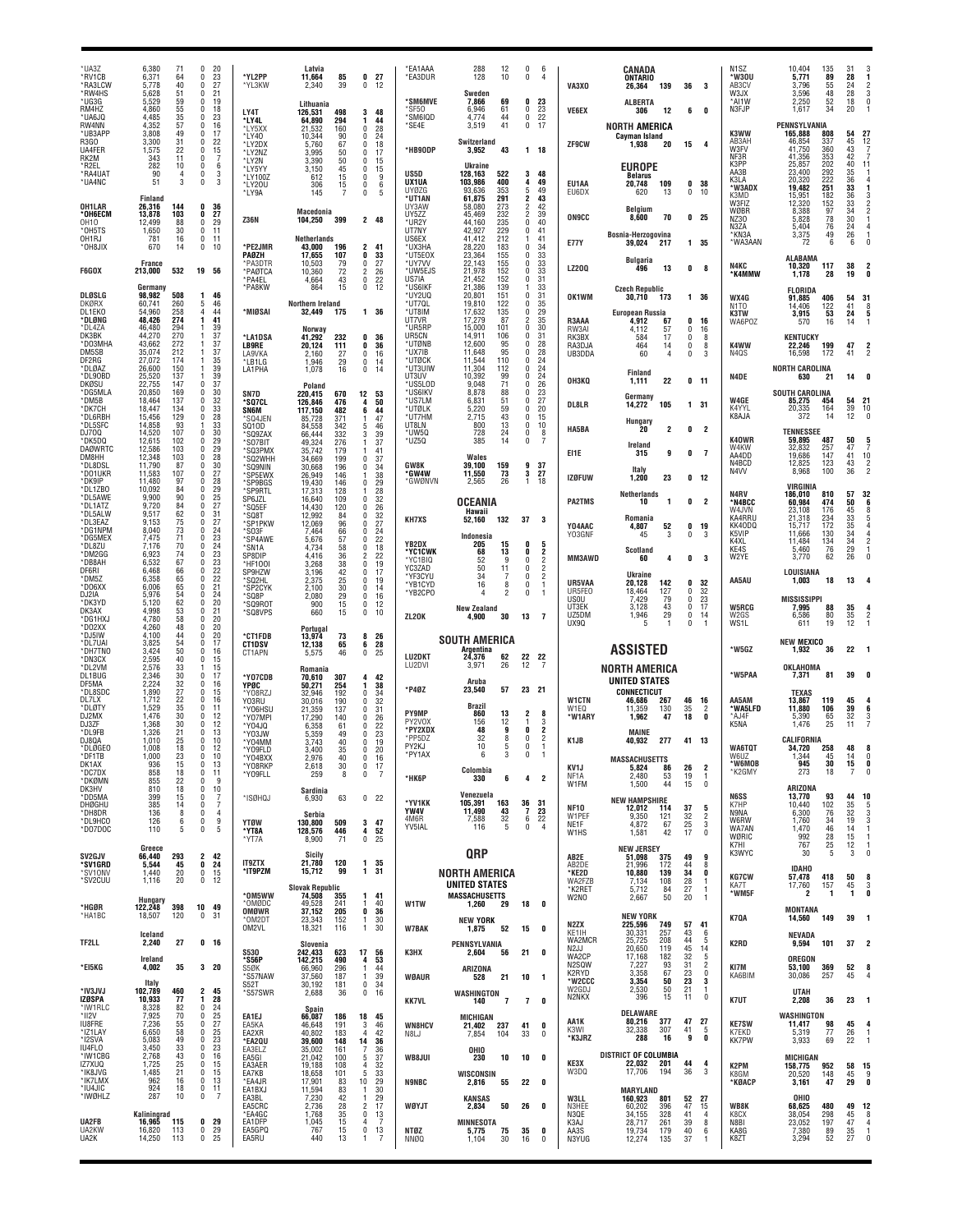| *UA3Z<br>*RV1CB<br>*RA3LCW<br>*RW4HS          | 6,380<br>6,371<br>5.778<br>5,628     | 71<br>64<br>40<br>51                                    | $\mathbf{0}$<br>20<br>23<br>0<br>27<br>$\theta$<br>0<br>21                        | *YL2PP<br>*YL3KW                          | Latvia<br>11,664<br>2,340                  | 85<br>39                 | 0<br>27<br>0<br>12                                     | <b>EA1AAA</b><br>*EA3DUR                           | 288<br>128<br>Sweden                                 | 12<br>10                 | $\mathbf 0$<br>-6<br>0<br>4                                                                                  | VA3XO                                      | CANADA<br><b>ONTARIO</b><br>26,364<br>139                         | 36                   | -3                                          | N <sub>1</sub> SZ<br>*W30U<br>AB <sub>3</sub> CV<br>W3JX | 10.404<br>5,771<br>3.796<br>3,596                     | 135<br>89<br>55<br>48    | 31<br>28<br>24<br>28                              | 2<br>3                                       |
|-----------------------------------------------|--------------------------------------|---------------------------------------------------------|-----------------------------------------------------------------------------------|-------------------------------------------|--------------------------------------------|--------------------------|--------------------------------------------------------|----------------------------------------------------|------------------------------------------------------|--------------------------|--------------------------------------------------------------------------------------------------------------|--------------------------------------------|-------------------------------------------------------------------|----------------------|---------------------------------------------|----------------------------------------------------------|-------------------------------------------------------|--------------------------|---------------------------------------------------|----------------------------------------------|
| *UG3G<br>RM4HZ<br>*UA6JQ<br>RW4NN             | 5,529<br>4,860<br>4.485<br>4,352     | 59<br>55<br>35<br>57                                    | $\mathbf{0}$<br>19<br>18<br>0<br>23<br>$\Omega$<br>16<br>0                        | LY4T<br><b>LY4L</b>                       | Lithuania<br>126,531<br>64,890             | 498<br>294               | 3<br>48<br>1<br>44                                     | <b><i>*SM6MVE</i></b><br>*SF50<br>*SM6IQD<br>*SE4E | 7.866<br>6,946<br>4.774<br>3,519                     | 69<br>61<br>44<br>41     | 0<br>23<br>23<br>0<br>22<br>$\mathbf 0$<br>0<br>17                                                           | <b>VE6EX</b>                               | <b>ALBERTA</b><br>306<br>12<br>NORTH AMERICA                      | 6                    | 0                                           | *AI1W<br>N3FJP                                           | 2.250<br>1,617<br>PENNSYLVANIA                        | 52<br>34                 | 18<br>20                                          | $\theta$                                     |
| *UB3APP<br>R3GO<br>UA4FER                     | 3,808<br>3,300<br>1,575              | 49<br>31<br>22                                          | 17<br>$\Omega$<br>22<br>$\Omega$<br>15<br>$\Omega$                                | *LY5XX<br>*LY40<br>*LY2DX<br>*LY2NZ       | 21,532<br>10,344<br>5,760<br>3.995         | 160<br>90<br>67<br>50    | 0<br>28<br>24<br>$\Omega$<br>$\Omega$<br>18<br>0<br>17 | *HB9ODP                                            | Switzerland<br>3,952                                 | 43                       | $1 18$                                                                                                       | ZF9CW                                      | Cayman Island<br>20<br>1.938                                      | 15                   | -4                                          | K3WW<br>AB3AH<br>W3FV                                    | 165,888<br>46,854<br>41,750                           | 808<br>337<br>360        | 54<br>45<br>43                                    | $^{27}_{12}$                                 |
| RK2M<br>*R2EL<br>*RA4UA1                      | 343<br>282<br>90                     | 11<br>10<br>4                                           | $\overline{7}$<br>$\Omega$<br>$\Omega$<br>6<br>$\Omega$<br>3                      | *LY2N<br>*LY5YY<br>*LY100Z                | 3,390<br>3,150<br>612                      | 50<br>45<br>15           | $\Omega$<br>15<br>15<br>$\Omega$<br>0<br>9             | <b>IIS50</b>                                       | Ukraine<br>128,163                                   | 522                      | 48<br>3                                                                                                      |                                            | <b>EUROPE</b><br><b>Belarus</b>                                   |                      |                                             | NF3R<br>K3PP<br>AA3B<br>K3LA                             | 41,356<br>25.857<br>23,400<br>20,320                  | 353<br>202<br>292<br>222 | 42<br>40<br>$\frac{35}{36}$                       | 11                                           |
| *UA4NC<br>OH1LAR                              | 51<br>Finland<br>26,316              | 3<br>144                                                | 3<br>$\Omega$<br>36<br>0                                                          | *LY20U<br>*LY9A                           | 306<br>145                                 | 15<br>$\overline{7}$     | 0<br>6<br>0<br>5                                       | UX1UA<br>UY07G<br>*UT1AN<br>UY3AW                  | 103,986<br>93.636<br>61,875<br>58,080                | 400<br>353<br>291<br>273 | 4<br>49<br>5<br>49<br>2<br>43<br>$\overline{2}$<br>42                                                        | EU1AA<br>EU6DX                             | 20,748<br>109<br>13<br>620                                        | $\mathbf 0$          | 0 <sub>38</sub><br>10                       | <b>W3ADX</b><br>K3MD<br>W3FIZ                            | 19,482<br>15,951<br>12,320                            | 251<br>182<br>152        | 36<br>33<br>34                                    |                                              |
| *ОН6ЕСМ<br>0H10<br>*OH5TS                     | 13,878<br>12.499<br>1,650            | 103<br>88<br>30                                         | 0<br>27<br>29<br>$\mathbf 0$<br>0<br>11                                           | <b>Z36N</b>                               | Macedonia<br>104,250                       | 399                      | 2 48                                                   | UY5ZZ<br>*UR2Y<br>UT7NY                            | 45,469<br>44.160<br>42,927                           | 232<br>235<br>229        | $\overline{\mathbf{c}}$<br>39<br>0<br>40<br>$\mathbf{0}$<br>41                                               | <b>ON9CC</b>                               | Belgium<br>8,600<br>70                                            |                      | 0 <sub>25</sub>                             | WØBR<br>NZ30<br>N3ZA                                     | 8,388<br>5,828<br>5,404                               | 97<br>$^{78}_{76}$       | 30<br>24                                          |                                              |
| OH <sub>1</sub> RJ<br>*OH8JIX                 | 781<br>670                           | 16<br>14                                                | $\mathbf 0$<br>11<br>0<br>10                                                      | *PE2JMR<br>PAØZH                          | <b>Netherlands</b><br>43,000<br>17.655     | 196<br>107               | 2<br>41<br>0<br>33                                     | US6EX<br>*UX3HA<br>*UT5E0X                         | 41,412<br>28,220<br>23,364                           | 212<br>183<br>155        | 41<br>0<br>$\frac{34}{33}$<br>$\Omega$                                                                       | <b>E77Y</b>                                | Bosnia-Herzogovina<br>39,024<br>217                               |                      | 1 35                                        | *KN3A<br>*WA3AAN                                         | 3,375<br>72<br><b>ALABAMA</b>                         | 49<br>6                  | 26<br>6                                           |                                              |
| <b>F6GOX</b>                                  | France<br>213,000<br>Germany         | 532                                                     | 19 56                                                                             | *PA3DTR<br>*PAØTCA<br>*PA4EL<br>*PA8KW    | 10,503<br>10,360<br>4,664<br>864           | 79<br>72<br>43<br>15     | 0<br>27<br>26<br>2<br>0<br>22<br>0<br>12               | *uy7w<br>*UW5EJS<br>US7IA<br>*US6IKF               | 22,143<br>21,978<br>21,452<br>21,386                 | 155<br>152<br>152<br>139 | 33<br>$\mathbf{0}$<br>33<br>$\mathbf{0}$<br>31<br>$\mathbf{0}$<br>33                                         | <b>LZ200</b>                               | Bulgaria<br>13<br>496                                             | 0                    | 8                                           | N4KC<br><b>K4MMW</b>                                     | 10,320<br>1,178                                       | 117<br>28                | 38<br>19                                          |                                              |
| DLØSLG<br><b>DKØRX</b><br>DL1EKO              | 98.982<br>60,741<br>54,960           | 508<br>260<br>258                                       | 46<br>-1<br>5<br>46<br>44<br>$\overline{4}$                                       | *MIØSAI                                   | Northern Ireland<br>32,449                 | 175                      | 1 36                                                   | *UY2UQ<br>*UT7QL<br>*UT8IM                         | 20,801<br>19,810<br>17,632                           | 151<br>122<br>135        | 31<br>$\mathbf{0}$<br>35<br>$\Omega$<br>29<br>$\mathbf{0}$                                                   | OK1WM                                      | <b>Czech Republic</b><br>30,710<br>173<br>European Russia         |                      | 1 36                                        | WX4G<br>N <sub>1</sub> TO<br>K3TW                        | <b>FLORIDA</b><br>91,885<br>14,406<br>3,915           | 406<br>122<br>53         | 54<br>41<br>24                                    | 31<br>5                                      |
| *DLØNG<br>*DL4ZA<br>DK3BK                     | 48,426<br>46,480<br>44,270           | 274<br>294<br>270                                       | 41<br>1<br>39<br>-1<br>37<br>-1                                                   | *LA1DSA                                   | Norway<br>41,292                           | 232                      | 0<br>36                                                | UT7VR<br>*UR5RP<br>UR5CN                           | 17,279<br>15,000<br>14,911                           | 87<br>101<br>106         | 2<br>35<br>0<br>30<br>$\mathbf{0}$<br>31                                                                     | R3AAA<br>RW3AI<br>RK3BX                    | 4.912<br>67<br>4,112<br>57<br>17<br>584                           | 0<br>0<br>0          | 16<br>16<br>8                               | WA6P0Z                                                   | 570<br><b>KENTUCKY</b>                                | 16                       | 14                                                |                                              |
| *DO3MHA<br>DM5SB<br>DF2RG                     | 43.662<br>35,074<br>27.072           | 272<br>212<br>174                                       | 37<br>37<br>35<br>-1                                                              | <b>LB9RE</b><br>I A9VKA<br>*LB1LG         | 20,124<br>2,160<br>1,946                   | 111<br>27<br>29          | 0<br>36<br>0<br>16<br>0<br>14                          | *UTØNB<br>*UX7IB<br>*UTØCK                         | 12,600<br>11,648<br>11,544                           | 95<br>95<br>110          | 28<br>$\mathbf{0}$<br>28<br>$\mathbf{0}$<br>24<br>$\mathbf{0}$                                               | RA3DJA<br>UB3DDA                           | 464<br>14<br>60<br>$\overline{4}$                                 | 0<br>$\theta$        | 8<br>3                                      | K4WW<br>N4QS                                             | 22,246<br>16,598                                      | 199<br>172               | 47<br>41                                          |                                              |
| *DLØAZ<br>*DL90BD<br>DKØSU<br>*DG5MLA         | 26,600<br>25,520<br>22,755<br>20,850 | 150<br>137<br>147<br>169                                | $\begin{array}{c} 39 \\ 39 \end{array}$<br>-1<br>37<br>$\Omega$<br>30<br>$\Omega$ | LA1PHA<br>SN7D                            | 1,078<br>Poland<br>220,415                 | 16<br>670                | 0<br>14<br>12<br>53                                    | *UT3UIW<br>UT3UV<br>*US5LOD<br>*US6IKV             | 11,304<br>10,392<br>9,048<br>8,878                   | 112<br>99<br>71<br>88    | $^{24}_{24}$<br>0<br>$\Omega$<br>26<br>$\mathbf{0}$<br>23<br>$\mathbf{0}$                                    | <b>ОНЗКО</b>                               | Finland<br>22<br>1,111                                            | 0                    | 11                                          | N4DE                                                     | <b>NORTH CAROLINA</b><br>630<br><b>SOUTH CAROLINA</b> | -21                      | 14                                                |                                              |
| *DM5B<br>*DK7CH<br>*DL6RBH                    | 18,464<br>18,447<br>15,456           | 137<br>134<br>129                                       | 32<br>n.<br>33<br>$\Omega$<br>28<br>$\Omega$                                      | <b>'SQ7CL</b><br>SN6M<br>SQ4JEN           | 126.846<br>117,150<br>85,728               | 476<br>482<br>371        | 4<br>50<br>6<br>44<br>47                               | *US7LM<br>*UTØLK<br>*UT7HM                         | 6,831<br>5,220<br>2,715                              | 51<br>59<br>43           | 27<br>$\mathbf{0}$<br>20<br>$\Omega$<br>15<br>$\Omega$                                                       | DL8LR                                      | Germany<br>14,272<br>105<br>Hungary                               |                      | 1 31                                        | W4GE<br>K4YYL<br>K8AJA                                   | 85,275<br>20,335<br>372                               | 454<br>164<br>14         | 54<br>39<br>12                                    | $\substack{ \textbf{21} \\ \textbf{10} }$    |
| *DL5SFC<br>D.I700<br>*DK5DQ<br><b>DAØWRTC</b> | 14,858<br>14,520<br>12,615<br>12,586 | 93<br>107<br>102<br>103                                 | $\frac{33}{30}$<br>-1<br>$\mathbf{0}$<br>29<br>0<br>29<br>$\Omega$                | SQ10D<br>*SQ9ZAX<br>*SO7BIT               | 84,558<br>66,444<br>49,324                 | 342<br>332<br>276        | 46<br>5<br>3<br>39<br>37                               | UT8LN<br>'UW50<br>*UZ5Q                            | 800<br>728<br>385                                    | 13<br>24<br>14           | 0<br>10<br>$\mathbf 0$<br>8<br>$\mathbf{0}$<br>-7                                                            | HA5BA                                      | 20<br>2<br>Ireland                                                | 0                    | 2                                           | K40WR<br>W4KW                                            | <b>TENNESSEE</b><br>59,895<br>32,832                  | 487<br>257               | 50<br>47                                          |                                              |
| DM8HH<br>*DL8DSL<br>*D01UKR                   | 12,348<br>11,790<br>11,583           | 103<br>87<br>107                                        | 0<br>28<br>30<br>$\mathbf{0}$<br>27<br>$\Omega$                                   | 'SQ3PMX<br>'SQ2WHH<br>*SQ9NIN<br>'SP5EWX  | 35,742<br>34,669<br>30,668<br>26.949       | 179<br>199<br>196<br>146 | 41<br>37<br>$\Omega$<br>0<br>34<br>38<br>1             | GW8K<br>*GW4W                                      | Wales<br>39.100<br>11,550                            | 159<br>73                | 9<br>37<br>3<br>27                                                                                           | EI1E                                       | 9<br>315<br>Italy                                                 | 0                    | $\overline{7}$                              | AA4DD<br>N4BCD<br>N <sub>4</sub> VV                      | 19,686<br>12,825<br>8,968                             | 147<br>123<br>100        | 41<br>43<br>36                                    | 10                                           |
| *DK9IP<br>*DL1ZBO<br>*DL5AWE                  | 11.480<br>10,092<br>9,900            | 97<br>84<br>90                                          | $\mathbf{0}$<br>28<br>$\frac{29}{25}$<br>0<br>$\mathbf{0}$                        | *SP9BGS<br>*SP9RTL<br>SP6JZL              | 19,430<br>17,313<br>16,640                 | 146<br>128<br>109        | $\Omega$<br>29<br>28<br>32<br>$\theta$                 | *GWØNVN                                            | 2,565<br><b>OCEANIA</b>                              | 26                       | 18<br>$\mathbf{1}$                                                                                           | <b>IZØFUW</b><br><b>PA2TMS</b>             | 23<br>1,200<br>Netherlands<br>10<br>1                             | 0<br>0               | 12<br>$\overline{2}$                        | N4RV<br>*N4BCC                                           | VIRGINIA<br>186,010<br>60,984                         | 810<br>474               | 57<br>50                                          | 32                                           |
| *DL1ATZ<br>*DL5ALW<br>*DL3EAZ                 | 9,720<br>9,517<br>9,153<br>8,040     | 84<br>62<br>75                                          | 27<br>$\mathbf{0}$<br>31<br>$\Omega$<br>27<br>$\mathbf{0}$<br>24<br>$\Omega$      | 'SQ5EF<br>*SQ8T<br>*SP1PKW                | 14.430<br>12,992<br>12,069                 | 120<br>84<br>96          | 0<br>26<br>0<br>32<br>27<br>$\Omega$                   | <b>KH7XS</b>                                       | Hawaii<br>52,160                                     | 132                      | 37<br>- 3                                                                                                    | Y04AAC                                     | Romania<br>4,807<br>52                                            | 0                    | 19                                          | W4JVN<br>KA4RRU<br>KK40DQ                                | 23,108<br>21,318<br>15,717                            | 176<br>234<br>172        | 45<br>33<br>35<br>34<br>34                        |                                              |
| *DG1NPM<br>*DG5MEX<br>*DL8ZU<br>*DM2GG        | 7,475<br>7,176<br>6,923              | $^{73}_{71}$<br>$^{70}_{74}$                            | 23<br>$\Omega$<br>24<br>$\Omega$<br>$\Omega$                                      | *SO3F<br><b>SP4AWE</b><br>*SN1A<br>SP8DIP | 7,464<br>5,676<br>4.734<br>4.416           | 66<br>57<br>58<br>36     | 0<br>24<br>22<br>$\Omega$<br>18<br>$\theta$<br>22<br>2 | YB2DX<br>*YC1CWK                                   | Indonesia<br>205<br>68                               | 15<br>13                 | 0<br>5<br>0<br>2                                                                                             | Y03GNF                                     | 45<br>3<br><b>Scotland</b>                                        | 0                    | 3                                           | K5VIP<br>K4XL<br>KE4S<br>W2YE                            | 11.666<br>11,484<br>5,460<br>3,770                    | 130<br>134<br>76         | $\frac{34}{29}$<br>26                             |                                              |
| *DB8AH<br>DF6RI<br>*DM5Z                      | 6,532<br>6.468<br>6,358              | 67<br>66<br>65                                          | $\frac{23}{23}$<br>0<br>22<br>$\mathbf 0$<br>22<br>0                              | *HF100I<br>SP9HZW<br>'SQ2HL               | 3,268<br>3,196<br>2,375                    | 38<br>42<br>25           | 19<br>$\Omega$<br>17<br>$\Omega$<br>19<br>0            | *YC1BIQ<br>YC3ZAD<br>*YF3CYU<br>*YB1CYD            | 52<br>50<br>34<br>16                                 | 11<br>8                  | $\overline{2}$<br>0<br>$\overline{2}$<br>$\mathbf{0}$<br>$\overline{2}$<br>0<br>$\mathbf{0}$<br>$\mathbf{1}$ | MM3AWD<br>UR5VAA                           | 60<br>4<br>Ukraine<br>142<br>20,128                               | 0<br>0               | 3<br>32                                     | AA5AU                                                    | LOUISIANA<br>1,003                                    | 62<br>18                 | 13                                                |                                              |
| *DO6XX<br>DJ2IA<br>*DK3YD<br>DK3AX            | 6.006<br>5,976<br>5.120<br>4,998     | 65<br>54<br>62                                          | 21<br>$\mathbf{0}$<br>0<br>24<br>20<br>$\mathbf{0}$<br>0<br>21                    | *SP2CYK<br>*SO8P<br>*SQ9R0T               | 2,100<br>2.080<br>900                      | 30<br>29<br>15           | 0<br>14<br>0<br>16<br>0<br>12                          | *YB2CPO                                            | 4<br><b>New Zealand</b>                              |                          | $\Omega$<br>-1                                                                                               | UR5FE0<br><b>USOU</b><br>UT3EK             | 18,464<br>127<br>79<br>7.429<br>3,128<br>43                       | 0<br>0<br>0          | 32<br>23<br>17                              | <b>W5RCG</b>                                             | <b>MISSISSIPPI</b><br>7,995                           | 88                       |                                                   |                                              |
| *DG1HX.<br>*DO2XX<br>*DJ5IW                   | 4,780<br>4,260<br>4,100              | $\begin{array}{c} 53 \\ 58 \end{array}$<br>48<br>44     | $\mathbf{0}$<br>20<br>20<br>$\mathbf{0}$<br>20<br>$\Omega$                        | *SQ8VPS<br>*CT1FDB                        | 660<br>Portugal<br>13,974                  | 15<br>73                 | 0<br>10<br>8<br>26                                     | ZL20K                                              | 4.900                                                | 30                       | 13<br>$\overline{7}$                                                                                         | UZ5DM<br>UX9Q                              | 29<br>1,946                                                       | 0<br>$\theta$        | 14                                          | W2GS<br>WS1L                                             | 6,586<br>611                                          | 80<br>19                 | $\begin{array}{c} {\bf 35}\\ 35\\ 12 \end{array}$ |                                              |
| *DL7UAI<br>*DH7TNO<br>*DN3CX                  | 3,825<br>3,424<br>2,595              | 54<br>50<br>40                                          | 17<br>$\Omega$<br>$\Omega$<br>16<br>$\theta$<br>15                                | <b>CT1DSV</b><br>CT1APN                   | 12,138<br>5,575                            | 65<br>46                 | 6<br>28<br>0<br>25                                     | LU2DKT<br>LU2DVI                                   | <b>SOUTH AMERICA</b><br>Argentina<br>24,376<br>3,971 | 62<br>26                 | 22<br>22<br>12<br>$\overline{7}$                                                                             |                                            | <b>ASSISTED</b>                                                   |                      |                                             | *W5GZ                                                    | <b>NEW MEXICO</b><br>1,932                            | 36                       | 22                                                |                                              |
| *DL2VM<br>DI 1BUG<br>DF5MA<br>*DL8SDC         | 2,576<br>2,346<br>2,224<br>1,890     | $\begin{array}{c} 33 \\ 30 \\ 32 \end{array}$<br>27     | 15<br>-1<br>17<br>$\mathbf 0$<br>0<br>16<br>$\mathbf{0}$<br>15                    | *Y07CDB<br>YPØC                           | Romania<br>70,610<br>50,271                | 307<br>254               | 4<br>42<br>38<br>1<br>$\Omega$                         | *P40Z                                              | Aruba<br>23.540                                      | 57                       | 23 21                                                                                                        |                                            | NORTH AMERICA<br><b>UNITED STATES</b><br><b>CONNECTICUT</b>       |                      |                                             | *W5PAA                                                   | OKLAHOMA<br>7,371<br><b>TEXAS</b>                     | 81                       | 39                                                |                                              |
| DL7LX<br>*DLØTY<br>DJ2MX                      | 1,712<br>1,529<br>1,476              | 22<br>35<br>30                                          | 0<br>16<br>$\mathbf{0}$<br>11<br>12<br>0                                          | *Y08RZJ<br>Y03RU<br>*Y06HSL<br>*Y07MPI    | 32,946<br>30,016<br>21,359<br>17,290       | 192<br>190<br>137<br>140 | 34<br>32<br>0<br>0<br>31<br>0<br>26                    | <b>PY9MP</b>                                       | <b>Brazil</b><br>860                                 | 13                       | 2<br>8                                                                                                       | <b>W1CTN</b><br>W <sub>1FO</sub><br>*W1ARY | 46,686<br>267<br>11,359<br>130<br>1,962<br>47                     | 46<br>35<br>18       | 16<br>$\overline{2}$<br>0                   | AA5AM<br><b>WA5LFD</b><br>*AJ4F                          | 13,867<br>11,880<br>5,390                             | 119<br>106<br>65         | 45<br>39<br>32                                    | 6                                            |
| DJ3ZF<br>*DL9FB<br>DJ8QA                      | 1.368<br>1,326<br>1,010              | 30<br>21<br>25                                          | 12<br>$\Omega$<br>13<br>0<br>10<br>$\Omega$                                       | YO4JQ*<br>*Y03JW<br>*Y04MM                | 6,358<br>5,359<br>3,743                    | 61<br>49<br>40           | $\Omega$<br>22<br>23<br><sup>n</sup><br>$\Omega$<br>19 | PY2V0X<br>*PY2XDX<br>*PP5DZ<br>PY2KJ               | 156<br>48<br>32<br>10                                | 12<br>9<br>8             | 3<br>0<br>2<br>$\overline{2}$<br>$\mathbf{0}$<br>0                                                           | K <sub>1</sub> JB                          | MAINE<br>40.932<br>277                                            | 41 13                |                                             | K5NA                                                     | 1,476<br>CALIFORNIA                                   | 25                       | 11                                                |                                              |
| *DLØGEO<br>*DF1TB<br>DK1AX<br>*DC7DX          | 1,008<br>1.000<br>936<br>858         | 18<br>23<br>15<br>18                                    | 12<br>$\Omega$<br>$\mathbf{0}$<br>10<br>$\mathbf 0$<br>13<br>11<br>0              | *Y09FLD<br>Y04BXX<br>*Y08RKP              | 3.400<br>2,976<br>2,618                    | 35<br>40<br>30           | 0<br>20<br>0<br>16<br>0<br>17                          | *PY1AX                                             | Colombia                                             |                          |                                                                                                              | KV1J                                       | MASSACHUSETTS<br>5,824<br>86                                      | 26                   | $\overline{\mathbf{c}}$                     | WA6TQT<br>W6UZ<br>'W6MOB<br>*K2GMY                       | 34,720<br>344<br>945<br>273                           | 258<br>45<br>30<br>18    | 48<br>14<br>15<br>7                               | $\mathbf{0}$<br>0                            |
| *DKØMN<br>DK3HV<br>*DD5MA                     | 855<br>810<br>399                    | 22<br>18<br>15                                          | -9<br>$\mathsf{r}$<br>10<br>$\theta$<br>$\overline{1}$<br>$\theta$                | *Y09FLL<br>*ISØHQJ                        | 259<br>Sardinia<br>6,930                   | 8<br>63                  | 0<br>-7<br>0 <sub>22</sub>                             | *НК6Р                                              | 330<br>Venezuela                                     | 6                        | $\overline{2}$<br>4                                                                                          | NF1A<br>W1FM                               | 2,480<br>53<br>1,500<br>44<br><b>NEW HAMPSHIRE</b>                | 19<br>15             | -1<br>0                                     | N6SS                                                     | ARIZONA<br>13,770                                     | 93                       | 44                                                | 10                                           |
| <b>DHØGHU</b><br>*DH8DR<br>*DL9HCO            | 385<br>136<br>126                    | 14<br>8<br>6                                            | 7<br>0<br>$\mathbf{0}$<br>$\overline{4}$<br>9<br>0                                | <b>YTØW</b>                               | Serbia<br>130,800                          | 509                      | $\mathbf{3}$<br>47                                     | *YV1KK<br>YW4V<br>4M6R<br>YV5IAL                   | 105,391<br>11,490<br>7,588<br>116                    | 163<br>43<br>32<br>5     | 36<br>31<br>$\overline{7}$<br>23<br>22<br>6<br>$\mathbf 0$<br>$\overline{4}$                                 | <b>NF10</b><br>W1PEF<br>NE1F               | 12,012<br>114<br>9,350<br>121<br>4.872<br>67                      | 37<br>32<br>$25\,$   | 5<br>$\frac{2}{3}$                          | K7HP<br>N9NA<br>W6RW                                     | 10,440<br>6,300<br>1,760                              | 102<br>76<br>34          | 35<br>32<br>19                                    | 5<br>3                                       |
| *D07DOC                                       | 110<br>Greece                        | 5                                                       | $\mathbf 0$<br>-5                                                                 | *YT8A<br>*YT7A                            | 128,576<br>8,900<br>Sicily                 | 446<br>71                | 4<br>52<br>$\mathbf 0$<br>25                           |                                                    | <b>QRP</b>                                           |                          |                                                                                                              | W <sub>1</sub> H <sub>S</sub>              | 1,581<br>42<br><b>NEW JERSEY</b>                                  | 17                   |                                             | WA7AN<br>WØRIC<br>K7HI<br>K3WYC                          | 1,470<br>992<br>767<br>30                             | 46<br>28<br>25<br>5      | 14<br>15<br>$\frac{12}{3}$                        | $\overline{1}$<br>$\overline{1}$<br>$\theta$ |
| SV2GJV<br>*SV1GRD<br>*SV10NV<br>*SV2CUU       | 66,440<br>5,544<br>1,440<br>1,116    | 293<br>45<br>20<br>20                                   | $\overline{2}$<br>42<br>$\mathbf 0$<br>24<br>0<br>15<br>0<br>12                   | <b>IT9ZTX</b><br>*IT9PZM                  | 21,780<br>15,712                           | 120<br>99                | 1<br>35<br>1<br>31                                     |                                                    | <b>NORTH AMERICA</b>                                 |                          |                                                                                                              | AB2E<br>AB2DE<br>*KE2D<br>WA2FZB           | 51,098<br>375<br>172<br>21.996<br>10,880<br>139<br>108<br>7,134   | 49<br>44<br>34<br>28 | 9<br>8<br>0<br>1                            | <b>KG7CW</b>                                             | <b>IDAHO</b><br>57,478                                | 418                      | 50                                                | 8                                            |
| *HGØR                                         | Hungary<br>122,248                   | 398                                                     | 10<br>49                                                                          | *OM5WW<br>*OMØDC                          | <b>Slovak Republic</b><br>74,508<br>49,528 | 355<br>241               | 41<br>1<br>40<br>-1                                    | W1TW                                               | UNITED STATES<br><b>MASSACHUSETTS</b><br>1,260       | 29                       | 18<br>0                                                                                                      | *K2RET<br>W2NO                             | 5,712<br>84<br>50<br>2,667                                        | 27<br>20             | 1<br>$\mathbf{1}$                           | KA7T<br>*WM5F                                            | 17,760<br>2<br>MONTANA                                | 157<br>1                 | 45<br>1                                           | 3<br>0                                       |
| *HA1BC                                        | 18,507<br>Iceland                    | 120                                                     | 31<br>$\Omega$                                                                    | OMØWR<br>*OM2DT<br>OM2VL                  | 37,152<br>23,343<br>18,321                 | 205<br>152<br>116        | 0<br>36<br>30<br>-1<br>30<br>$\mathbf{1}$              | <b>W7BAK</b>                                       | <b>NEW YORK</b><br>1,875                             | 52                       | 15<br>0                                                                                                      | N2ZX<br>KE1IH                              | <b>NEW YORK</b><br>225,596<br>749<br>30,331<br>257                | 57<br>43             | 41<br>6                                     | K7QA                                                     | 14,560<br>NEVADA                                      | 149                      | 39                                                | -1                                           |
| TF2LL                                         | 2,240<br>Ireland                     | 27                                                      | 0 <sub>16</sub>                                                                   | <b>S530</b><br>'S56P                      | Slovenia<br>242,433<br>142,215             | 623<br>490               | 17<br>56<br>53<br>4                                    | <b>КЗНХ</b>                                        | PENNSYLVANIA<br>2,604                                | 56                       | 21<br>0                                                                                                      | WA2MCR<br>N2JJ<br>WA2CP                    | 25,725<br>208<br>119<br>20.650<br>17,168<br>182                   | 44<br>45<br>32       | 5<br>$\begin{array}{c} 14 \\ 5 \end{array}$ | K2RD                                                     | 9,594<br>OREGON                                       | 101                      | 37                                                | 2                                            |
| *EI5KG                                        | 4,002<br>Italy                       | 35                                                      | $3\quad20$                                                                        | S5ØK<br><i><b>*S57NAW</b></i><br>S52T     | 66,960<br>37,560<br>30,192                 | 296<br>187<br>181        | 44<br>-1<br>39<br>-1<br>0<br>34                        | <b>WØAUR</b>                                       | ARIZONA<br>528                                       | 21                       | 10<br>$\blacksquare$                                                                                         | N2SQW<br>K2RYD<br>*W2CCC<br>W2GDJ          | 93<br>7,227<br>67<br>3,358<br>3,354<br>50<br>2,530<br>50          | 31<br>23<br>23<br>21 | $\frac{2}{0}$<br>3<br>1                     | KI7M<br>KA6BIM                                           | 53,100<br>30,086                                      | 369<br>257               | 52<br>45                                          | 8                                            |
| *IV3JVJ<br><b>IZØSPA</b><br>*IW1RLC<br>*II2V  | 102,789<br>10,933<br>8,328<br>7,925  | 460<br>77<br>82<br>70                                   | 2<br>45<br>28<br>1.<br>24<br>0<br>25<br>$\Omega$                                  | *S57SWR<br>EA1EJ                          | 2,688<br>Spain<br>66,087                   | 36<br>186                | $\bf{0}$<br>16<br>45                                   | <b>KK7VL</b>                                       | WASHINGTON<br>140                                    | $\overline{7}$           | $\overline{7}$<br>0                                                                                          | N2NKX                                      | 396<br>15<br><b>DELAWARE</b>                                      | 11                   | $\mathbf 0$                                 | K7UT                                                     | UTAH<br>2,208<br>WASHINGTON                           | 36                       | 23                                                | - 1                                          |
| <b>IU8FRE</b><br>*IZ1LAY<br>*I2SVA            | 7,236<br>6,650<br>5,083              | 55<br>58<br>49                                          | 27<br>$\Omega$<br>25<br>$\mathbf{0}$<br>23<br>$\Omega$                            | EA5KA<br>EA2XR<br>*EA2QU                  | 46,648<br>40,802<br>39,600                 | 191<br>183<br>148        | 18<br>3<br>46<br>42<br>$\mathbf{A}$<br>14<br>36        | <b>WN8HCV</b><br>N8LJ                              | <b>MICHIGAN</b><br>21,402<br>7,854                   | 237<br>104               | 41<br>0<br>33<br>0                                                                                           | AA1K<br>K3WI<br>*K3JRZ                     | 377<br>80,216<br>307<br>32,338<br>16<br>288                       | 47<br>41<br>9        | 27<br>5<br>o                                | <b>KE7SW</b><br>K7EKD<br><b>KK7PW</b>                    | 11,417<br>5,319<br>3,933                              | 98<br>77<br>69           | 45<br>26<br>22                                    | 4<br>-1                                      |
| IU4FLO<br>*IW1CBG<br>IZ7XUQ                   | 3,450<br>2,768<br>1,725              | $\begin{array}{c} 33 \\ 43 \end{array}$<br>$^{25}_{21}$ | 23<br>0<br>16<br>$\Omega$<br>15<br>0                                              | EA3ELZ<br>EA5GI<br>EA3AER                 | 35,002<br>21,042<br>19,188                 | 161<br>100<br>108        | 36<br>7<br>37<br>5<br>32<br>4                          | WB8JUI                                             | OHIO<br>230                                          | 10                       | 10<br>0                                                                                                      | KE3X                                       | DISTRICT OF COLUMBIA<br>22,032<br>201                             | 44                   | 4                                           | <b>K2PM</b>                                              | MICHIGAN<br>158,775                                   | 952                      | 58                                                | - 15                                         |
| *IK8JVG<br>*IK7LMX<br>*IU4JIC<br>*IWØHLZ      | 1,485<br>962<br>924<br>287           | 16<br>18<br>10                                          | $\mathbf 0$<br>15<br>0<br>13<br>$^{\circ}$<br>11<br>0<br>-7                       | EA7KB<br>*EA4JR<br>EA1BXJ<br>EA3BL        | 18,658<br>17,901<br>11,594<br>7,230        | 101<br>83<br>83<br>42    | 33<br>5<br>29<br>10<br>30<br>29                        | <b>N9NBC</b>                                       | <b>WISCONSIN</b><br>2,816                            | 55                       | 22<br>0                                                                                                      | W3DQ<br>W3LL                               | 194<br>17,706<br>MARYLAND                                         | 36                   | 3                                           | K8GM<br>*KØACP                                           | 20,520<br>3,161<br>OHIO                               | 148<br>47                | 45<br>29                                          | 9<br>0                                       |
| UA2FB                                         | Kaliningrad<br>16,965                | 115                                                     | 0 <sub>29</sub>                                                                   | EA5CRC<br>*EA4GC<br>EA1DFP                | 2,736<br>1,768<br>1,045                    | 28<br>35<br>15           | 2<br>17<br>$\mathbf 0$<br>13<br>7<br>4                 | WØYJT                                              | KANSAS<br>2,834<br>MINNESOTA                         | 50                       | 26<br>0                                                                                                      | N3HEE<br>N3QE<br>K3AJ                      | 160,923<br>801<br>60,202<br>396<br>328<br>34,155<br>28,717<br>261 | 52<br>47<br>41<br>39 | 27<br>15<br>4<br>8                          | WB8K<br>K8CX<br>N8BI                                     | 68,625<br>38.054<br>23,052                            | 480<br>298<br>197        | 49<br>$\frac{45}{47}$                             | $\frac{12}{8}$<br>$\overline{4}$             |
| UA2KW<br>UA2K                                 | 16,820<br>14,250                     | 113<br>113                                              | $\mathbf 0$<br>29<br>- 25<br>0                                                    | EA5GPQ<br>EA5RU                           | 767<br>440                                 | 15<br>13                 | 0<br>13<br>1<br>7                                      | <b>NTØZ</b><br><b>NNØQ</b>                         | 5,775<br>1,104                                       | 75<br>30                 | 35<br>0<br>16<br>0                                                                                           | AA3S<br>N3YUG                              | 179<br>19,734<br>12,274<br>135                                    | 40<br>37             | 6<br>1                                      | KA8G<br>K8ZT                                             | 7,380<br>3,294                                        | 89<br>52                 | $\frac{35}{27}$                                   | $\mathbf{1}$<br>$\Omega$                     |